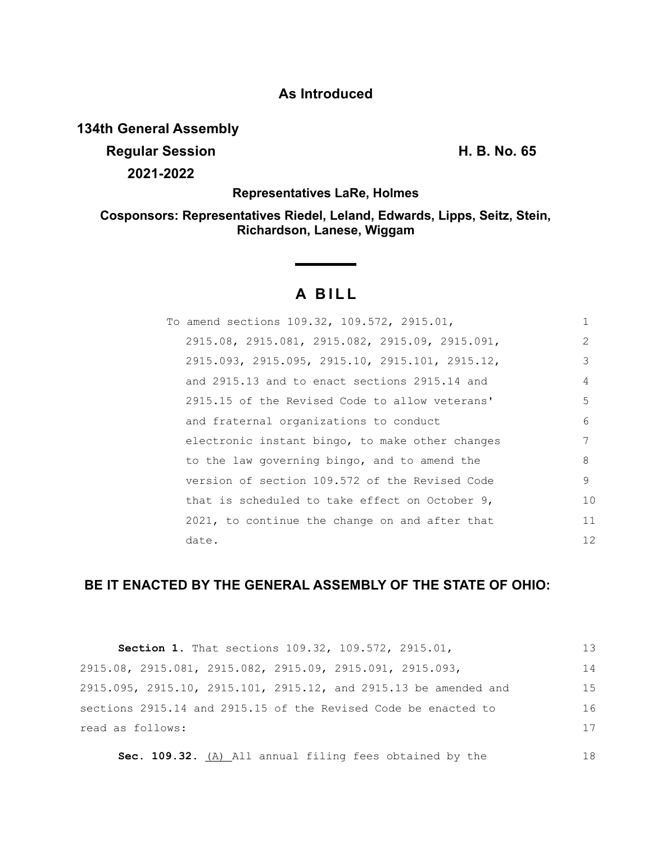## **As Introduced**

## **134th General Assembly**

**Regular Session H. B. No. 65 2021-2022**

**Representatives LaRe, Holmes**

**Cosponsors: Representatives Riedel, Leland, Edwards, Lipps, Seitz, Stein, Richardson, Lanese, Wiggam**

# **A BILL**

| To amend sections 109.32, 109.572, 2915.01,       | 1             |
|---------------------------------------------------|---------------|
| 2915.08, 2915.081, 2915.082, 2915.09, 2915.091,   | $\mathcal{L}$ |
| 2915.093, 2915.095, 2915.10, 2915.101, 2915.12,   | 3             |
| and 2915.13 and to enact sections 2915.14 and     | 4             |
| 2915.15 of the Revised Code to allow veterans'    | 5             |
| and fraternal organizations to conduct            | 6             |
| electronic instant bingo, to make other changes   | 7             |
| to the law governing bingo, and to amend the      | 8             |
| version of section 109.572 of the Revised Code    | 9             |
| that is scheduled to take effect on October $9$ , | 10            |
| 2021, to continue the change on and after that    | 11            |
| date.                                             | 12            |

## **BE IT ENACTED BY THE GENERAL ASSEMBLY OF THE STATE OF OHIO:**

|                                                           | <b>Section 1.</b> That sections 109.32, 109.572, 2915.01,        | 13  |
|-----------------------------------------------------------|------------------------------------------------------------------|-----|
| 2915.08, 2915.081, 2915.082, 2915.09, 2915.091, 2915.093, |                                                                  | 14  |
|                                                           | 2915.095, 2915.10, 2915.101, 2915.12, and 2915.13 be amended and | 1.5 |
|                                                           | sections 2915.14 and 2915.15 of the Revised Code be enacted to   | 16  |
| read as follows:                                          |                                                                  | 17  |
|                                                           |                                                                  |     |

Sec. 109.32. (A) All annual filing fees obtained by the 18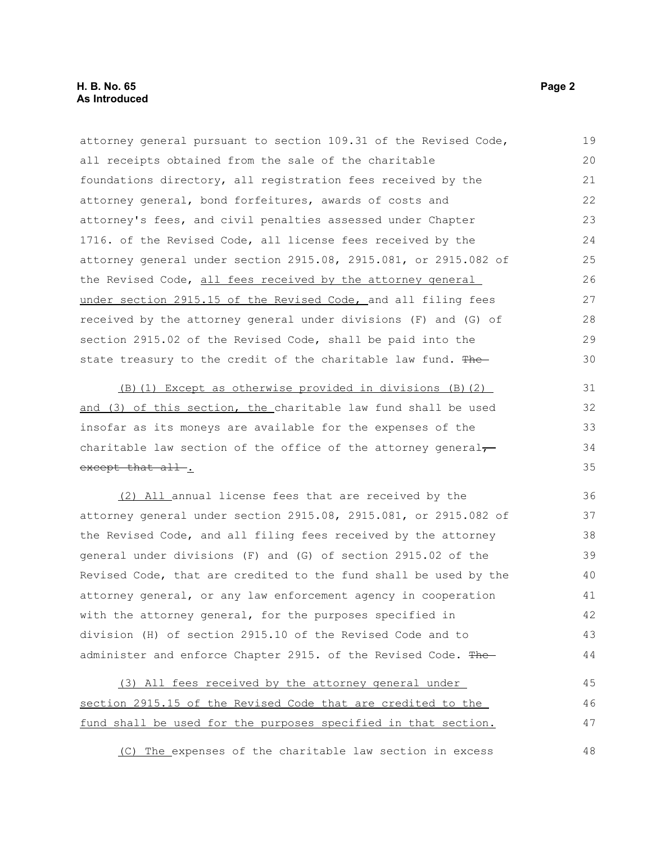attorney general pursuant to section 109.31 of the Revised Code, all receipts obtained from the sale of the charitable foundations directory, all registration fees received by the attorney general, bond forfeitures, awards of costs and attorney's fees, and civil penalties assessed under Chapter 1716. of the Revised Code, all license fees received by the attorney general under section 2915.08, 2915.081, or 2915.082 of the Revised Code, all fees received by the attorney general under section 2915.15 of the Revised Code, and all filing fees received by the attorney general under divisions (F) and (G) of section 2915.02 of the Revised Code, shall be paid into the state treasury to the credit of the charitable law fund. The (B)(1) Except as otherwise provided in divisions (B)(2) and (3) of this section, the charitable law fund shall be used insofar as its moneys are available for the expenses of the charitable law section of the office of the attorney general $\tau$ except that all-. (2) All annual license fees that are received by the attorney general under section 2915.08, 2915.081, or 2915.082 of the Revised Code, and all filing fees received by the attorney general under divisions (F) and (G) of section 2915.02 of the Revised Code, that are credited to the fund shall be used by the attorney general, or any law enforcement agency in cooperation with the attorney general, for the purposes specified in division (H) of section 2915.10 of the Revised Code and to administer and enforce Chapter 2915. of the Revised Code. The (3) All fees received by the attorney general under section 2915.15 of the Revised Code that are credited to the fund shall be used for the purposes specified in that section. 19 20 21 22 23 24 25 26 27 28 29 30 31 32 33 34 35 36 37 38 39 40 41 42 43 44 45 46 47

(C) The expenses of the charitable law section in excess 48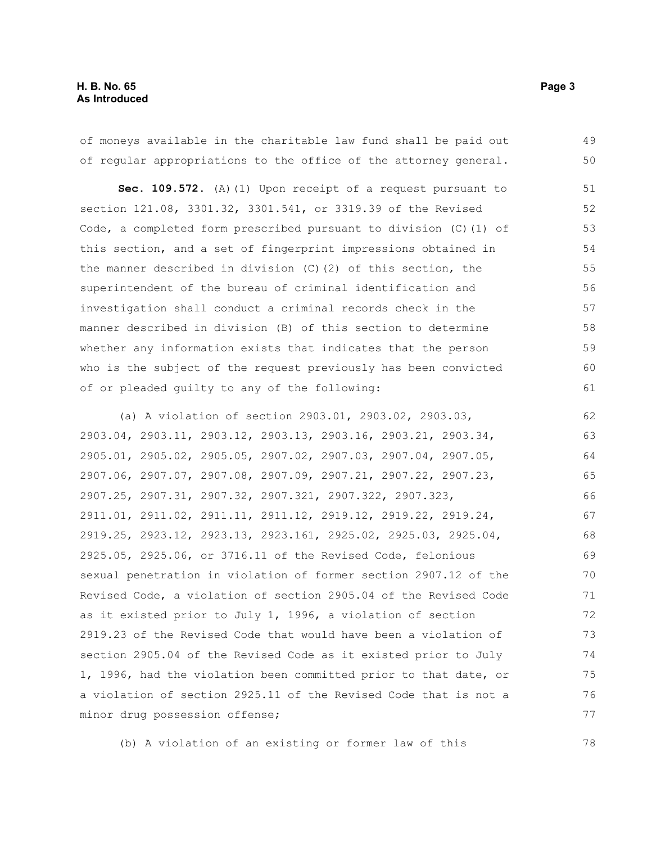of moneys available in the charitable law fund shall be paid out of regular appropriations to the office of the attorney general. 49 50

Sec. 109.572. (A) (1) Upon receipt of a request pursuant to section 121.08, 3301.32, 3301.541, or 3319.39 of the Revised Code, a completed form prescribed pursuant to division (C)(1) of this section, and a set of fingerprint impressions obtained in the manner described in division (C)(2) of this section, the superintendent of the bureau of criminal identification and investigation shall conduct a criminal records check in the manner described in division (B) of this section to determine whether any information exists that indicates that the person who is the subject of the request previously has been convicted of or pleaded guilty to any of the following: 51 52 53 54 55 56 57 58 59 60 61

(a) A violation of section 2903.01, 2903.02, 2903.03, 2903.04, 2903.11, 2903.12, 2903.13, 2903.16, 2903.21, 2903.34, 2905.01, 2905.02, 2905.05, 2907.02, 2907.03, 2907.04, 2907.05, 2907.06, 2907.07, 2907.08, 2907.09, 2907.21, 2907.22, 2907.23, 2907.25, 2907.31, 2907.32, 2907.321, 2907.322, 2907.323, 2911.01, 2911.02, 2911.11, 2911.12, 2919.12, 2919.22, 2919.24, 2919.25, 2923.12, 2923.13, 2923.161, 2925.02, 2925.03, 2925.04, 2925.05, 2925.06, or 3716.11 of the Revised Code, felonious sexual penetration in violation of former section 2907.12 of the Revised Code, a violation of section 2905.04 of the Revised Code as it existed prior to July 1, 1996, a violation of section 2919.23 of the Revised Code that would have been a violation of section 2905.04 of the Revised Code as it existed prior to July 1, 1996, had the violation been committed prior to that date, or a violation of section 2925.11 of the Revised Code that is not a minor drug possession offense; 62 63 64 65 66 67 68 69 70 71 72 73 74 75 76 77

(b) A violation of an existing or former law of this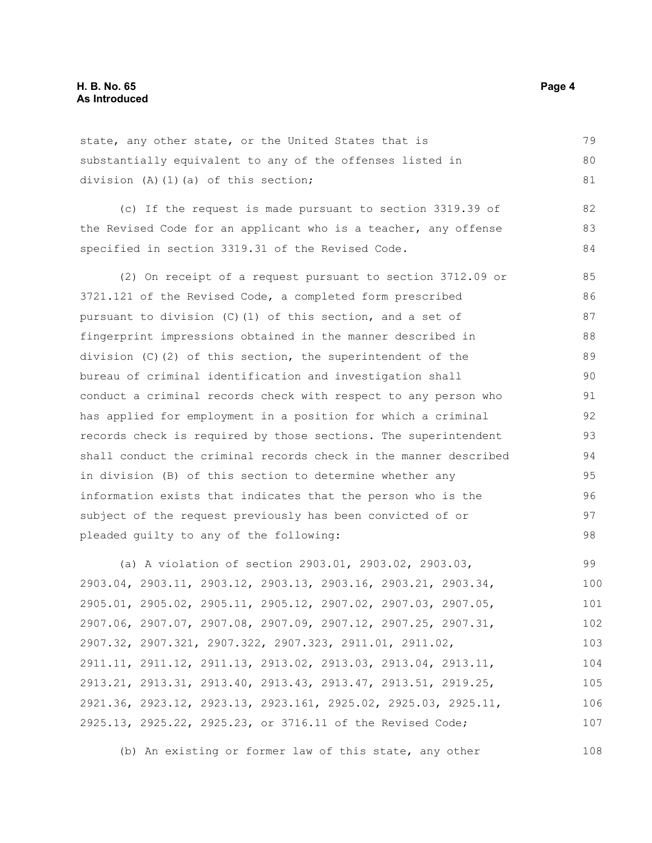state, any other state, or the United States that is substantially equivalent to any of the offenses listed in division (A)(1)(a) of this section; 79 80 81

(c) If the request is made pursuant to section 3319.39 of the Revised Code for an applicant who is a teacher, any offense specified in section 3319.31 of the Revised Code. 82 83 84

(2) On receipt of a request pursuant to section 3712.09 or 3721.121 of the Revised Code, a completed form prescribed pursuant to division (C)(1) of this section, and a set of fingerprint impressions obtained in the manner described in division (C)(2) of this section, the superintendent of the bureau of criminal identification and investigation shall conduct a criminal records check with respect to any person who has applied for employment in a position for which a criminal records check is required by those sections. The superintendent shall conduct the criminal records check in the manner described in division (B) of this section to determine whether any information exists that indicates that the person who is the subject of the request previously has been convicted of or pleaded guilty to any of the following: 85 86 87 88 89 90 91 92 93 94 95 96 97 98

(a) A violation of section 2903.01, 2903.02, 2903.03, 2903.04, 2903.11, 2903.12, 2903.13, 2903.16, 2903.21, 2903.34, 2905.01, 2905.02, 2905.11, 2905.12, 2907.02, 2907.03, 2907.05, 2907.06, 2907.07, 2907.08, 2907.09, 2907.12, 2907.25, 2907.31, 2907.32, 2907.321, 2907.322, 2907.323, 2911.01, 2911.02, 2911.11, 2911.12, 2911.13, 2913.02, 2913.03, 2913.04, 2913.11, 2913.21, 2913.31, 2913.40, 2913.43, 2913.47, 2913.51, 2919.25, 2921.36, 2923.12, 2923.13, 2923.161, 2925.02, 2925.03, 2925.11, 2925.13, 2925.22, 2925.23, or 3716.11 of the Revised Code; 99 100 101 102 103 104 105 106 107

(b) An existing or former law of this state, any other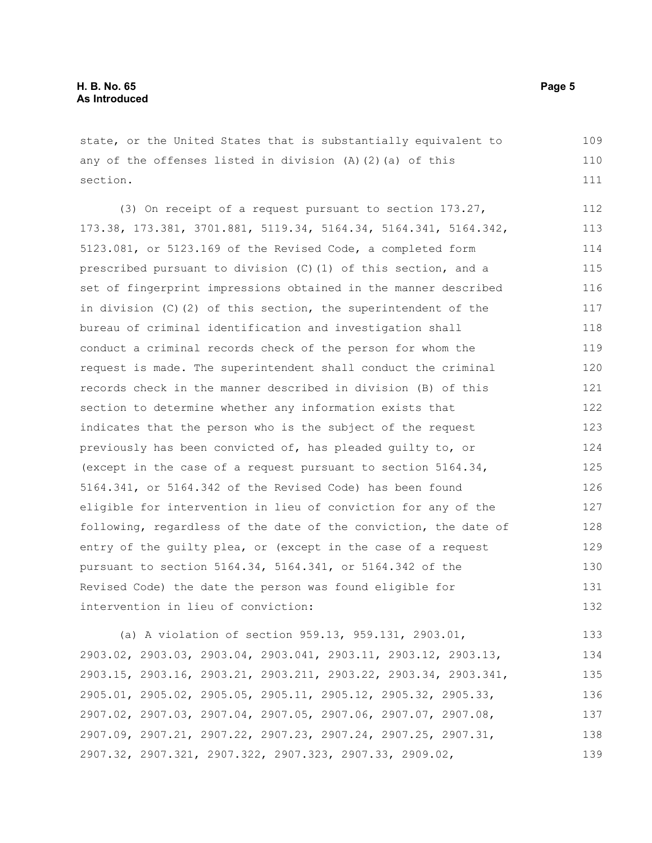state, or the United States that is substantially equivalent to any of the offenses listed in division  $(A)(2)(a)$  of this section.

(3) On receipt of a request pursuant to section 173.27, 173.38, 173.381, 3701.881, 5119.34, 5164.34, 5164.341, 5164.342, 5123.081, or 5123.169 of the Revised Code, a completed form prescribed pursuant to division (C)(1) of this section, and a set of fingerprint impressions obtained in the manner described in division (C)(2) of this section, the superintendent of the bureau of criminal identification and investigation shall conduct a criminal records check of the person for whom the request is made. The superintendent shall conduct the criminal records check in the manner described in division (B) of this section to determine whether any information exists that indicates that the person who is the subject of the request previously has been convicted of, has pleaded guilty to, or (except in the case of a request pursuant to section 5164.34, 5164.341, or 5164.342 of the Revised Code) has been found eligible for intervention in lieu of conviction for any of the following, regardless of the date of the conviction, the date of entry of the guilty plea, or (except in the case of a request pursuant to section 5164.34, 5164.341, or 5164.342 of the Revised Code) the date the person was found eligible for intervention in lieu of conviction: 112 113 114 115 116 117 118 119 120 121 122 123 124 125 126 127 128 129 130 131 132

(a) A violation of section 959.13, 959.131, 2903.01, 2903.02, 2903.03, 2903.04, 2903.041, 2903.11, 2903.12, 2903.13, 2903.15, 2903.16, 2903.21, 2903.211, 2903.22, 2903.34, 2903.341, 2905.01, 2905.02, 2905.05, 2905.11, 2905.12, 2905.32, 2905.33, 2907.02, 2907.03, 2907.04, 2907.05, 2907.06, 2907.07, 2907.08, 2907.09, 2907.21, 2907.22, 2907.23, 2907.24, 2907.25, 2907.31, 2907.32, 2907.321, 2907.322, 2907.323, 2907.33, 2909.02, 133 134 135 136 137 138 139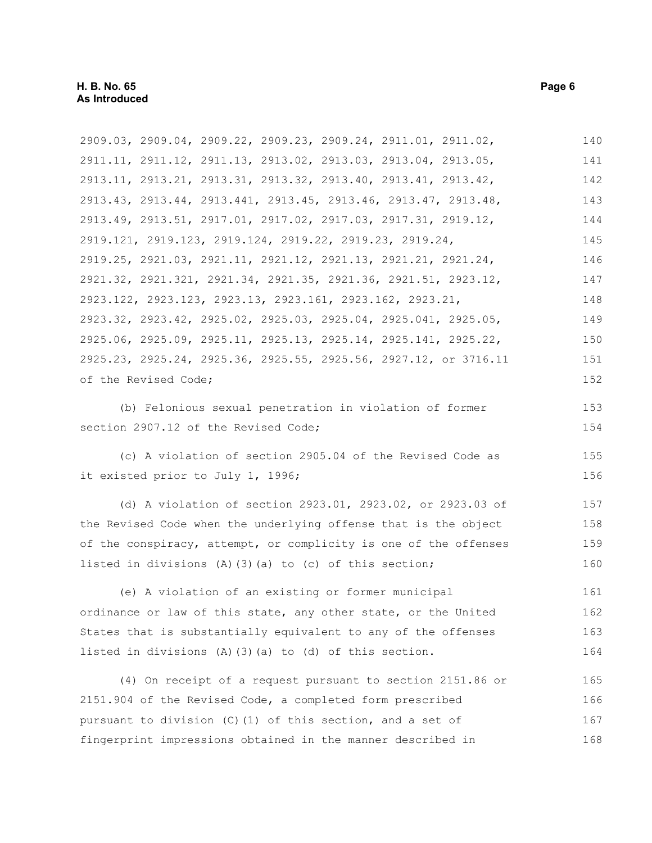2909.03, 2909.04, 2909.22, 2909.23, 2909.24, 2911.01, 2911.02, 2911.11, 2911.12, 2911.13, 2913.02, 2913.03, 2913.04, 2913.05, 2913.11, 2913.21, 2913.31, 2913.32, 2913.40, 2913.41, 2913.42, 2913.43, 2913.44, 2913.441, 2913.45, 2913.46, 2913.47, 2913.48, 2913.49, 2913.51, 2917.01, 2917.02, 2917.03, 2917.31, 2919.12, 2919.121, 2919.123, 2919.124, 2919.22, 2919.23, 2919.24, 2919.25, 2921.03, 2921.11, 2921.12, 2921.13, 2921.21, 2921.24, 2921.32, 2921.321, 2921.34, 2921.35, 2921.36, 2921.51, 2923.12, 2923.122, 2923.123, 2923.13, 2923.161, 2923.162, 2923.21, 2923.32, 2923.42, 2925.02, 2925.03, 2925.04, 2925.041, 2925.05, 2925.06, 2925.09, 2925.11, 2925.13, 2925.14, 2925.141, 2925.22, 2925.23, 2925.24, 2925.36, 2925.55, 2925.56, 2927.12, or 3716.11 of the Revised Code; 140 141 142 143 144 145 146 147 148 149 150 151 152

(b) Felonious sexual penetration in violation of former section 2907.12 of the Revised Code;

(c) A violation of section 2905.04 of the Revised Code as it existed prior to July 1, 1996;

(d) A violation of section 2923.01, 2923.02, or 2923.03 of the Revised Code when the underlying offense that is the object of the conspiracy, attempt, or complicity is one of the offenses listed in divisions  $(A)$   $(3)$   $(a)$  to  $(c)$  of this section; 157 158 159 160

(e) A violation of an existing or former municipal ordinance or law of this state, any other state, or the United States that is substantially equivalent to any of the offenses listed in divisions (A)(3)(a) to (d) of this section. 161 162 163 164

(4) On receipt of a request pursuant to section 2151.86 or 2151.904 of the Revised Code, a completed form prescribed pursuant to division (C)(1) of this section, and a set of fingerprint impressions obtained in the manner described in 165 166 167 168

153 154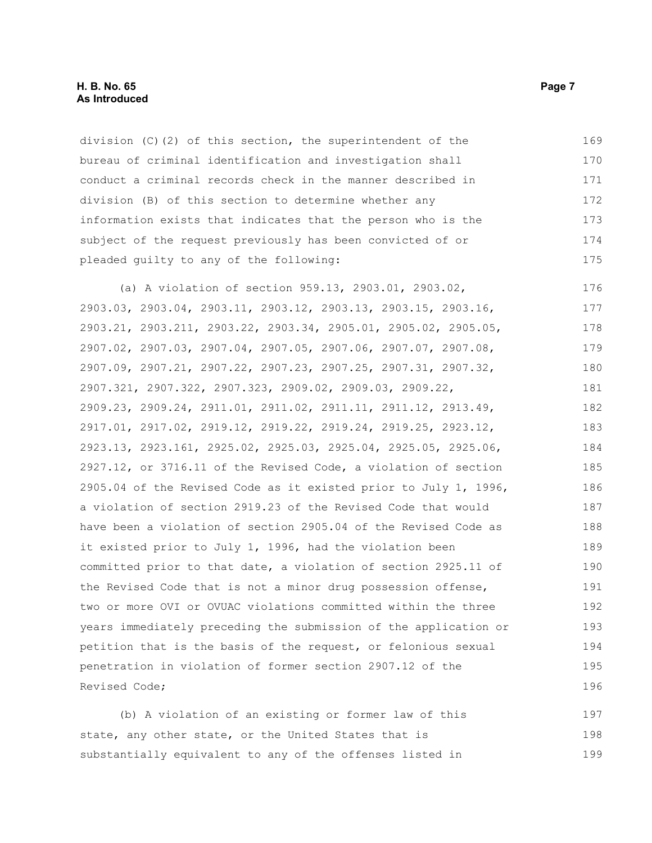division (C)(2) of this section, the superintendent of the bureau of criminal identification and investigation shall conduct a criminal records check in the manner described in division (B) of this section to determine whether any information exists that indicates that the person who is the subject of the request previously has been convicted of or pleaded guilty to any of the following: 169 170 171 172 173 174 175

(a) A violation of section 959.13, 2903.01, 2903.02, 2903.03, 2903.04, 2903.11, 2903.12, 2903.13, 2903.15, 2903.16, 2903.21, 2903.211, 2903.22, 2903.34, 2905.01, 2905.02, 2905.05, 2907.02, 2907.03, 2907.04, 2907.05, 2907.06, 2907.07, 2907.08, 2907.09, 2907.21, 2907.22, 2907.23, 2907.25, 2907.31, 2907.32, 2907.321, 2907.322, 2907.323, 2909.02, 2909.03, 2909.22, 2909.23, 2909.24, 2911.01, 2911.02, 2911.11, 2911.12, 2913.49, 2917.01, 2917.02, 2919.12, 2919.22, 2919.24, 2919.25, 2923.12, 2923.13, 2923.161, 2925.02, 2925.03, 2925.04, 2925.05, 2925.06, 2927.12, or 3716.11 of the Revised Code, a violation of section 2905.04 of the Revised Code as it existed prior to July 1, 1996, a violation of section 2919.23 of the Revised Code that would have been a violation of section 2905.04 of the Revised Code as it existed prior to July 1, 1996, had the violation been committed prior to that date, a violation of section 2925.11 of the Revised Code that is not a minor drug possession offense, two or more OVI or OVUAC violations committed within the three years immediately preceding the submission of the application or petition that is the basis of the request, or felonious sexual penetration in violation of former section 2907.12 of the Revised Code; 176 177 178 179 180 181 182 183 184 185 186 187 188 189 190 191 192 193 194 195 196

(b) A violation of an existing or former law of this state, any other state, or the United States that is substantially equivalent to any of the offenses listed in 197 198 199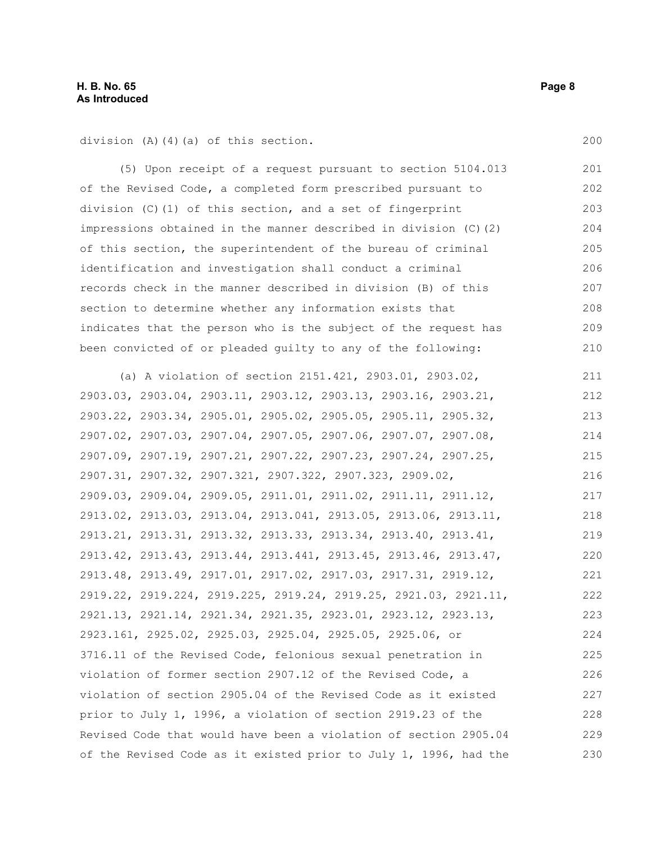division (A)(4)(a) of this section.

(5) Upon receipt of a request pursuant to section 5104.013 of the Revised Code, a completed form prescribed pursuant to division (C)(1) of this section, and a set of fingerprint impressions obtained in the manner described in division (C)(2) of this section, the superintendent of the bureau of criminal identification and investigation shall conduct a criminal records check in the manner described in division (B) of this section to determine whether any information exists that indicates that the person who is the subject of the request has been convicted of or pleaded guilty to any of the following: 201 202 203 204 205 206 207 208 209 210

(a) A violation of section 2151.421, 2903.01, 2903.02, 2903.03, 2903.04, 2903.11, 2903.12, 2903.13, 2903.16, 2903.21, 2903.22, 2903.34, 2905.01, 2905.02, 2905.05, 2905.11, 2905.32, 2907.02, 2907.03, 2907.04, 2907.05, 2907.06, 2907.07, 2907.08, 2907.09, 2907.19, 2907.21, 2907.22, 2907.23, 2907.24, 2907.25, 2907.31, 2907.32, 2907.321, 2907.322, 2907.323, 2909.02, 2909.03, 2909.04, 2909.05, 2911.01, 2911.02, 2911.11, 2911.12, 2913.02, 2913.03, 2913.04, 2913.041, 2913.05, 2913.06, 2913.11, 2913.21, 2913.31, 2913.32, 2913.33, 2913.34, 2913.40, 2913.41, 2913.42, 2913.43, 2913.44, 2913.441, 2913.45, 2913.46, 2913.47, 2913.48, 2913.49, 2917.01, 2917.02, 2917.03, 2917.31, 2919.12, 2919.22, 2919.224, 2919.225, 2919.24, 2919.25, 2921.03, 2921.11, 2921.13, 2921.14, 2921.34, 2921.35, 2923.01, 2923.12, 2923.13, 2923.161, 2925.02, 2925.03, 2925.04, 2925.05, 2925.06, or 3716.11 of the Revised Code, felonious sexual penetration in violation of former section 2907.12 of the Revised Code, a violation of section 2905.04 of the Revised Code as it existed prior to July 1, 1996, a violation of section 2919.23 of the Revised Code that would have been a violation of section 2905.04 of the Revised Code as it existed prior to July 1, 1996, had the 211 212 213 214 215 216 217 218 219 220 221 222 223 224 225 226 227 228 229 230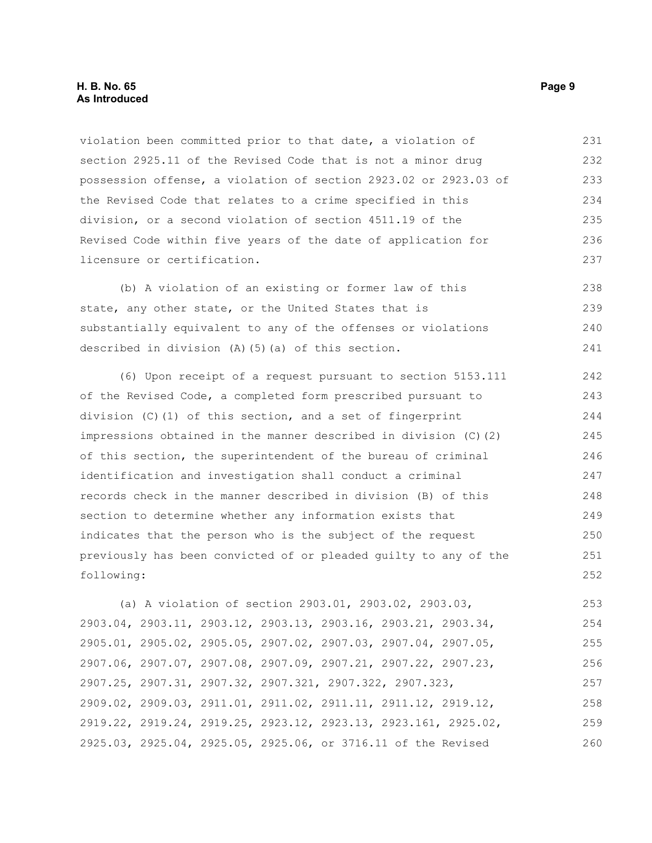#### **H. B. No. 65 Page 9 As Introduced**

violation been committed prior to that date, a violation of section 2925.11 of the Revised Code that is not a minor drug possession offense, a violation of section 2923.02 or 2923.03 of the Revised Code that relates to a crime specified in this division, or a second violation of section 4511.19 of the Revised Code within five years of the date of application for licensure or certification. 231 232 233 234 235 236 237

(b) A violation of an existing or former law of this state, any other state, or the United States that is substantially equivalent to any of the offenses or violations described in division (A)(5)(a) of this section. 238 239 240 241

(6) Upon receipt of a request pursuant to section 5153.111 of the Revised Code, a completed form prescribed pursuant to division (C)(1) of this section, and a set of fingerprint impressions obtained in the manner described in division (C)(2) of this section, the superintendent of the bureau of criminal identification and investigation shall conduct a criminal records check in the manner described in division (B) of this section to determine whether any information exists that indicates that the person who is the subject of the request previously has been convicted of or pleaded guilty to any of the following: 242 243 244 245 246 247 248 249 250 251 252

(a) A violation of section 2903.01, 2903.02, 2903.03, 2903.04, 2903.11, 2903.12, 2903.13, 2903.16, 2903.21, 2903.34, 2905.01, 2905.02, 2905.05, 2907.02, 2907.03, 2907.04, 2907.05, 2907.06, 2907.07, 2907.08, 2907.09, 2907.21, 2907.22, 2907.23, 2907.25, 2907.31, 2907.32, 2907.321, 2907.322, 2907.323, 2909.02, 2909.03, 2911.01, 2911.02, 2911.11, 2911.12, 2919.12, 2919.22, 2919.24, 2919.25, 2923.12, 2923.13, 2923.161, 2925.02, 2925.03, 2925.04, 2925.05, 2925.06, or 3716.11 of the Revised 253 254 255 256 257 258 259 260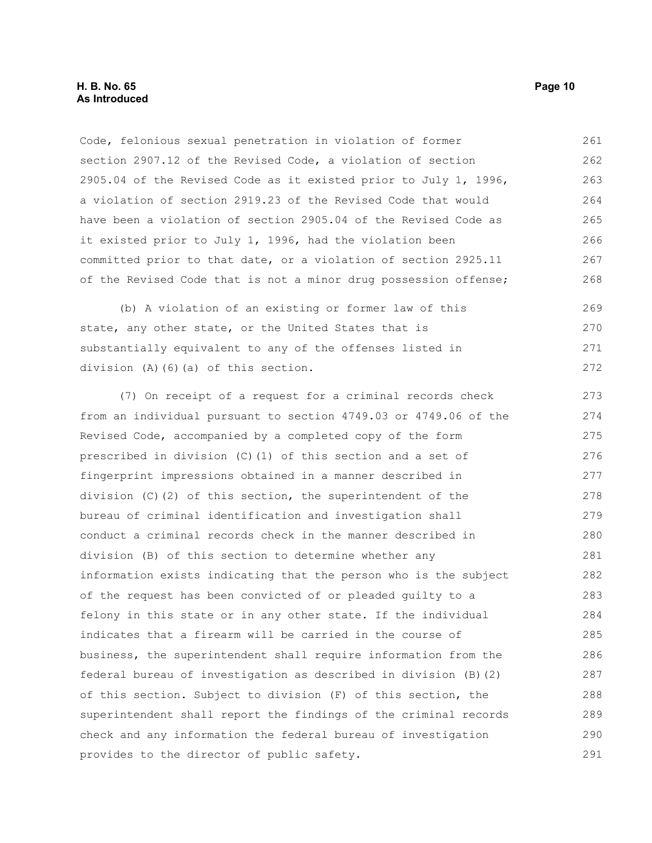Code, felonious sexual penetration in violation of former section 2907.12 of the Revised Code, a violation of section 2905.04 of the Revised Code as it existed prior to July 1, 1996, a violation of section 2919.23 of the Revised Code that would have been a violation of section 2905.04 of the Revised Code as it existed prior to July 1, 1996, had the violation been committed prior to that date, or a violation of section 2925.11 of the Revised Code that is not a minor drug possession offense; 261 262 263 264 265 266 267 268

(b) A violation of an existing or former law of this state, any other state, or the United States that is substantially equivalent to any of the offenses listed in division (A)(6)(a) of this section. 269 270 271 272

(7) On receipt of a request for a criminal records check from an individual pursuant to section 4749.03 or 4749.06 of the Revised Code, accompanied by a completed copy of the form prescribed in division (C)(1) of this section and a set of fingerprint impressions obtained in a manner described in division (C)(2) of this section, the superintendent of the bureau of criminal identification and investigation shall conduct a criminal records check in the manner described in division (B) of this section to determine whether any information exists indicating that the person who is the subject of the request has been convicted of or pleaded guilty to a felony in this state or in any other state. If the individual indicates that a firearm will be carried in the course of business, the superintendent shall require information from the federal bureau of investigation as described in division (B)(2) of this section. Subject to division (F) of this section, the superintendent shall report the findings of the criminal records check and any information the federal bureau of investigation provides to the director of public safety. 273 274 275 276 277 278 279 280 281 282 283 284 285 286 287 288 289 290 291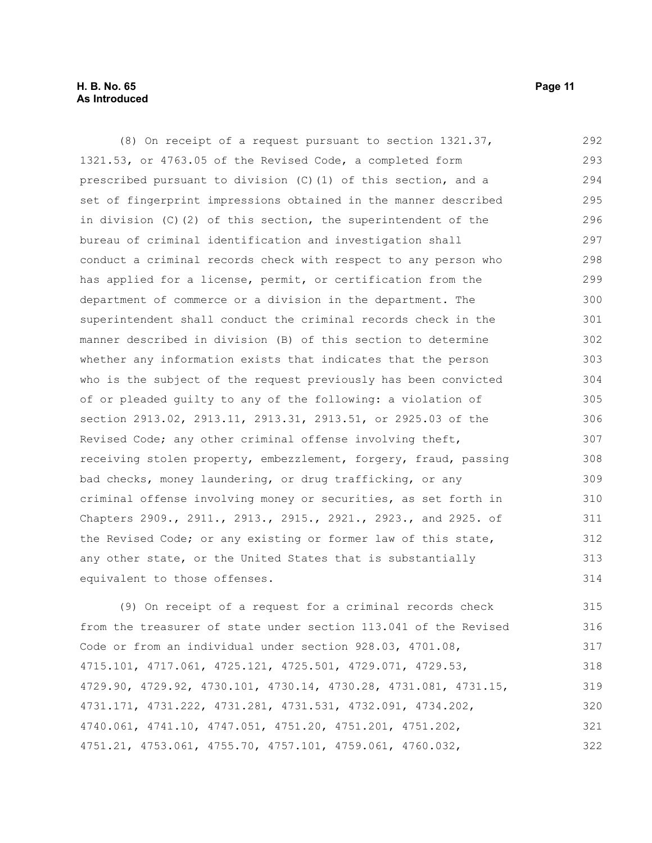#### **H. B. No. 65 Page 11 As Introduced**

(8) On receipt of a request pursuant to section 1321.37, 1321.53, or 4763.05 of the Revised Code, a completed form prescribed pursuant to division (C)(1) of this section, and a set of fingerprint impressions obtained in the manner described in division (C)(2) of this section, the superintendent of the bureau of criminal identification and investigation shall conduct a criminal records check with respect to any person who has applied for a license, permit, or certification from the department of commerce or a division in the department. The superintendent shall conduct the criminal records check in the manner described in division (B) of this section to determine whether any information exists that indicates that the person who is the subject of the request previously has been convicted of or pleaded guilty to any of the following: a violation of section 2913.02, 2913.11, 2913.31, 2913.51, or 2925.03 of the Revised Code; any other criminal offense involving theft, receiving stolen property, embezzlement, forgery, fraud, passing bad checks, money laundering, or drug trafficking, or any criminal offense involving money or securities, as set forth in Chapters 2909., 2911., 2913., 2915., 2921., 2923., and 2925. of the Revised Code; or any existing or former law of this state, any other state, or the United States that is substantially equivalent to those offenses. 292 293 294 295 296 297 298 299 300 301 302 303 304 305 306 307 308 309 310 311 312 313 314

(9) On receipt of a request for a criminal records check from the treasurer of state under section 113.041 of the Revised Code or from an individual under section 928.03, 4701.08, 4715.101, 4717.061, 4725.121, 4725.501, 4729.071, 4729.53, 4729.90, 4729.92, 4730.101, 4730.14, 4730.28, 4731.081, 4731.15, 4731.171, 4731.222, 4731.281, 4731.531, 4732.091, 4734.202, 4740.061, 4741.10, 4747.051, 4751.20, 4751.201, 4751.202, 4751.21, 4753.061, 4755.70, 4757.101, 4759.061, 4760.032, 315 316 317 318 319 320 321 322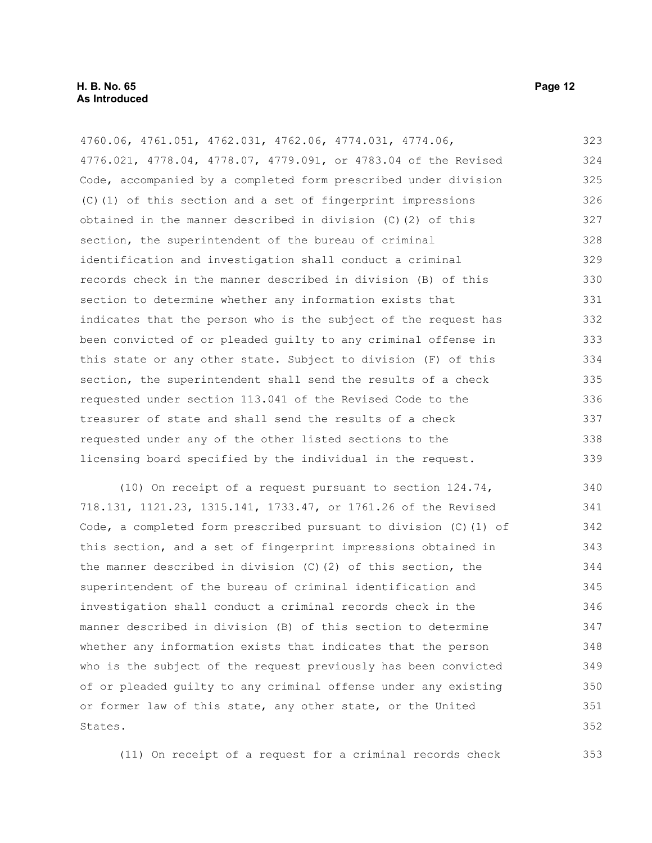4760.06, 4761.051, 4762.031, 4762.06, 4774.031, 4774.06, 4776.021, 4778.04, 4778.07, 4779.091, or 4783.04 of the Revised Code, accompanied by a completed form prescribed under division (C)(1) of this section and a set of fingerprint impressions obtained in the manner described in division (C)(2) of this section, the superintendent of the bureau of criminal identification and investigation shall conduct a criminal records check in the manner described in division (B) of this section to determine whether any information exists that indicates that the person who is the subject of the request has been convicted of or pleaded guilty to any criminal offense in this state or any other state. Subject to division (F) of this section, the superintendent shall send the results of a check requested under section 113.041 of the Revised Code to the treasurer of state and shall send the results of a check requested under any of the other listed sections to the licensing board specified by the individual in the request. 323 324 325 326 327 328 329 330 331 332 333 334 335 336 337 338 339

(10) On receipt of a request pursuant to section 124.74, 718.131, 1121.23, 1315.141, 1733.47, or 1761.26 of the Revised Code, a completed form prescribed pursuant to division (C)(1) of this section, and a set of fingerprint impressions obtained in the manner described in division  $(C)(2)$  of this section, the superintendent of the bureau of criminal identification and investigation shall conduct a criminal records check in the manner described in division (B) of this section to determine whether any information exists that indicates that the person who is the subject of the request previously has been convicted of or pleaded guilty to any criminal offense under any existing or former law of this state, any other state, or the United States. 340 341 342 343 344 345 346 347 348 349 350 351 352

(11) On receipt of a request for a criminal records check 353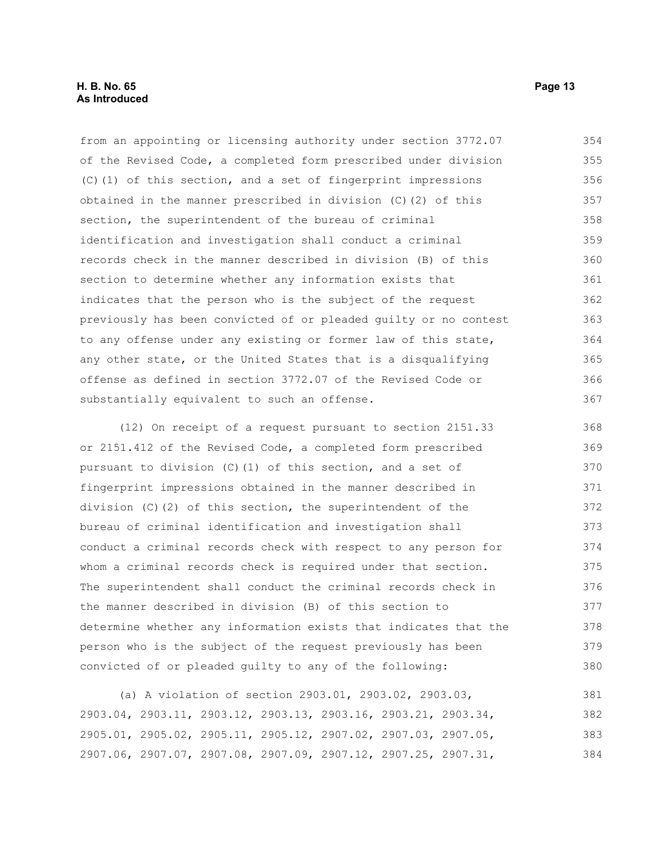from an appointing or licensing authority under section 3772.07 of the Revised Code, a completed form prescribed under division (C)(1) of this section, and a set of fingerprint impressions obtained in the manner prescribed in division (C)(2) of this section, the superintendent of the bureau of criminal identification and investigation shall conduct a criminal records check in the manner described in division (B) of this section to determine whether any information exists that indicates that the person who is the subject of the request previously has been convicted of or pleaded guilty or no contest to any offense under any existing or former law of this state, any other state, or the United States that is a disqualifying offense as defined in section 3772.07 of the Revised Code or substantially equivalent to such an offense. 354 355 356 357 358 359 360 361 362 363 364 365 366 367

(12) On receipt of a request pursuant to section 2151.33 or 2151.412 of the Revised Code, a completed form prescribed pursuant to division (C)(1) of this section, and a set of fingerprint impressions obtained in the manner described in division (C)(2) of this section, the superintendent of the bureau of criminal identification and investigation shall conduct a criminal records check with respect to any person for whom a criminal records check is required under that section. The superintendent shall conduct the criminal records check in the manner described in division (B) of this section to determine whether any information exists that indicates that the person who is the subject of the request previously has been convicted of or pleaded guilty to any of the following: 368 369 370 371 372 373 374 375 376 377 378 379 380

(a) A violation of section 2903.01, 2903.02, 2903.03, 2903.04, 2903.11, 2903.12, 2903.13, 2903.16, 2903.21, 2903.34, 2905.01, 2905.02, 2905.11, 2905.12, 2907.02, 2907.03, 2907.05, 2907.06, 2907.07, 2907.08, 2907.09, 2907.12, 2907.25, 2907.31, 381 382 383 384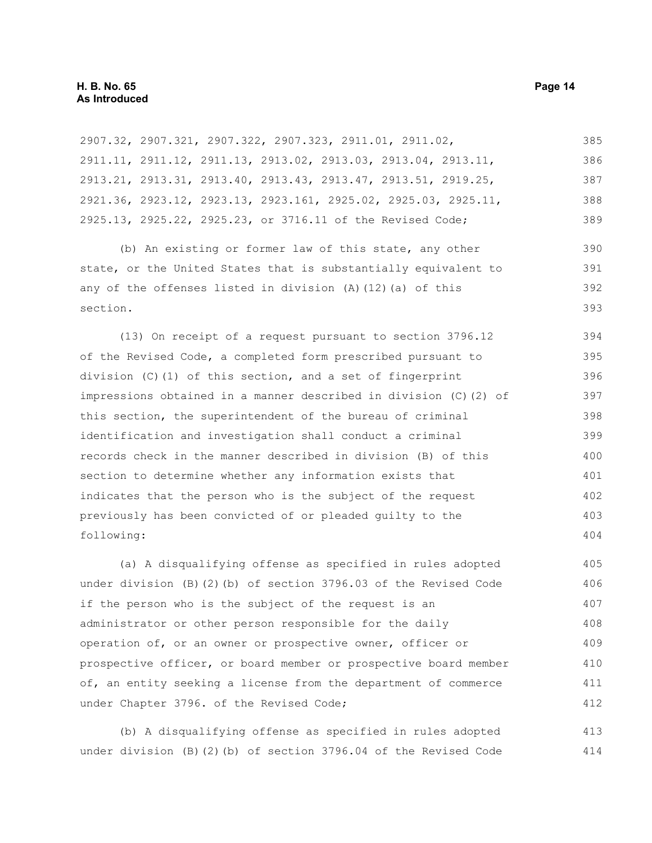| 2907.32, 2907.321, 2907.322, 2907.323, 2911.01, 2911.02,          | 385 |
|-------------------------------------------------------------------|-----|
| 2911.11, 2911.12, 2911.13, 2913.02, 2913.03, 2913.04, 2913.11,    | 386 |
| 2913.21, 2913.31, 2913.40, 2913.43, 2913.47, 2913.51, 2919.25,    | 387 |
| 2921.36, 2923.12, 2923.13, 2923.161, 2925.02, 2925.03, 2925.11,   | 388 |
| 2925.13, 2925.22, 2925.23, or 3716.11 of the Revised Code;        | 389 |
| (b) An existing or former law of this state, any other            | 390 |
| state, or the United States that is substantially equivalent to   | 391 |
| any of the offenses listed in division $(A)$ $(12)$ $(a)$ of this | 392 |
| section.                                                          | 393 |
| (13) On receipt of a request pursuant to section 3796.12          | 394 |
| of the Revised Code, a completed form prescribed pursuant to      | 395 |
| division $(C)$ (1) of this section, and a set of fingerprint      | 396 |
| impressions obtained in a manner described in division (C) (2) of | 397 |
| this section, the superintendent of the bureau of criminal        | 398 |
| identification and investigation shall conduct a criminal         | 399 |
| records check in the manner described in division (B) of this     | 400 |
| section to determine whether any information exists that          | 401 |
| indicates that the person who is the subject of the request       | 402 |
| previously has been convicted of or pleaded guilty to the         | 403 |
| following:                                                        | 404 |
| (a) A disqualifying offense as specified in rules adopted         | 405 |
| under division (B)(2)(b) of section 3796.03 of the Revised Code   | 406 |
|                                                                   |     |

if the person who is the subject of the request is an administrator or other person responsible for the daily operation of, or an owner or prospective owner, officer or prospective officer, or board member or prospective board member of, an entity seeking a license from the department of commerce under Chapter 3796. of the Revised Code; 407 408 409 410 411 412

(b) A disqualifying offense as specified in rules adopted under division (B)(2)(b) of section 3796.04 of the Revised Code 413 414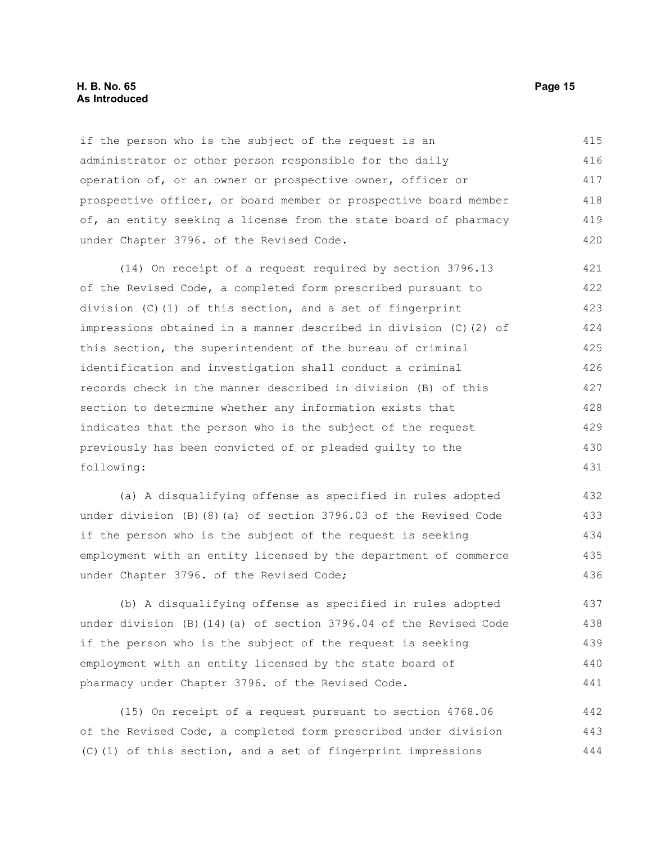#### **H. B. No. 65 Page 15 As Introduced**

if the person who is the subject of the request is an administrator or other person responsible for the daily operation of, or an owner or prospective owner, officer or prospective officer, or board member or prospective board member of, an entity seeking a license from the state board of pharmacy under Chapter 3796. of the Revised Code. 415 416 417 418 419 420

(14) On receipt of a request required by section 3796.13 of the Revised Code, a completed form prescribed pursuant to division (C)(1) of this section, and a set of fingerprint impressions obtained in a manner described in division (C)(2) of this section, the superintendent of the bureau of criminal identification and investigation shall conduct a criminal records check in the manner described in division (B) of this section to determine whether any information exists that indicates that the person who is the subject of the request previously has been convicted of or pleaded guilty to the following: 421 422 423 424 425 426 427 428 429 430 431

(a) A disqualifying offense as specified in rules adopted under division (B)(8)(a) of section 3796.03 of the Revised Code if the person who is the subject of the request is seeking employment with an entity licensed by the department of commerce under Chapter 3796. of the Revised Code; 432 433 434 435 436

(b) A disqualifying offense as specified in rules adopted under division (B)(14)(a) of section 3796.04 of the Revised Code if the person who is the subject of the request is seeking employment with an entity licensed by the state board of pharmacy under Chapter 3796. of the Revised Code. 437 438 439 440 441

(15) On receipt of a request pursuant to section 4768.06 of the Revised Code, a completed form prescribed under division (C)(1) of this section, and a set of fingerprint impressions 442 443 444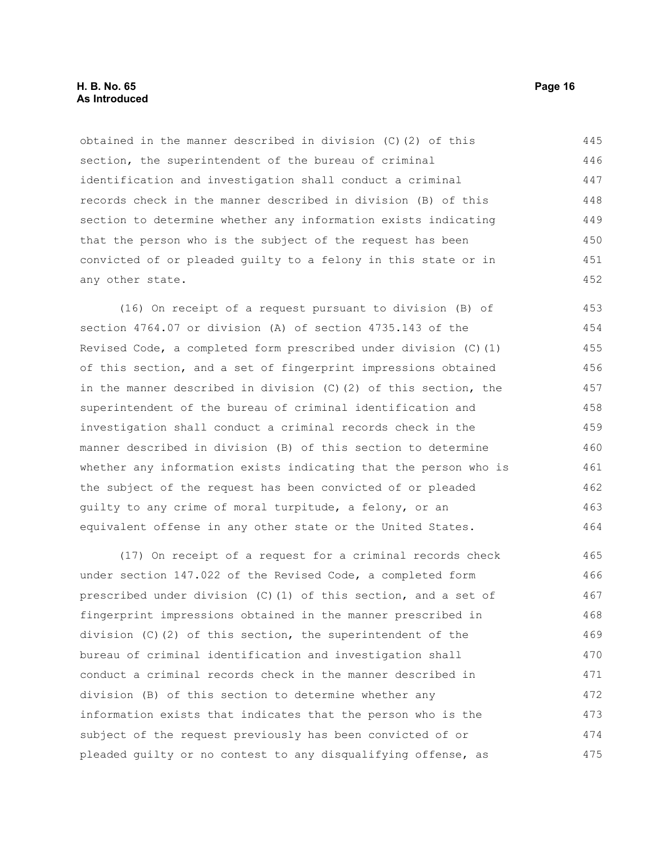#### **H. B. No. 65 Page 16 As Introduced**

obtained in the manner described in division (C)(2) of this section, the superintendent of the bureau of criminal identification and investigation shall conduct a criminal records check in the manner described in division (B) of this section to determine whether any information exists indicating that the person who is the subject of the request has been convicted of or pleaded guilty to a felony in this state or in any other state. 445 446 447 448 449 450 451 452

(16) On receipt of a request pursuant to division (B) of section 4764.07 or division (A) of section 4735.143 of the Revised Code, a completed form prescribed under division (C)(1) of this section, and a set of fingerprint impressions obtained in the manner described in division (C)(2) of this section, the superintendent of the bureau of criminal identification and investigation shall conduct a criminal records check in the manner described in division (B) of this section to determine whether any information exists indicating that the person who is the subject of the request has been convicted of or pleaded guilty to any crime of moral turpitude, a felony, or an equivalent offense in any other state or the United States. 453 454 455 456 457 458 459 460 461 462 463 464

(17) On receipt of a request for a criminal records check under section 147.022 of the Revised Code, a completed form prescribed under division (C)(1) of this section, and a set of fingerprint impressions obtained in the manner prescribed in division (C)(2) of this section, the superintendent of the bureau of criminal identification and investigation shall conduct a criminal records check in the manner described in division (B) of this section to determine whether any information exists that indicates that the person who is the subject of the request previously has been convicted of or pleaded guilty or no contest to any disqualifying offense, as 465 466 467 468 469 470 471 472 473 474 475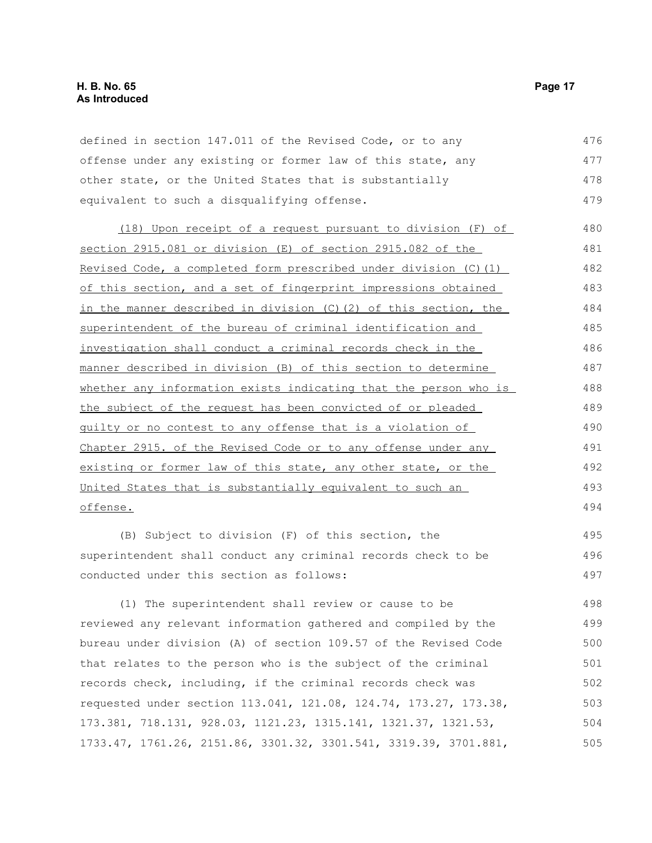| defined in section 147.011 of the Revised Code, or to any        | 476 |
|------------------------------------------------------------------|-----|
| offense under any existing or former law of this state, any      | 477 |
| other state, or the United States that is substantially          | 478 |
| equivalent to such a disqualifying offense.                      | 479 |
| (18) Upon receipt of a request pursuant to division (F) of       | 480 |
| section 2915.081 or division (E) of section 2915.082 of the      | 481 |
| Revised Code, a completed form prescribed under division (C) (1) | 482 |
| of this section, and a set of fingerprint impressions obtained   | 483 |
| in the manner described in division (C) (2) of this section, the | 484 |
| superintendent of the bureau of criminal identification and      | 485 |
| investigation shall conduct a criminal records check in the      | 486 |
| manner described in division (B) of this section to determine    | 487 |
| whether any information exists indicating that the person who is | 488 |
| the subject of the request has been convicted of or pleaded      | 489 |
| guilty or no contest to any offense that is a violation of       | 490 |
| Chapter 2915. of the Revised Code or to any offense under any    | 491 |
| existing or former law of this state, any other state, or the    | 492 |
| United States that is substantially equivalent to such an        | 493 |
| offense.                                                         | 494 |
| (B) Subject to division (F) of this section, the                 | 495 |
| superintendent shall conduct any criminal records check to be    | 496 |
| conducted under this section as follows:                         | 497 |
| (1) The superintendent shall review or cause to be               | 498 |
|                                                                  |     |

reviewed any relevant information gathered and compiled by the bureau under division (A) of section 109.57 of the Revised Code that relates to the person who is the subject of the criminal records check, including, if the criminal records check was requested under section 113.041, 121.08, 124.74, 173.27, 173.38, 173.381, 718.131, 928.03, 1121.23, 1315.141, 1321.37, 1321.53, 1733.47, 1761.26, 2151.86, 3301.32, 3301.541, 3319.39, 3701.881, 499 500 501 502 503 504 505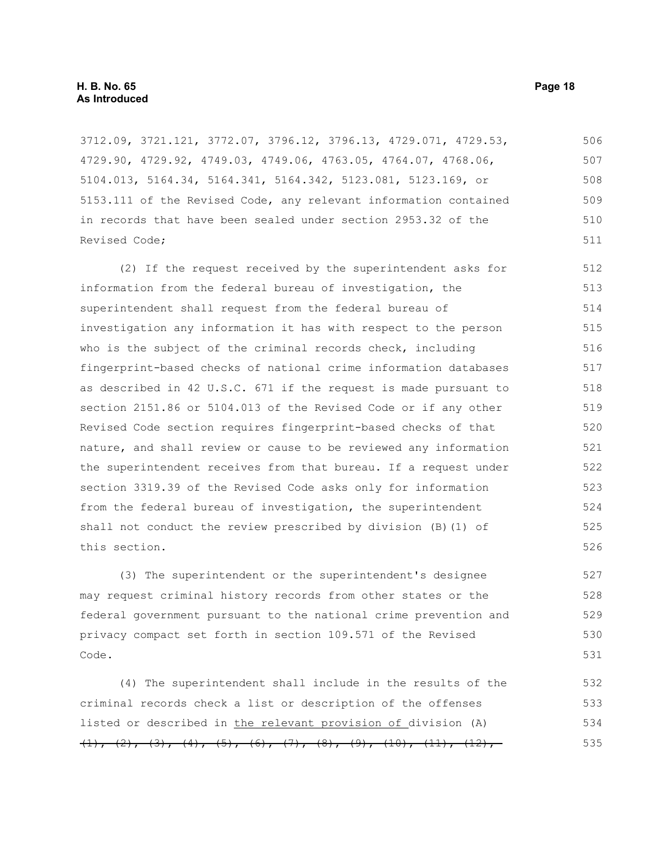3712.09, 3721.121, 3772.07, 3796.12, 3796.13, 4729.071, 4729.53, 4729.90, 4729.92, 4749.03, 4749.06, 4763.05, 4764.07, 4768.06, 5104.013, 5164.34, 5164.341, 5164.342, 5123.081, 5123.169, or 5153.111 of the Revised Code, any relevant information contained in records that have been sealed under section 2953.32 of the Revised Code; 506 507 508 509 510 511

(2) If the request received by the superintendent asks for information from the federal bureau of investigation, the superintendent shall request from the federal bureau of investigation any information it has with respect to the person who is the subject of the criminal records check, including fingerprint-based checks of national crime information databases as described in 42 U.S.C. 671 if the request is made pursuant to section 2151.86 or 5104.013 of the Revised Code or if any other Revised Code section requires fingerprint-based checks of that nature, and shall review or cause to be reviewed any information the superintendent receives from that bureau. If a request under section 3319.39 of the Revised Code asks only for information from the federal bureau of investigation, the superintendent shall not conduct the review prescribed by division (B)(1) of this section. 512 513 514 515 516 517 518 519 520 521 522 523 524 525 526

(3) The superintendent or the superintendent's designee may request criminal history records from other states or the federal government pursuant to the national crime prevention and privacy compact set forth in section 109.571 of the Revised Code.

(4) The superintendent shall include in the results of the criminal records check a list or description of the offenses listed or described in the relevant provision of division (A)  $(1), (2), (3), (4), (5), (6), (7), (8), (9), (10), (11), (12),$ 532 533 534 535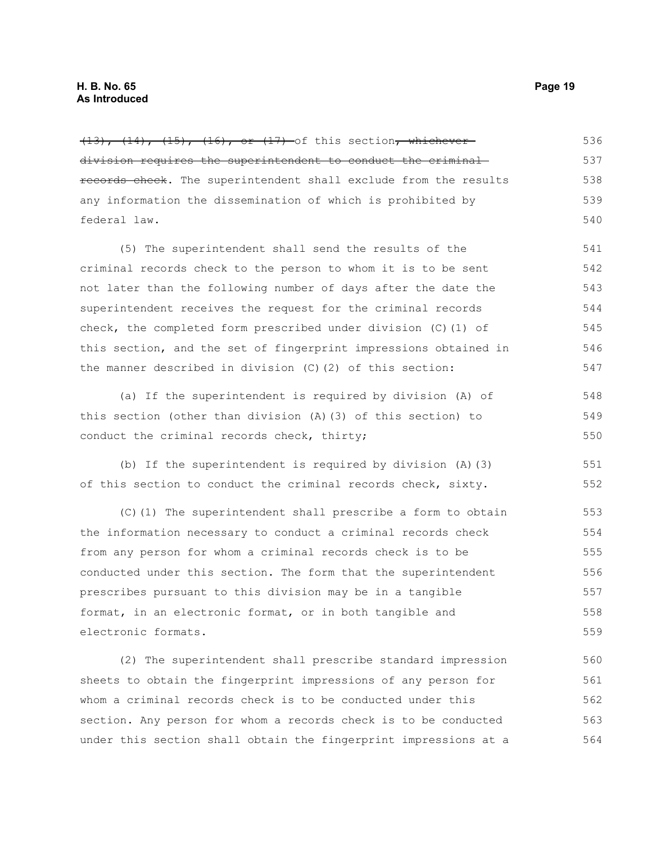$(13)$ ,  $(14)$ ,  $(15)$ ,  $(16)$ , or  $(17)$  of this section, whicheverdivision requires the superintendent to conduct the criminal records check. The superintendent shall exclude from the results any information the dissemination of which is prohibited by federal law. (5) The superintendent shall send the results of the criminal records check to the person to whom it is to be sent not later than the following number of days after the date the superintendent receives the request for the criminal records check, the completed form prescribed under division (C)(1) of this section, and the set of fingerprint impressions obtained in the manner described in division (C)(2) of this section: (a) If the superintendent is required by division (A) of this section (other than division (A)(3) of this section) to conduct the criminal records check, thirty; (b) If the superintendent is required by division (A)(3) of this section to conduct the criminal records check, sixty. (C)(1) The superintendent shall prescribe a form to obtain the information necessary to conduct a criminal records check from any person for whom a criminal records check is to be conducted under this section. The form that the superintendent prescribes pursuant to this division may be in a tangible format, in an electronic format, or in both tangible and electronic formats. (2) The superintendent shall prescribe standard impression sheets to obtain the fingerprint impressions of any person for whom a criminal records check is to be conducted under this section. Any person for whom a records check is to be conducted 536 537 538 539 540 541 542 543 544 545 546 547 548 549 550 551 552 553 554 555 556 557 558 559 560 561 562 563

under this section shall obtain the fingerprint impressions at a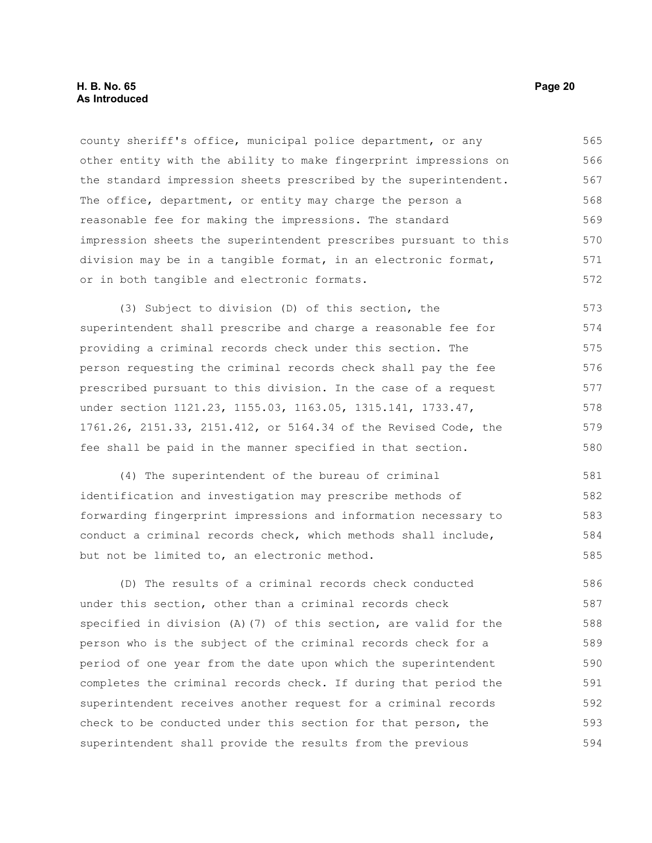county sheriff's office, municipal police department, or any other entity with the ability to make fingerprint impressions on the standard impression sheets prescribed by the superintendent. The office, department, or entity may charge the person a reasonable fee for making the impressions. The standard impression sheets the superintendent prescribes pursuant to this division may be in a tangible format, in an electronic format, or in both tangible and electronic formats. 565 566 567 568 569 570 571 572

(3) Subject to division (D) of this section, the superintendent shall prescribe and charge a reasonable fee for providing a criminal records check under this section. The person requesting the criminal records check shall pay the fee prescribed pursuant to this division. In the case of a request under section 1121.23, 1155.03, 1163.05, 1315.141, 1733.47, 1761.26, 2151.33, 2151.412, or 5164.34 of the Revised Code, the fee shall be paid in the manner specified in that section. 573 574 575 576 577 578 579 580

(4) The superintendent of the bureau of criminal identification and investigation may prescribe methods of forwarding fingerprint impressions and information necessary to conduct a criminal records check, which methods shall include, but not be limited to, an electronic method. 581 582 583 584 585

(D) The results of a criminal records check conducted under this section, other than a criminal records check specified in division (A)(7) of this section, are valid for the person who is the subject of the criminal records check for a period of one year from the date upon which the superintendent completes the criminal records check. If during that period the superintendent receives another request for a criminal records check to be conducted under this section for that person, the superintendent shall provide the results from the previous 586 587 588 589 590 591 592 593 594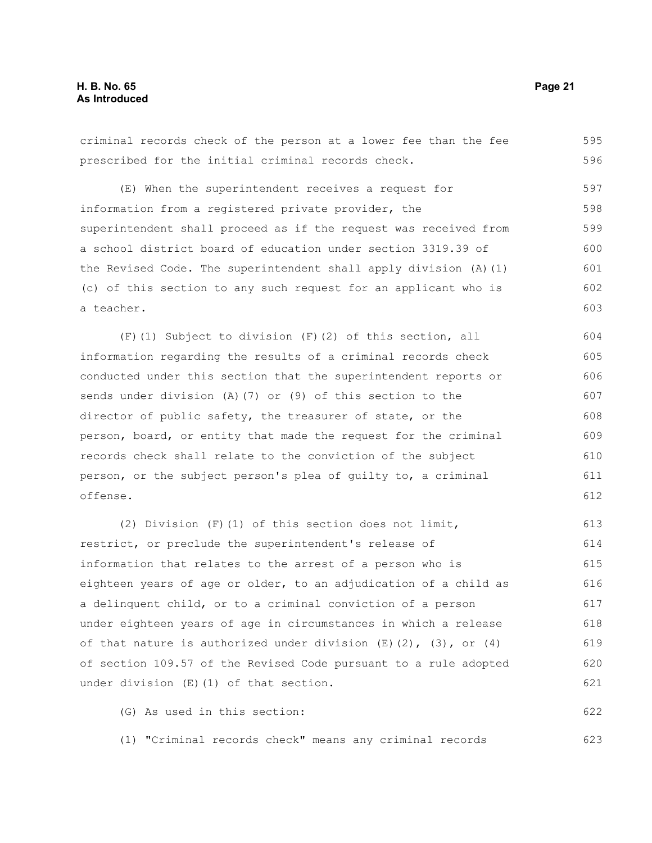criminal records check of the person at a lower fee than the fee prescribed for the initial criminal records check. 595 596

(E) When the superintendent receives a request for information from a registered private provider, the superintendent shall proceed as if the request was received from a school district board of education under section 3319.39 of the Revised Code. The superintendent shall apply division (A)(1) (c) of this section to any such request for an applicant who is a teacher. 597 598 599 600 601 602 603

(F)(1) Subject to division (F)(2) of this section, all information regarding the results of a criminal records check conducted under this section that the superintendent reports or sends under division (A)(7) or (9) of this section to the director of public safety, the treasurer of state, or the person, board, or entity that made the request for the criminal records check shall relate to the conviction of the subject person, or the subject person's plea of guilty to, a criminal offense. 604 605 606 607 608 609 610 611 612

(2) Division (F)(1) of this section does not limit, restrict, or preclude the superintendent's release of information that relates to the arrest of a person who is eighteen years of age or older, to an adjudication of a child as a delinquent child, or to a criminal conviction of a person under eighteen years of age in circumstances in which a release of that nature is authorized under division  $(E)(2)$ ,  $(3)$ , or  $(4)$ of section 109.57 of the Revised Code pursuant to a rule adopted under division (E)(1) of that section. 613 614 615 616 617 618 619 620 621

(G) As used in this section: 622

(1) "Criminal records check" means any criminal records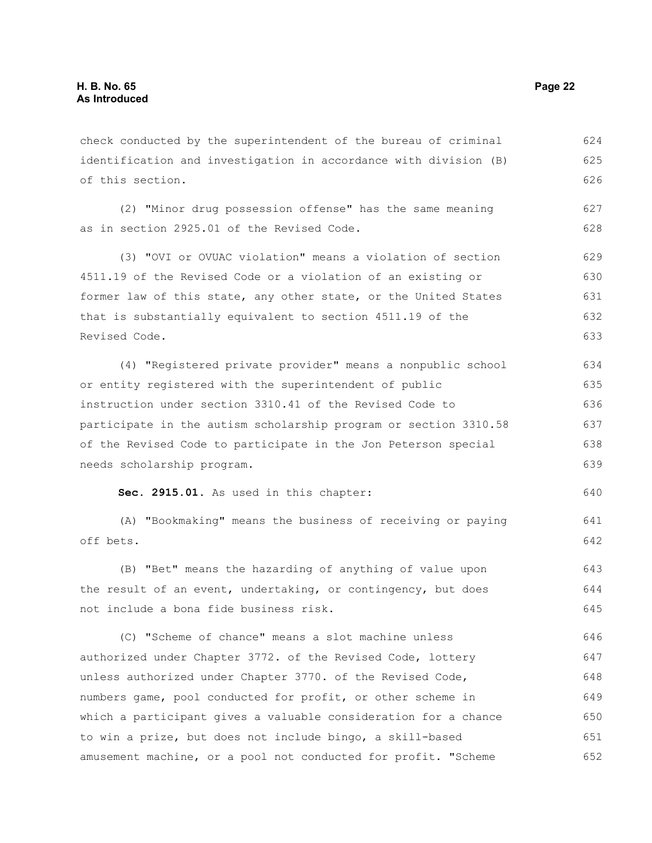check conducted by the superintendent of the bureau of criminal identification and investigation in accordance with division (B) of this section. 624 625 626

(2) "Minor drug possession offense" has the same meaning as in section 2925.01 of the Revised Code. 627 628

(3) "OVI or OVUAC violation" means a violation of section 4511.19 of the Revised Code or a violation of an existing or former law of this state, any other state, or the United States that is substantially equivalent to section 4511.19 of the Revised Code. 629 630 631 632 633

(4) "Registered private provider" means a nonpublic school or entity registered with the superintendent of public instruction under section 3310.41 of the Revised Code to participate in the autism scholarship program or section 3310.58 of the Revised Code to participate in the Jon Peterson special needs scholarship program. 634 635 636 637 638 639

**Sec. 2915.01.** As used in this chapter:

(A) "Bookmaking" means the business of receiving or paying off bets. 641 642

(B) "Bet" means the hazarding of anything of value upon the result of an event, undertaking, or contingency, but does not include a bona fide business risk. 643 644 645

(C) "Scheme of chance" means a slot machine unless authorized under Chapter 3772. of the Revised Code, lottery unless authorized under Chapter 3770. of the Revised Code, numbers game, pool conducted for profit, or other scheme in which a participant gives a valuable consideration for a chance to win a prize, but does not include bingo, a skill-based amusement machine, or a pool not conducted for profit. "Scheme 646 647 648 649 650 651 652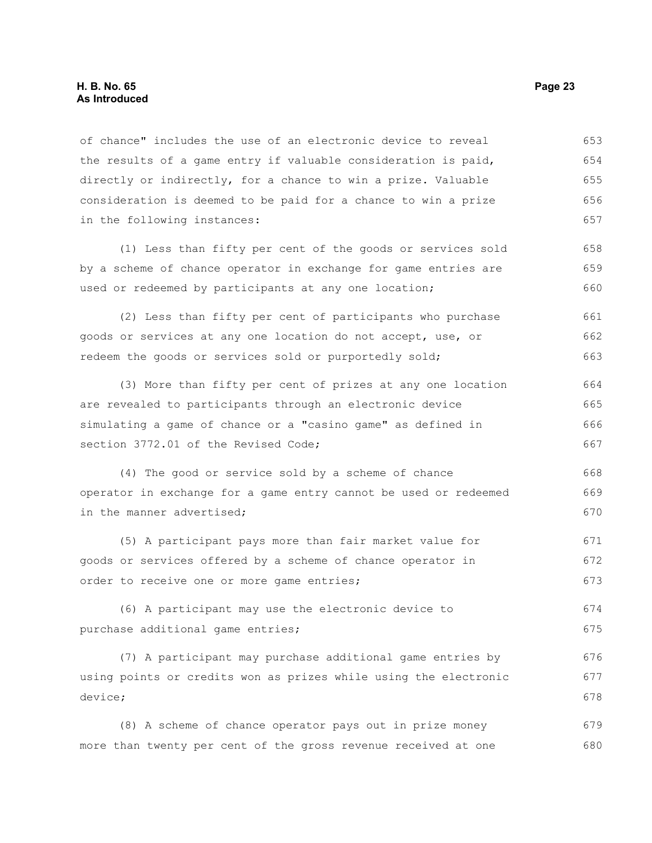of chance" includes the use of an electronic device to reveal the results of a game entry if valuable consideration is paid, directly or indirectly, for a chance to win a prize. Valuable consideration is deemed to be paid for a chance to win a prize in the following instances: 653 654 655 656 657

(1) Less than fifty per cent of the goods or services sold by a scheme of chance operator in exchange for game entries are used or redeemed by participants at any one location; 658 659 660

(2) Less than fifty per cent of participants who purchase goods or services at any one location do not accept, use, or redeem the goods or services sold or purportedly sold; 661 662 663

(3) More than fifty per cent of prizes at any one location are revealed to participants through an electronic device simulating a game of chance or a "casino game" as defined in section 3772.01 of the Revised Code; 664 665 666 667

(4) The good or service sold by a scheme of chance operator in exchange for a game entry cannot be used or redeemed in the manner advertised; 668 669 670

(5) A participant pays more than fair market value for goods or services offered by a scheme of chance operator in order to receive one or more game entries; 671 672 673

(6) A participant may use the electronic device to purchase additional game entries; 674 675

(7) A participant may purchase additional game entries by using points or credits won as prizes while using the electronic device; 676 677 678

(8) A scheme of chance operator pays out in prize money more than twenty per cent of the gross revenue received at one 679 680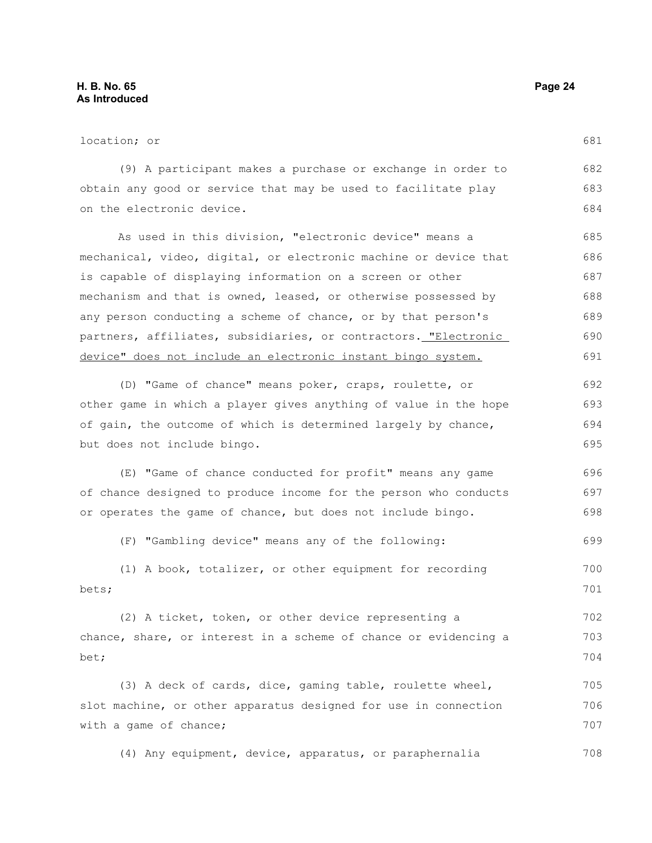| location; or                                                     | 681 |
|------------------------------------------------------------------|-----|
| (9) A participant makes a purchase or exchange in order to       | 682 |
| obtain any good or service that may be used to facilitate play   | 683 |
| on the electronic device.                                        | 684 |
| As used in this division, "electronic device" means a            | 685 |
| mechanical, video, digital, or electronic machine or device that | 686 |
| is capable of displaying information on a screen or other        | 687 |
| mechanism and that is owned, leased, or otherwise possessed by   | 688 |
| any person conducting a scheme of chance, or by that person's    | 689 |
| partners, affiliates, subsidiaries, or contractors. "Electronic  | 690 |
| device" does not include an electronic instant bingo system.     | 691 |
| (D) "Game of chance" means poker, craps, roulette, or            | 692 |
| other game in which a player gives anything of value in the hope | 693 |
| of gain, the outcome of which is determined largely by chance,   | 694 |
| but does not include bingo.                                      | 695 |
| (E) "Game of chance conducted for profit" means any game         | 696 |

of chance designed to produce income for the person who conducts or operates the game of chance, but does not include bingo. 697 698

(F) "Gambling device" means any of the following: 699

|       |  | (1) A book, totalizer, or other equipment for recording |  |  | 700 |
|-------|--|---------------------------------------------------------|--|--|-----|
| bets; |  |                                                         |  |  | 701 |

(2) A ticket, token, or other device representing a chance, share, or interest in a scheme of chance or evidencing a bet; 702 703 704

(3) A deck of cards, dice, gaming table, roulette wheel, slot machine, or other apparatus designed for use in connection with a game of chance; 705 706 707

(4) Any equipment, device, apparatus, or paraphernalia 708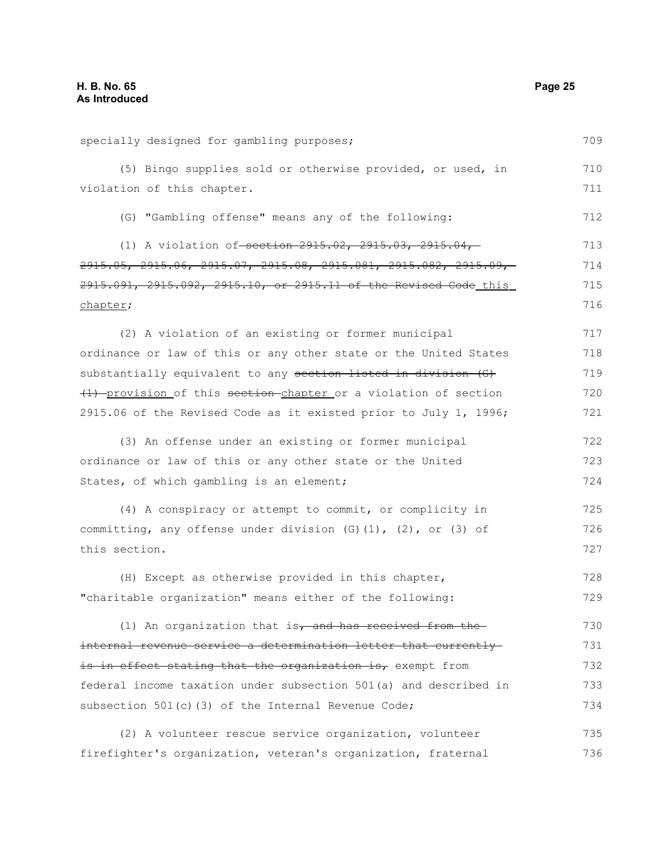specially designed for gambling purposes; (5) Bingo supplies sold or otherwise provided, or used, in violation of this chapter. (G) "Gambling offense" means any of the following: (1) A violation of-section 2915.02, 2915.03, 2915.04, 2915.05, 2915.06, 2915.07, 2915.08, 2915.081, 2915.082, 2915.09, 2915.091, 2915.092, 2915.10, or 2915.11 of the Revised Code this chapter; (2) A violation of an existing or former municipal ordinance or law of this or any other state or the United States substantially equivalent to any section listed in division (G) (1) provision of this section chapter or a violation of section 2915.06 of the Revised Code as it existed prior to July 1, 1996; (3) An offense under an existing or former municipal ordinance or law of this or any other state or the United States, of which gambling is an element; (4) A conspiracy or attempt to commit, or complicity in committing, any offense under division  $(G)$  (1), (2), or (3) of this section. (H) Except as otherwise provided in this chapter, "charitable organization" means either of the following: (1) An organization that is, and has received from the internal revenue service a determination letter that currently is in effect stating that the organization is, exempt from federal income taxation under subsection 501(a) and described in subsection 501(c)(3) of the Internal Revenue Code; (2) A volunteer rescue service organization, volunteer 709 710 711 712 713 714 715 716 717 718 719 720 721 722 723 724 725 726 727 728 729 730 731 732 733 734 735

firefighter's organization, veteran's organization, fraternal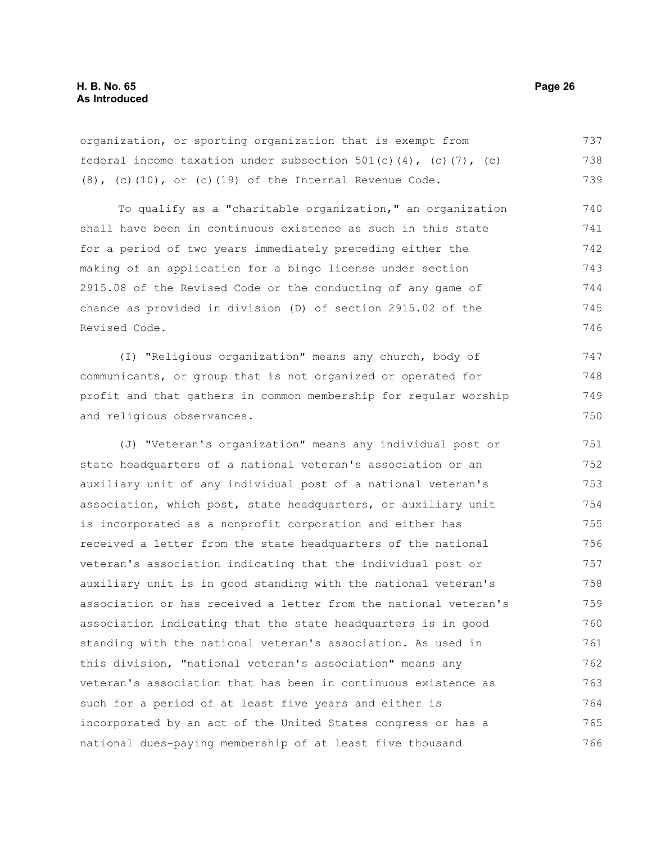organization, or sporting organization that is exempt from federal income taxation under subsection  $501(c)(4)$ , (c)(7), (c)  $(8)$ ,  $(c)$  $(10)$ , or  $(c)$  $(19)$  of the Internal Revenue Code. 737 738 739

To qualify as a "charitable organization," an organization shall have been in continuous existence as such in this state for a period of two years immediately preceding either the making of an application for a bingo license under section 2915.08 of the Revised Code or the conducting of any game of chance as provided in division (D) of section 2915.02 of the Revised Code. 740 741 742 743 744 745 746

(I) "Religious organization" means any church, body of communicants, or group that is not organized or operated for profit and that gathers in common membership for regular worship and religious observances. 747 748 749 750

(J) "Veteran's organization" means any individual post or state headquarters of a national veteran's association or an auxiliary unit of any individual post of a national veteran's association, which post, state headquarters, or auxiliary unit is incorporated as a nonprofit corporation and either has received a letter from the state headquarters of the national veteran's association indicating that the individual post or auxiliary unit is in good standing with the national veteran's association or has received a letter from the national veteran's association indicating that the state headquarters is in good standing with the national veteran's association. As used in this division, "national veteran's association" means any veteran's association that has been in continuous existence as such for a period of at least five years and either is incorporated by an act of the United States congress or has a national dues-paying membership of at least five thousand 751 752 753 754 755 756 757 758 759 760 761 762 763 764 765 766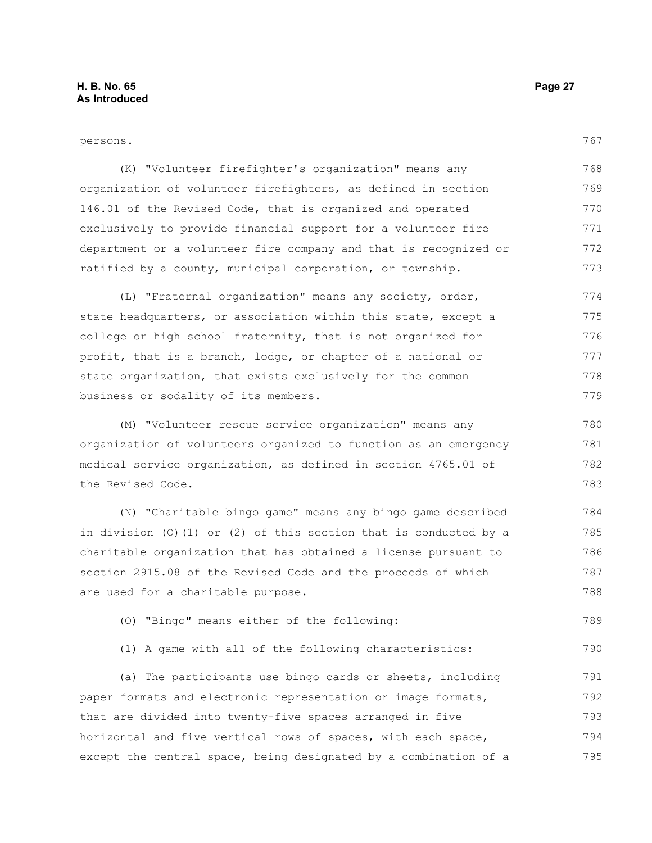### persons.

790

(K) "Volunteer firefighter's organization" means any organization of volunteer firefighters, as defined in section 146.01 of the Revised Code, that is organized and operated exclusively to provide financial support for a volunteer fire department or a volunteer fire company and that is recognized or ratified by a county, municipal corporation, or township. 768 769 770 771 772 773

(L) "Fraternal organization" means any society, order, state headquarters, or association within this state, except a college or high school fraternity, that is not organized for profit, that is a branch, lodge, or chapter of a national or state organization, that exists exclusively for the common business or sodality of its members. 774 775 776 777 778 779

(M) "Volunteer rescue service organization" means any organization of volunteers organized to function as an emergency medical service organization, as defined in section 4765.01 of the Revised Code.

(N) "Charitable bingo game" means any bingo game described in division (O)(1) or (2) of this section that is conducted by a charitable organization that has obtained a license pursuant to section 2915.08 of the Revised Code and the proceeds of which are used for a charitable purpose. 784 785 786 787 788

(O) "Bingo" means either of the following: 789

(1) A game with all of the following characteristics:

(a) The participants use bingo cards or sheets, including paper formats and electronic representation or image formats, that are divided into twenty-five spaces arranged in five horizontal and five vertical rows of spaces, with each space, except the central space, being designated by a combination of a 791 792 793 794 795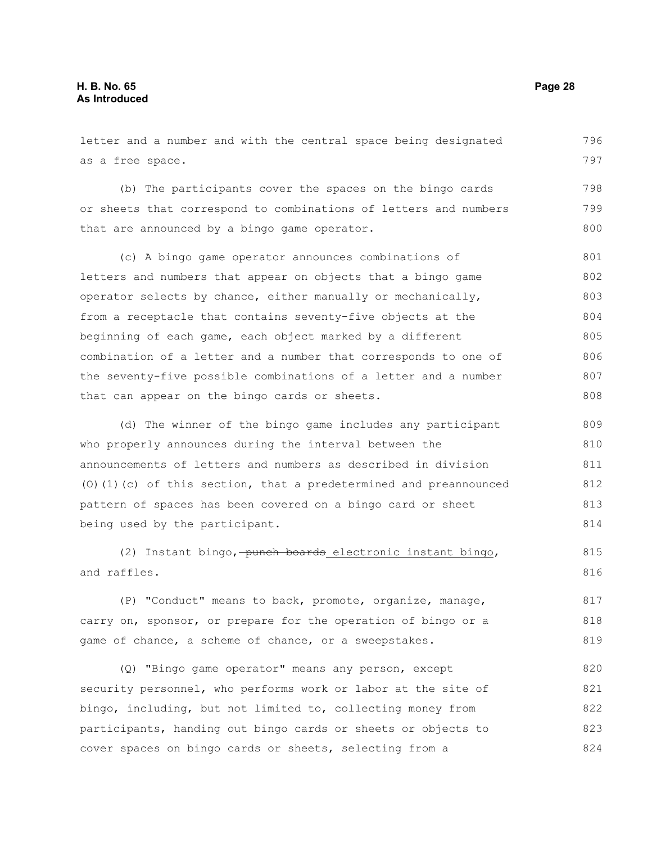letter and a number and with the central space being designated as a free space. (b) The participants cover the spaces on the bingo cards or sheets that correspond to combinations of letters and numbers that are announced by a bingo game operator. (c) A bingo game operator announces combinations of letters and numbers that appear on objects that a bingo game operator selects by chance, either manually or mechanically, from a receptacle that contains seventy-five objects at the beginning of each game, each object marked by a different combination of a letter and a number that corresponds to one of the seventy-five possible combinations of a letter and a number that can appear on the bingo cards or sheets. (d) The winner of the bingo game includes any participant who properly announces during the interval between the announcements of letters and numbers as described in division (O)(1)(c) of this section, that a predetermined and preannounced pattern of spaces has been covered on a bingo card or sheet being used by the participant. 796 797 798 799 800 801 802 803 804 805 806 807 808 809 810 811 812 813 814 815

(2) Instant bingo, punch boards electronic instant bingo, and raffles.

(P) "Conduct" means to back, promote, organize, manage, carry on, sponsor, or prepare for the operation of bingo or a game of chance, a scheme of chance, or a sweepstakes. 817 818 819

(Q) "Bingo game operator" means any person, except security personnel, who performs work or labor at the site of bingo, including, but not limited to, collecting money from participants, handing out bingo cards or sheets or objects to cover spaces on bingo cards or sheets, selecting from a 820 821 822 823 824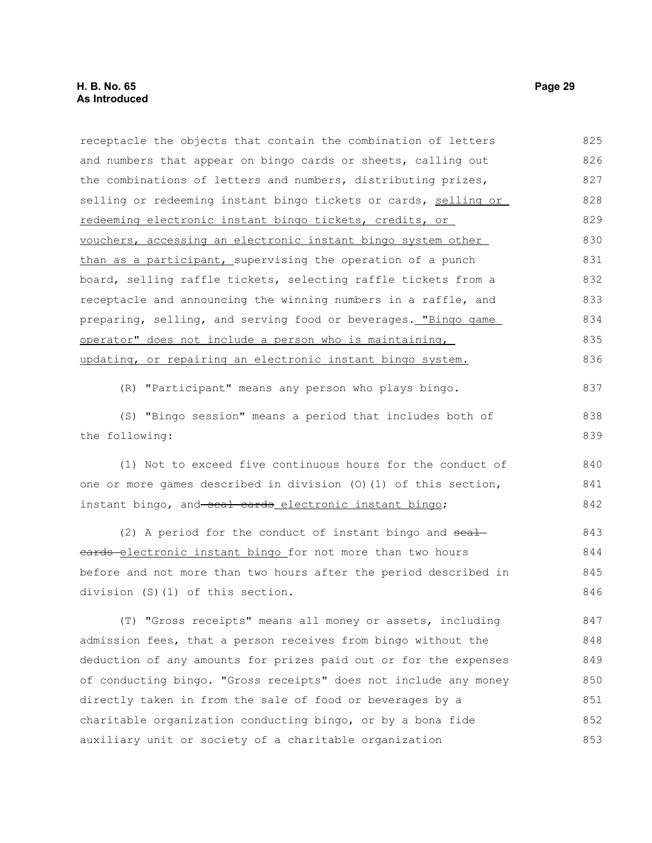receptacle the objects that contain the combination of letters and numbers that appear on bingo cards or sheets, calling out the combinations of letters and numbers, distributing prizes, selling or redeeming instant bingo tickets or cards, selling or redeeming electronic instant bingo tickets, credits, or vouchers, accessing an electronic instant bingo system other than as a participant, supervising the operation of a punch board, selling raffle tickets, selecting raffle tickets from a receptacle and announcing the winning numbers in a raffle, and preparing, selling, and serving food or beverages. "Bingo game operator" does not include a person who is maintaining, updating, or repairing an electronic instant bingo system. (R) "Participant" means any person who plays bingo. (S) "Bingo session" means a period that includes both of the following: (1) Not to exceed five continuous hours for the conduct of one or more games described in division (O)(1) of this section, 825 826 827 828 829 830 831 832 833 834 835 836 837 838 839 840 841

instant bingo, and seal cards electronic instant bingo;

(2) A period for the conduct of instant bingo and  $\frac{1}{2}$ eards-electronic instant bingo for not more than two hours before and not more than two hours after the period described in division (S)(1) of this section. 843 844 845 846

(T) "Gross receipts" means all money or assets, including admission fees, that a person receives from bingo without the deduction of any amounts for prizes paid out or for the expenses of conducting bingo. "Gross receipts" does not include any money directly taken in from the sale of food or beverages by a charitable organization conducting bingo, or by a bona fide auxiliary unit or society of a charitable organization 847 848 849 850 851 852 853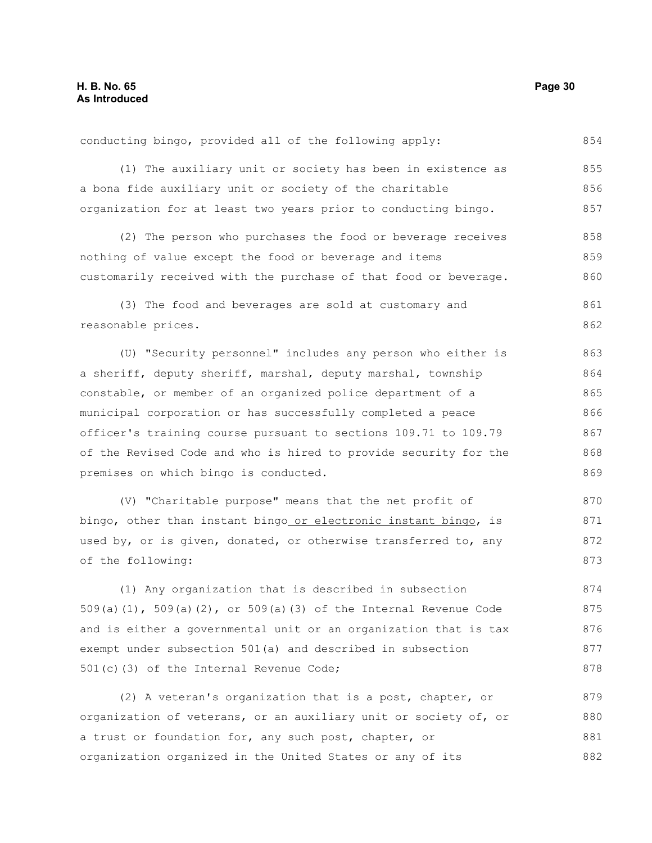conducting bingo, provided all of the following apply: 854

(1) The auxiliary unit or society has been in existence as a bona fide auxiliary unit or society of the charitable organization for at least two years prior to conducting bingo. 855 856 857

(2) The person who purchases the food or beverage receives nothing of value except the food or beverage and items customarily received with the purchase of that food or beverage. 858 859 860

(3) The food and beverages are sold at customary and reasonable prices. 861 862

(U) "Security personnel" includes any person who either is a sheriff, deputy sheriff, marshal, deputy marshal, township constable, or member of an organized police department of a municipal corporation or has successfully completed a peace officer's training course pursuant to sections 109.71 to 109.79 of the Revised Code and who is hired to provide security for the premises on which bingo is conducted. 863 864 865 866 867 868 869

(V) "Charitable purpose" means that the net profit of bingo, other than instant bingo or electronic instant bingo, is used by, or is given, donated, or otherwise transferred to, any of the following: 870 871 872 873

(1) Any organization that is described in subsection 509(a)(1), 509(a)(2), or 509(a)(3) of the Internal Revenue Code and is either a governmental unit or an organization that is tax exempt under subsection 501(a) and described in subsection 501(c)(3) of the Internal Revenue Code; 874 875 876 877 878

(2) A veteran's organization that is a post, chapter, or organization of veterans, or an auxiliary unit or society of, or a trust or foundation for, any such post, chapter, or organization organized in the United States or any of its 879 880 881 882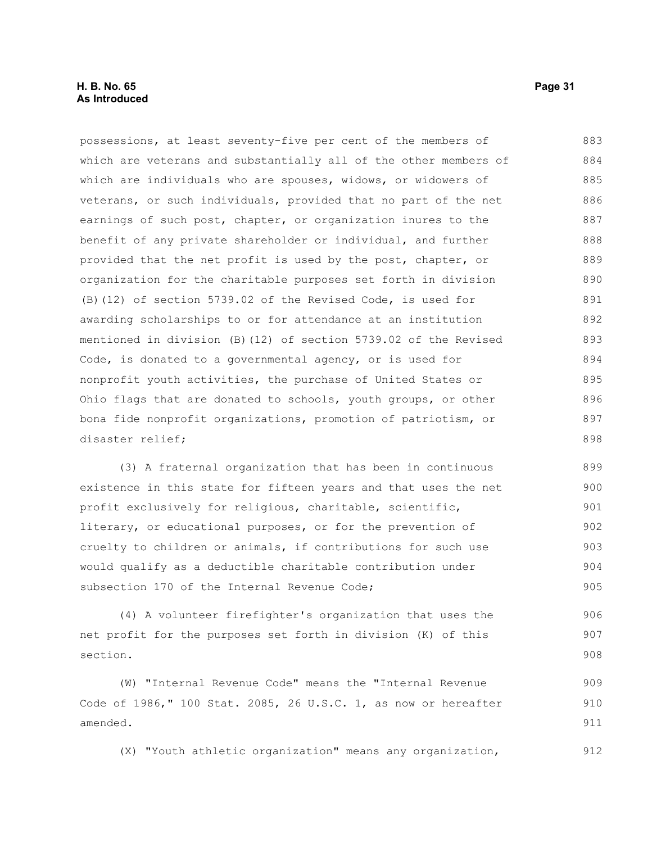possessions, at least seventy-five per cent of the members of which are veterans and substantially all of the other members of which are individuals who are spouses, widows, or widowers of veterans, or such individuals, provided that no part of the net earnings of such post, chapter, or organization inures to the benefit of any private shareholder or individual, and further provided that the net profit is used by the post, chapter, or organization for the charitable purposes set forth in division (B)(12) of section 5739.02 of the Revised Code, is used for awarding scholarships to or for attendance at an institution mentioned in division (B)(12) of section 5739.02 of the Revised Code, is donated to a governmental agency, or is used for nonprofit youth activities, the purchase of United States or Ohio flags that are donated to schools, youth groups, or other bona fide nonprofit organizations, promotion of patriotism, or disaster relief; 883 884 885 886 887 888 889 890 891 892 893 894 895 896 897 898

(3) A fraternal organization that has been in continuous existence in this state for fifteen years and that uses the net profit exclusively for religious, charitable, scientific, literary, or educational purposes, or for the prevention of cruelty to children or animals, if contributions for such use would qualify as a deductible charitable contribution under subsection 170 of the Internal Revenue Code; 899 900 901 902 903 904 905

(4) A volunteer firefighter's organization that uses the net profit for the purposes set forth in division (K) of this section. 906 907 908

(W) "Internal Revenue Code" means the "Internal Revenue Code of 1986," 100 Stat. 2085, 26 U.S.C. 1, as now or hereafter amended. 909 910 911

(X) "Youth athletic organization" means any organization, 912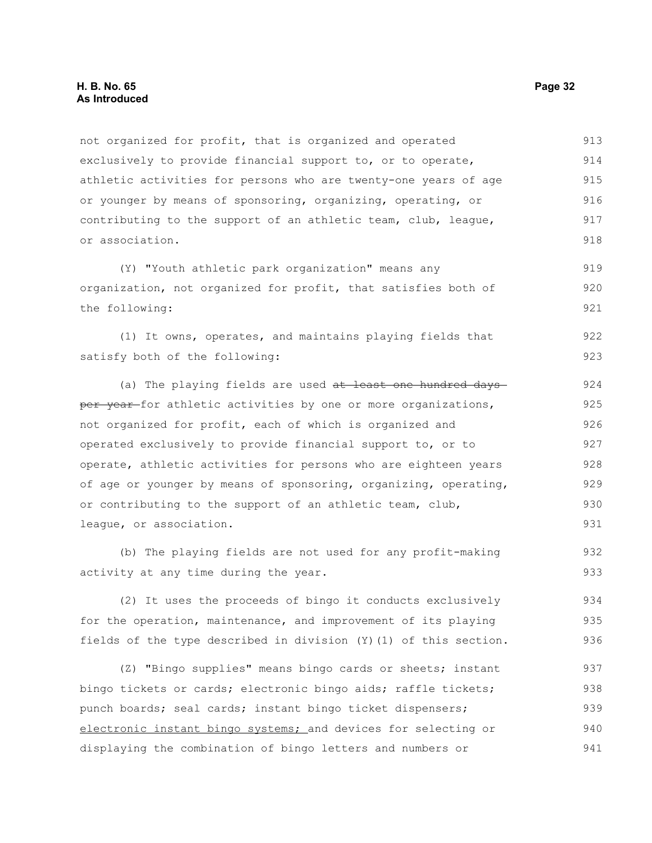not organized for profit, that is organized and operated exclusively to provide financial support to, or to operate, athletic activities for persons who are twenty-one years of age or younger by means of sponsoring, organizing, operating, or contributing to the support of an athletic team, club, league, or association. 913 914 915 916 917 918

(Y) "Youth athletic park organization" means any organization, not organized for profit, that satisfies both of the following: 919 920 921

(1) It owns, operates, and maintains playing fields that satisfy both of the following: 922 923

(a) The playing fields are used at least one hundred days per year for athletic activities by one or more organizations, not organized for profit, each of which is organized and operated exclusively to provide financial support to, or to operate, athletic activities for persons who are eighteen years of age or younger by means of sponsoring, organizing, operating, or contributing to the support of an athletic team, club, league, or association.

(b) The playing fields are not used for any profit-making activity at any time during the year.

(2) It uses the proceeds of bingo it conducts exclusively for the operation, maintenance, and improvement of its playing fields of the type described in division (Y)(1) of this section. 934 935 936

(Z) "Bingo supplies" means bingo cards or sheets; instant bingo tickets or cards; electronic bingo aids; raffle tickets; punch boards; seal cards; instant bingo ticket dispensers; electronic instant bingo systems; and devices for selecting or displaying the combination of bingo letters and numbers or 937 938 939 940 941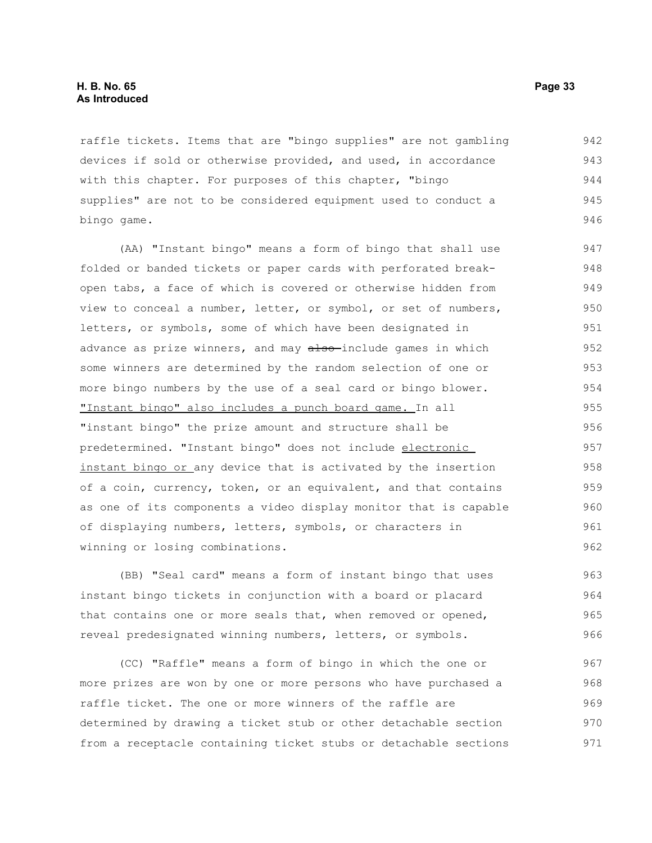raffle tickets. Items that are "bingo supplies" are not gambling devices if sold or otherwise provided, and used, in accordance with this chapter. For purposes of this chapter, "bingo supplies" are not to be considered equipment used to conduct a bingo game. 942 943 944 945 946

(AA) "Instant bingo" means a form of bingo that shall use folded or banded tickets or paper cards with perforated breakopen tabs, a face of which is covered or otherwise hidden from view to conceal a number, letter, or symbol, or set of numbers, letters, or symbols, some of which have been designated in advance as prize winners, and may also-include games in which some winners are determined by the random selection of one or more bingo numbers by the use of a seal card or bingo blower. "Instant bingo" also includes a punch board game. In all "instant bingo" the prize amount and structure shall be predetermined. "Instant bingo" does not include electronic instant bingo or any device that is activated by the insertion of a coin, currency, token, or an equivalent, and that contains as one of its components a video display monitor that is capable of displaying numbers, letters, symbols, or characters in winning or losing combinations. 947 948 949 950 951 952 953 954 955 956 957 958 959 960 961 962

(BB) "Seal card" means a form of instant bingo that uses instant bingo tickets in conjunction with a board or placard that contains one or more seals that, when removed or opened, reveal predesignated winning numbers, letters, or symbols.

(CC) "Raffle" means a form of bingo in which the one or more prizes are won by one or more persons who have purchased a raffle ticket. The one or more winners of the raffle are determined by drawing a ticket stub or other detachable section from a receptacle containing ticket stubs or detachable sections 967 968 969 970 971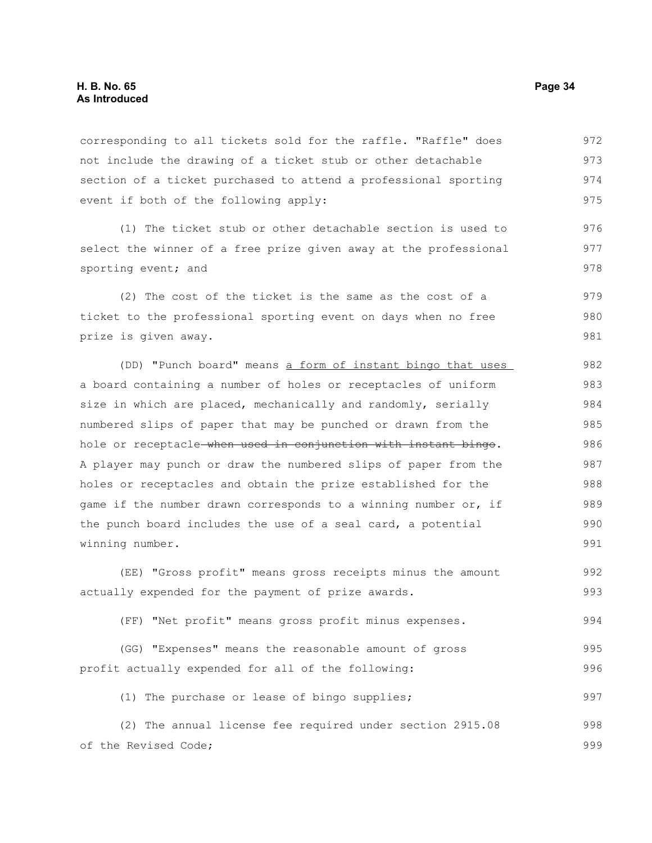corresponding to all tickets sold for the raffle. "Raffle" does not include the drawing of a ticket stub or other detachable section of a ticket purchased to attend a professional sporting event if both of the following apply: 972 973 974 975

(1) The ticket stub or other detachable section is used to select the winner of a free prize given away at the professional sporting event; and

(2) The cost of the ticket is the same as the cost of a ticket to the professional sporting event on days when no free prize is given away. 979 980 981

(DD) "Punch board" means a form of instant bingo that uses a board containing a number of holes or receptacles of uniform size in which are placed, mechanically and randomly, serially numbered slips of paper that may be punched or drawn from the hole or receptacle when used in conjunction with instant bingo. A player may punch or draw the numbered slips of paper from the holes or receptacles and obtain the prize established for the game if the number drawn corresponds to a winning number or, if the punch board includes the use of a seal card, a potential winning number. 982 983 984 985 986 987 988 989 990 991

(EE) "Gross profit" means gross receipts minus the amount actually expended for the payment of prize awards. 992 993

(FF) "Net profit" means gross profit minus expenses. 994

(GG) "Expenses" means the reasonable amount of gross profit actually expended for all of the following: 995 996

(1) The purchase or lease of bingo supplies; 997

(2) The annual license fee required under section 2915.08 of the Revised Code; 998 999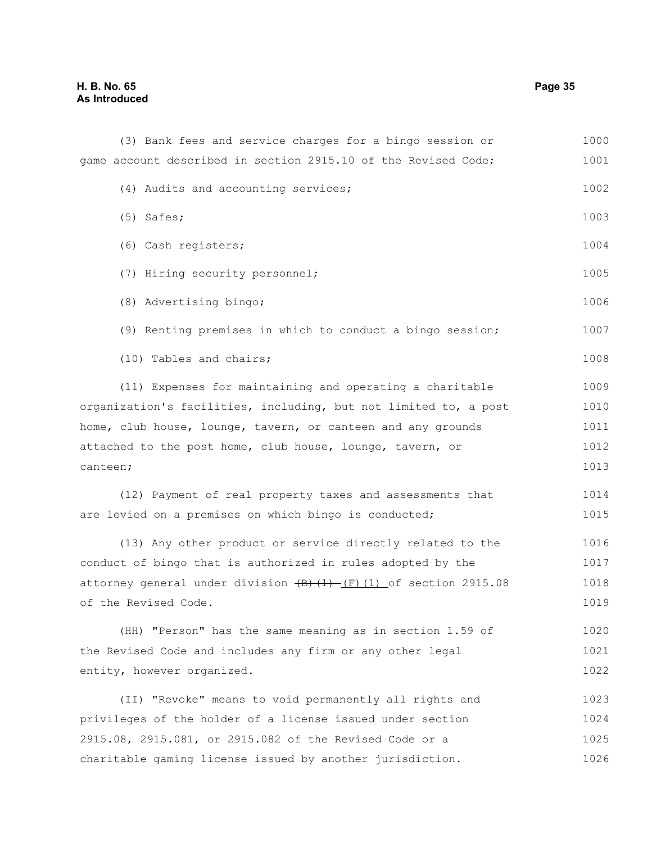| (3) Bank fees and service charges for a bingo session or                          | 1000 |  |  |  |
|-----------------------------------------------------------------------------------|------|--|--|--|
| game account described in section 2915.10 of the Revised Code;                    | 1001 |  |  |  |
| (4) Audits and accounting services;                                               | 1002 |  |  |  |
| $(5)$ Safes;                                                                      | 1003 |  |  |  |
| (6) Cash registers;                                                               | 1004 |  |  |  |
| (7) Hiring security personnel;                                                    | 1005 |  |  |  |
| (8) Advertising bingo;                                                            | 1006 |  |  |  |
| (9) Renting premises in which to conduct a bingo session;                         | 1007 |  |  |  |
| (10) Tables and chairs;                                                           | 1008 |  |  |  |
| (11) Expenses for maintaining and operating a charitable                          | 1009 |  |  |  |
| organization's facilities, including, but not limited to, a post                  | 1010 |  |  |  |
| home, club house, lounge, tavern, or canteen and any grounds                      | 1011 |  |  |  |
| attached to the post home, club house, lounge, tavern, or                         | 1012 |  |  |  |
| canteen;                                                                          | 1013 |  |  |  |
| (12) Payment of real property taxes and assessments that                          | 1014 |  |  |  |
| are levied on a premises on which bingo is conducted;                             | 1015 |  |  |  |
| (13) Any other product or service directly related to the                         | 1016 |  |  |  |
| conduct of bingo that is authorized in rules adopted by the                       | 1017 |  |  |  |
| attorney general under division $\overline{(B) (1) - (F) (1)}$ of section 2915.08 |      |  |  |  |
| of the Revised Code.                                                              | 1019 |  |  |  |
| (HH) "Person" has the same meaning as in section 1.59 of                          | 1020 |  |  |  |
| the Revised Code and includes any firm or any other legal                         | 1021 |  |  |  |
| entity, however organized.                                                        | 1022 |  |  |  |
| (II) "Revoke" means to void permanently all rights and                            | 1023 |  |  |  |
| privileges of the holder of a license issued under section                        | 1024 |  |  |  |
| 2915.08, 2915.081, or 2915.082 of the Revised Code or a                           | 1025 |  |  |  |
| charitable gaming license issued by another jurisdiction.                         | 1026 |  |  |  |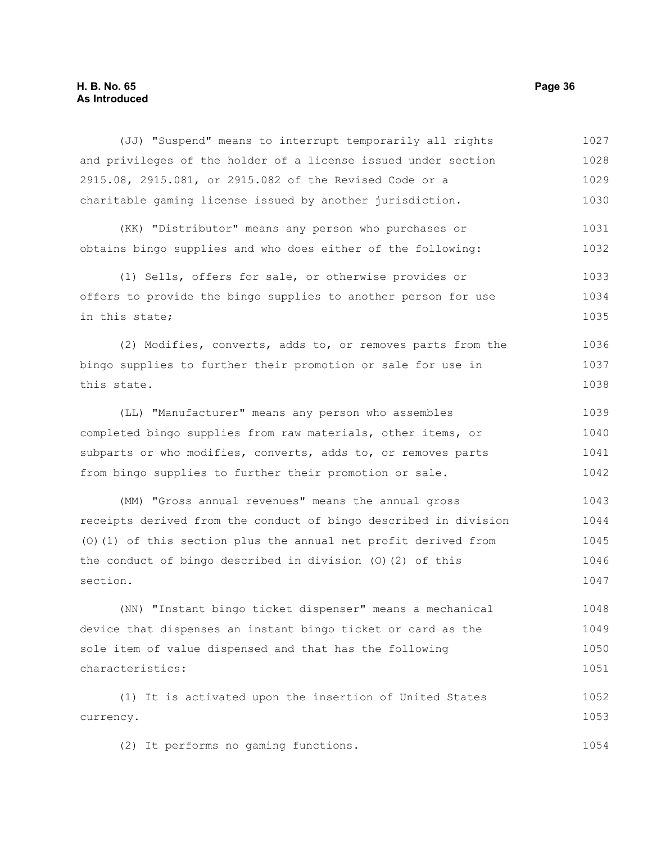#### **H. B. No. 65 Page 36 As Introduced**

(JJ) "Suspend" means to interrupt temporarily all rights and privileges of the holder of a license issued under section 2915.08, 2915.081, or 2915.082 of the Revised Code or a charitable gaming license issued by another jurisdiction. 1027 1028 1029 1030

(KK) "Distributor" means any person who purchases or obtains bingo supplies and who does either of the following: 1031 1032

(1) Sells, offers for sale, or otherwise provides or offers to provide the bingo supplies to another person for use in this state; 1033 1034 1035

(2) Modifies, converts, adds to, or removes parts from the bingo supplies to further their promotion or sale for use in this state. 1036 1037 1038

(LL) "Manufacturer" means any person who assembles completed bingo supplies from raw materials, other items, or subparts or who modifies, converts, adds to, or removes parts from bingo supplies to further their promotion or sale. 1039 1040 1041 1042

(MM) "Gross annual revenues" means the annual gross receipts derived from the conduct of bingo described in division (O)(1) of this section plus the annual net profit derived from the conduct of bingo described in division (O)(2) of this section. 1043 1044 1045 1046 1047

(NN) "Instant bingo ticket dispenser" means a mechanical device that dispenses an instant bingo ticket or card as the sole item of value dispensed and that has the following characteristics: 1048 1049 1050 1051

(1) It is activated upon the insertion of United States currency. 1052 1053

(2) It performs no gaming functions. 1054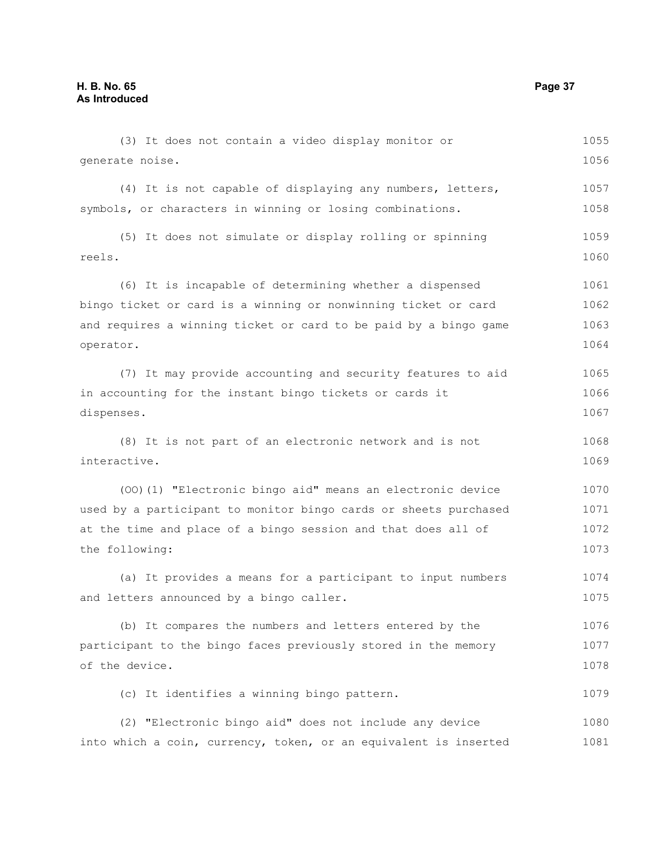(3) It does not contain a video display monitor or generate noise. (4) It is not capable of displaying any numbers, letters, symbols, or characters in winning or losing combinations. (5) It does not simulate or display rolling or spinning reels. (6) It is incapable of determining whether a dispensed bingo ticket or card is a winning or nonwinning ticket or card and requires a winning ticket or card to be paid by a bingo game operator. (7) It may provide accounting and security features to aid in accounting for the instant bingo tickets or cards it dispenses. (8) It is not part of an electronic network and is not interactive. (OO)(1) "Electronic bingo aid" means an electronic device used by a participant to monitor bingo cards or sheets purchased at the time and place of a bingo session and that does all of the following: (a) It provides a means for a participant to input numbers and letters announced by a bingo caller. (b) It compares the numbers and letters entered by the participant to the bingo faces previously stored in the memory of the device. (c) It identifies a winning bingo pattern. (2) "Electronic bingo aid" does not include any device into which a coin, currency, token, or an equivalent is inserted 1055 1056 1057 1058 1059 1060 1061 1062 1063 1064 1065 1066 1067 1068 1069 1070 1071 1072 1073 1074 1075 1076 1077 1078 1079 1080 1081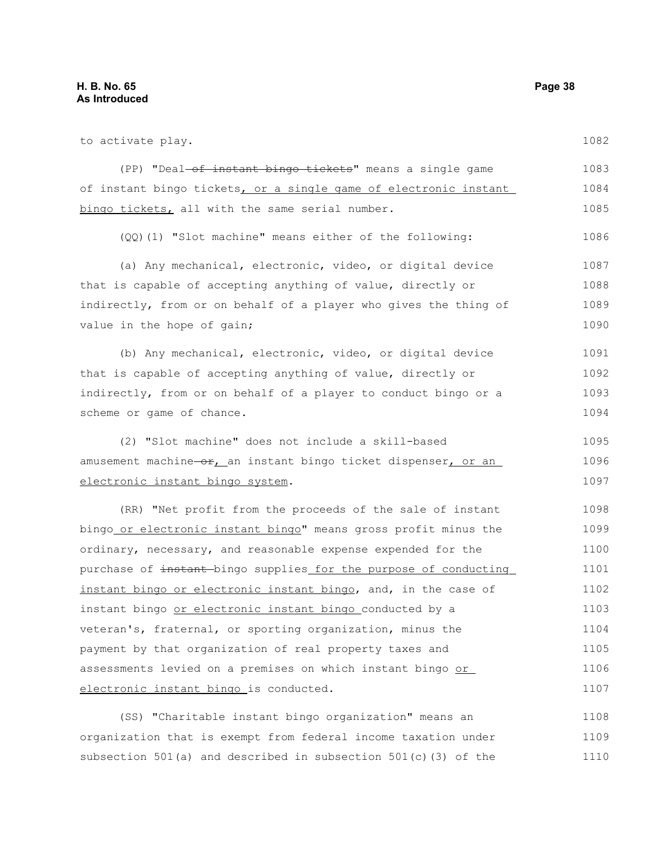| to activate play.                                                     | 1082 |
|-----------------------------------------------------------------------|------|
| (PP) "Deal <del>-of instant bingo tickets</del> " means a single game | 1083 |
| of instant bingo tickets, or a single game of electronic instant      | 1084 |
| bingo tickets, all with the same serial number.                       | 1085 |
| (QQ) (1) "Slot machine" means either of the following:                | 1086 |
| (a) Any mechanical, electronic, video, or digital device              | 1087 |
| that is capable of accepting anything of value, directly or           | 1088 |
| indirectly, from or on behalf of a player who gives the thing of      | 1089 |
| value in the hope of gain;                                            | 1090 |
| (b) Any mechanical, electronic, video, or digital device              | 1091 |
| that is capable of accepting anything of value, directly or           | 1092 |
| indirectly, from or on behalf of a player to conduct bingo or a       | 1093 |
| scheme or game of chance.                                             | 1094 |
| (2) "Slot machine" does not include a skill-based                     | 1095 |
| amusement machine-or, an instant bingo ticket dispenser, or an        | 1096 |
| electronic instant bingo system.                                      | 1097 |
| (RR) "Net profit from the proceeds of the sale of instant             | 1098 |
| bingo_or electronic instant bingo" means gross profit minus the       | 1099 |
| ordinary, necessary, and reasonable expense expended for the          | 1100 |
| purchase of instant-bingo supplies for the purpose of conducting      | 1101 |
| instant bingo or electronic instant bingo, and, in the case of        | 1102 |
| instant bingo or electronic instant bingo conducted by a              | 1103 |
| veteran's, fraternal, or sporting organization, minus the             | 1104 |
| payment by that organization of real property taxes and               | 1105 |
| assessments levied on a premises on which instant bingo or            | 1106 |
| electronic instant bingo is conducted.                                | 1107 |
| (SS) "Charitable instant bingo organization" means an                 | 1108 |

organization that is exempt from federal income taxation under subsection 501(a) and described in subsection 501(c)(3) of the 1109 1110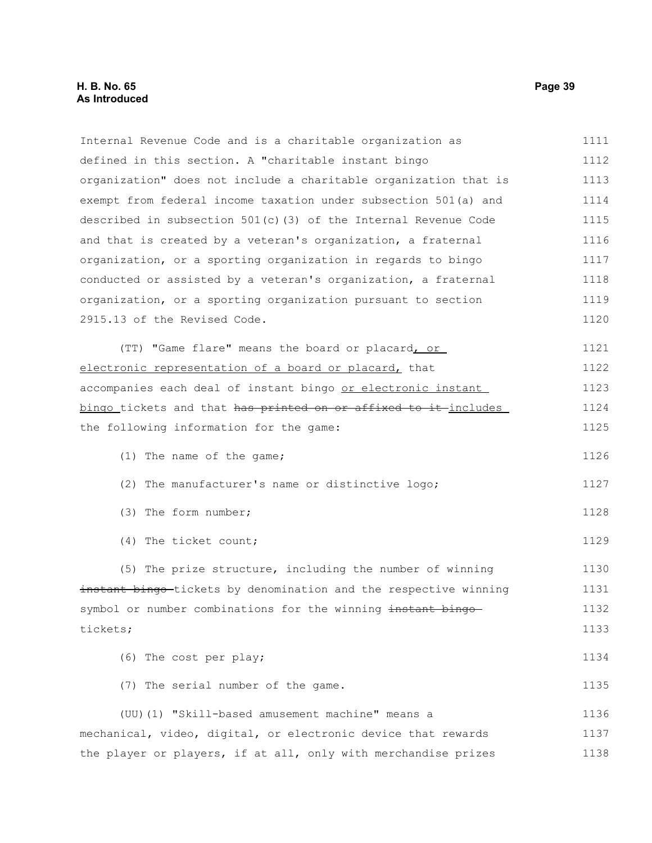# **H. B. No. 65 Page 39 As Introduced**

| Internal Revenue Code and is a charitable organization as         | 1111 |
|-------------------------------------------------------------------|------|
| defined in this section. A "charitable instant bingo              | 1112 |
| organization" does not include a charitable organization that is  | 1113 |
| exempt from federal income taxation under subsection 501(a) and   | 1114 |
| described in subsection $501(c)$ (3) of the Internal Revenue Code | 1115 |
| and that is created by a veteran's organization, a fraternal      | 1116 |
| organization, or a sporting organization in regards to bingo      | 1117 |
| conducted or assisted by a veteran's organization, a fraternal    | 1118 |
| organization, or a sporting organization pursuant to section      | 1119 |
| 2915.13 of the Revised Code.                                      | 1120 |
| (TT) "Game flare" means the board or placard, or                  | 1121 |
| electronic representation of a board or placard, that             | 1122 |
| accompanies each deal of instant bingo or electronic instant      | 1123 |
| bingo tickets and that has printed on or affixed to it includes   | 1124 |
| the following information for the game:                           | 1125 |
| (1) The name of the game;                                         | 1126 |
| (2) The manufacturer's name or distinctive logo;                  | 1127 |
| (3) The form number;                                              | 1128 |
| (4) The ticket count;                                             | 1129 |
| (5) The prize structure, including the number of winning          | 1130 |
| instant bingo-tickets by denomination and the respective winning  | 1131 |
| symbol or number combinations for the winning instant bingo-      | 1132 |
| tickets;                                                          | 1133 |
| (6) The cost per play;                                            | 1134 |
| (7) The serial number of the game.                                | 1135 |
| (UU) (1) "Skill-based amusement machine" means a                  | 1136 |
| mechanical, video, digital, or electronic device that rewards     | 1137 |
| the player or players, if at all, only with merchandise prizes    | 1138 |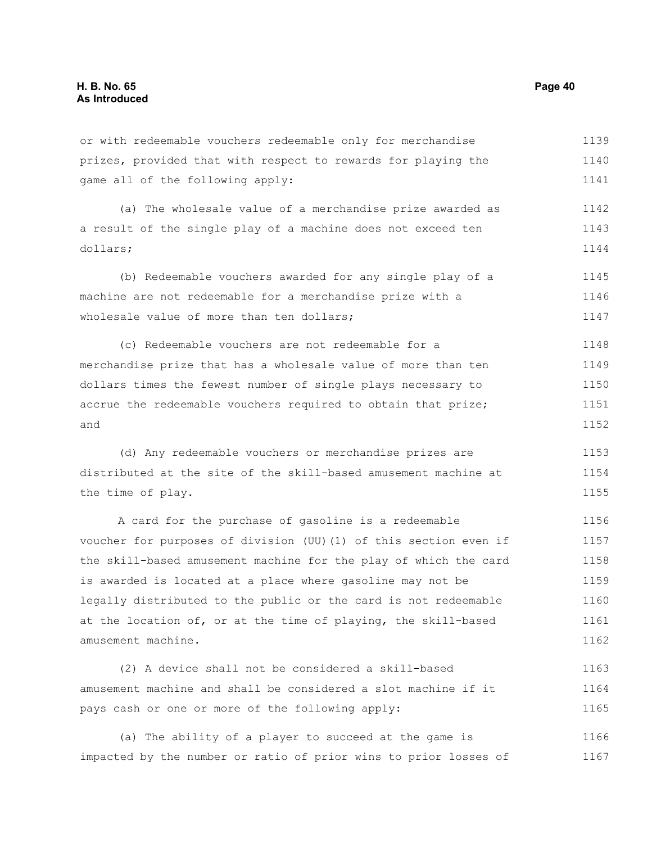or with redeemable vouchers redeemable only for merchandise prizes, provided that with respect to rewards for playing the game all of the following apply: (a) The wholesale value of a merchandise prize awarded as a result of the single play of a machine does not exceed ten dollars; (b) Redeemable vouchers awarded for any single play of a machine are not redeemable for a merchandise prize with a wholesale value of more than ten dollars; (c) Redeemable vouchers are not redeemable for a merchandise prize that has a wholesale value of more than ten dollars times the fewest number of single plays necessary to accrue the redeemable vouchers required to obtain that prize; and (d) Any redeemable vouchers or merchandise prizes are distributed at the site of the skill-based amusement machine at the time of play. A card for the purchase of gasoline is a redeemable voucher for purposes of division (UU)(1) of this section even if the skill-based amusement machine for the play of which the card is awarded is located at a place where gasoline may not be legally distributed to the public or the card is not redeemable at the location of, or at the time of playing, the skill-based amusement machine. (2) A device shall not be considered a skill-based amusement machine and shall be considered a slot machine if it 1139 1140 1141 1142 1143 1144 1145 1146 1147 1148 1149 1150 1151 1152 1153 1154 1155 1156 1157 1158 1159 1160 1161 1162 1163 1164

(a) The ability of a player to succeed at the game is impacted by the number or ratio of prior wins to prior losses of 1166 1167

pays cash or one or more of the following apply:

1165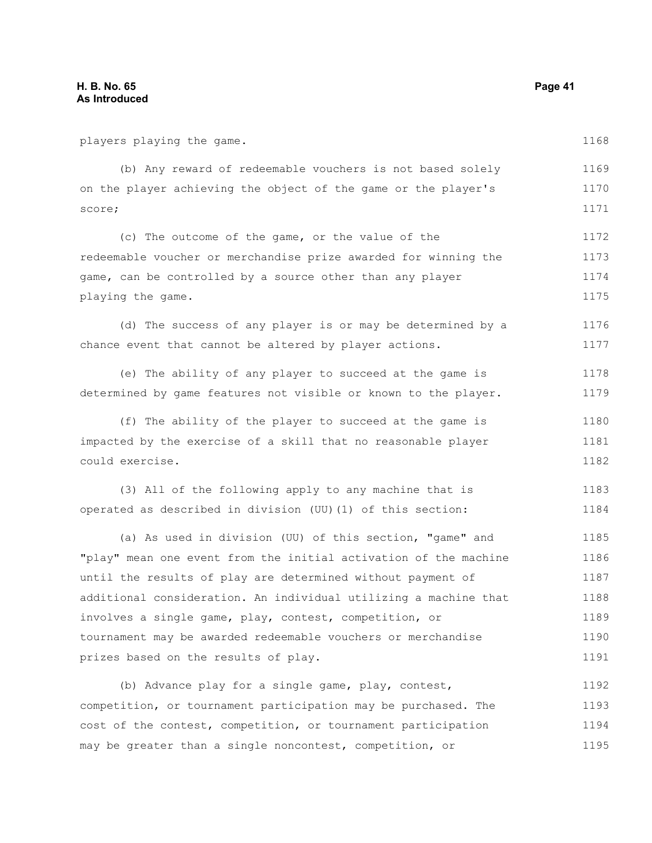players playing the game.

1168

| (b) Any reward of redeemable vouchers is not based solely      | 1169 |
|----------------------------------------------------------------|------|
| on the player achieving the object of the game or the player's | 1170 |
| score;                                                         | 1171 |

(c) The outcome of the game, or the value of the redeemable voucher or merchandise prize awarded for winning the game, can be controlled by a source other than any player playing the game. 1172 1173 1174 1175

(d) The success of any player is or may be determined by a chance event that cannot be altered by player actions. 1176 1177

(e) The ability of any player to succeed at the game is determined by game features not visible or known to the player. 1178 1179

(f) The ability of the player to succeed at the game is impacted by the exercise of a skill that no reasonable player could exercise. 1180 1181 1182

(3) All of the following apply to any machine that is operated as described in division (UU)(1) of this section: 1183 1184

(a) As used in division (UU) of this section, "game" and "play" mean one event from the initial activation of the machine until the results of play are determined without payment of additional consideration. An individual utilizing a machine that involves a single game, play, contest, competition, or tournament may be awarded redeemable vouchers or merchandise prizes based on the results of play. 1185 1186 1187 1188 1189 1190 1191

(b) Advance play for a single game, play, contest, competition, or tournament participation may be purchased. The cost of the contest, competition, or tournament participation may be greater than a single noncontest, competition, or 1192 1193 1194 1195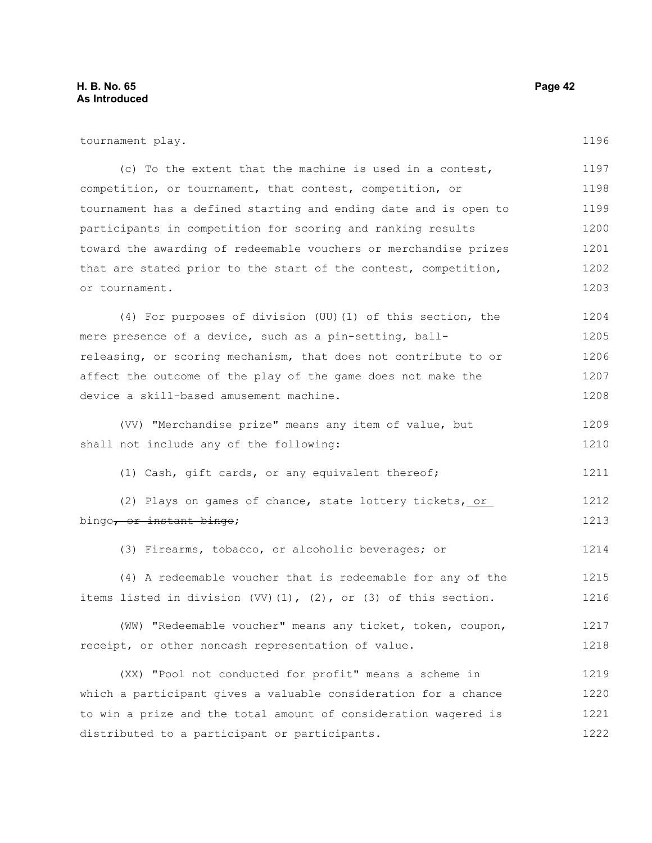| tournament play.                                                          | 1196 |
|---------------------------------------------------------------------------|------|
| (c) To the extent that the machine is used in a contest,                  | 1197 |
| competition, or tournament, that contest, competition, or                 | 1198 |
| tournament has a defined starting and ending date and is open to          | 1199 |
| participants in competition for scoring and ranking results               | 1200 |
| toward the awarding of redeemable vouchers or merchandise prizes          | 1201 |
| that are stated prior to the start of the contest, competition,           | 1202 |
| or tournament.                                                            | 1203 |
| (4) For purposes of division (UU) (1) of this section, the                | 1204 |
| mere presence of a device, such as a pin-setting, ball-                   | 1205 |
| releasing, or scoring mechanism, that does not contribute to or           | 1206 |
| affect the outcome of the play of the game does not make the              | 1207 |
| device a skill-based amusement machine.                                   | 1208 |
| (VV) "Merchandise prize" means any item of value, but                     | 1209 |
| shall not include any of the following:                                   | 1210 |
| (1) Cash, gift cards, or any equivalent thereof;                          | 1211 |
| (2) Plays on games of chance, state lottery tickets, or                   | 1212 |
| bingo <del>, or instant bingo</del> ;                                     | 1213 |
| (3) Firearms, tobacco, or alcoholic beverages; or                         | 1214 |
| (4) A redeemable voucher that is redeemable for any of the                | 1215 |
| items listed in division $(VV)$ $(1)$ , $(2)$ , or $(3)$ of this section. | 1216 |
| (WW) "Redeemable voucher" means any ticket, token, coupon,                | 1217 |
| receipt, or other noncash representation of value.                        | 1218 |
| (XX) "Pool not conducted for profit" means a scheme in                    | 1219 |
| which a participant gives a valuable consideration for a chance           | 1220 |
| to win a prize and the total amount of consideration wagered is           | 1221 |
| distributed to a participant or participants.                             | 1222 |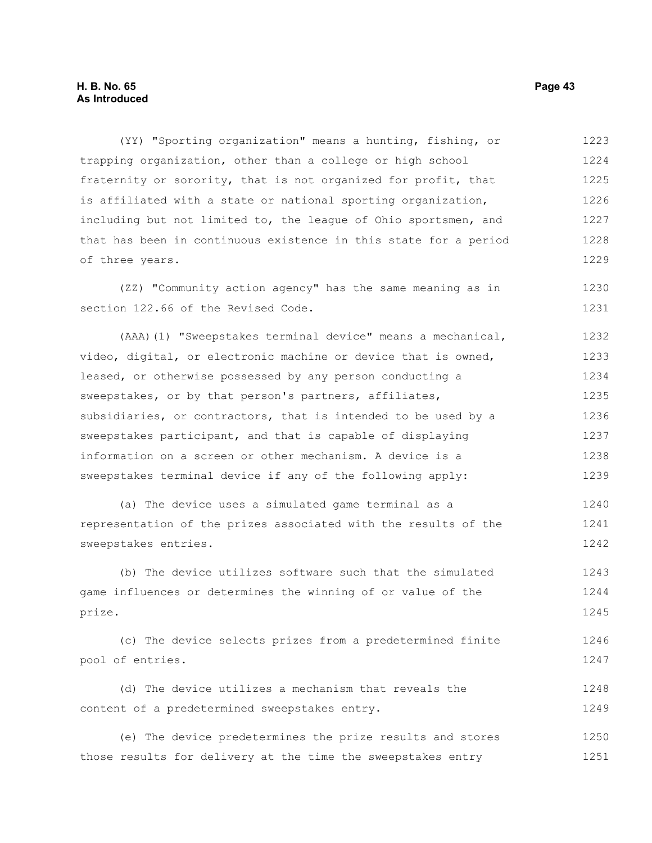(YY) "Sporting organization" means a hunting, fishing, or trapping organization, other than a college or high school fraternity or sorority, that is not organized for profit, that is affiliated with a state or national sporting organization, including but not limited to, the league of Ohio sportsmen, and that has been in continuous existence in this state for a period of three years. 1223 1224 1225 1226 1227 1228 1229

(ZZ) "Community action agency" has the same meaning as in section 122.66 of the Revised Code. 1230 1231

(AAA)(1) "Sweepstakes terminal device" means a mechanical, video, digital, or electronic machine or device that is owned, leased, or otherwise possessed by any person conducting a sweepstakes, or by that person's partners, affiliates, subsidiaries, or contractors, that is intended to be used by a sweepstakes participant, and that is capable of displaying information on a screen or other mechanism. A device is a sweepstakes terminal device if any of the following apply: 1232 1233 1234 1235 1236 1237 1238 1239

(a) The device uses a simulated game terminal as a representation of the prizes associated with the results of the sweepstakes entries. 1240 1241 1242

(b) The device utilizes software such that the simulated game influences or determines the winning of or value of the prize. 1243 1244 1245

(c) The device selects prizes from a predetermined finite pool of entries. 1246 1247

(d) The device utilizes a mechanism that reveals the content of a predetermined sweepstakes entry. 1248 1249

(e) The device predetermines the prize results and stores those results for delivery at the time the sweepstakes entry 1250 1251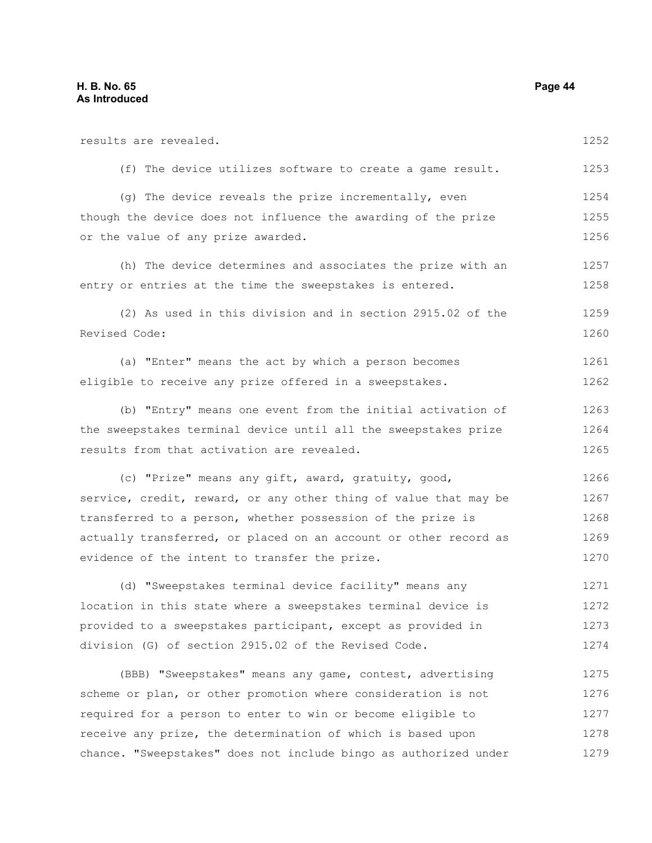results are revealed. (f) The device utilizes software to create a game result. (g) The device reveals the prize incrementally, even though the device does not influence the awarding of the prize or the value of any prize awarded. (h) The device determines and associates the prize with an entry or entries at the time the sweepstakes is entered. (2) As used in this division and in section 2915.02 of the Revised Code: (a) "Enter" means the act by which a person becomes eligible to receive any prize offered in a sweepstakes. (b) "Entry" means one event from the initial activation of the sweepstakes terminal device until all the sweepstakes prize results from that activation are revealed. (c) "Prize" means any gift, award, gratuity, good, service, credit, reward, or any other thing of value that may be transferred to a person, whether possession of the prize is actually transferred, or placed on an account or other record as evidence of the intent to transfer the prize. (d) "Sweepstakes terminal device facility" means any location in this state where a sweepstakes terminal device is provided to a sweepstakes participant, except as provided in division (G) of section 2915.02 of the Revised Code. (BBB) "Sweepstakes" means any game, contest, advertising scheme or plan, or other promotion where consideration is not required for a person to enter to win or become eligible to receive any prize, the determination of which is based upon chance. "Sweepstakes" does not include bingo as authorized under 1252 1253 1254 1255 1256 1257 1258 1259 1260 1261 1262 1263 1264 1265 1266 1267 1268 1269 1270 1271 1272 1273 1274 1275 1276 1277 1278 1279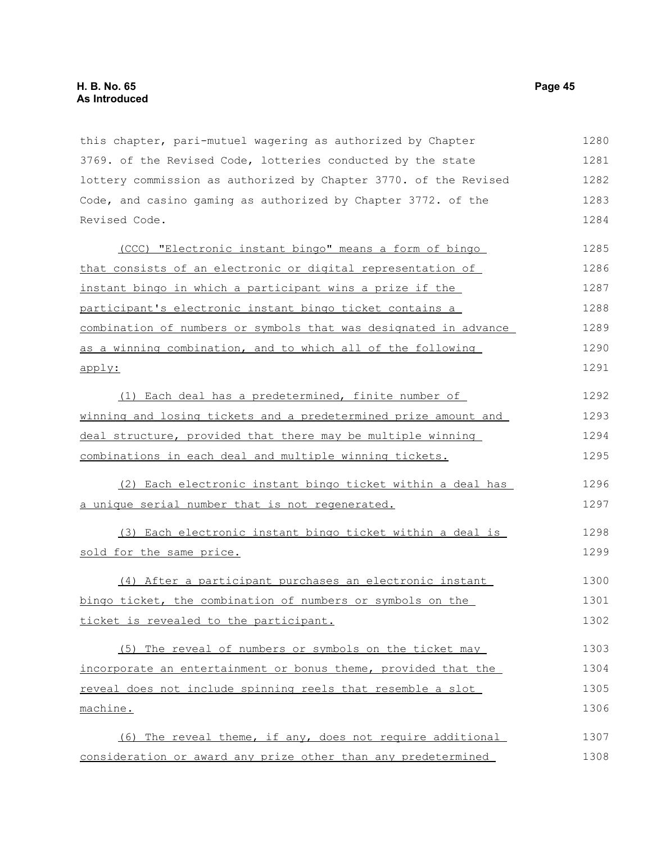this chapter, pari-mutuel wagering as authorized by Chapter 3769. of the Revised Code, lotteries conducted by the state lottery commission as authorized by Chapter 3770. of the Revised Code, and casino gaming as authorized by Chapter 3772. of the Revised Code. 1280 1281 1282 1283 1284

(CCC) "Electronic instant bingo" means a form of bingo that consists of an electronic or digital representation of instant bingo in which a participant wins a prize if the participant's electronic instant bingo ticket contains a combination of numbers or symbols that was designated in advance as a winning combination, and to which all of the following apply: 1285 1286 1287 1288 1289 1290 1291

(1) Each deal has a predetermined, finite number of winning and losing tickets and a predetermined prize amount and deal structure, provided that there may be multiple winning combinations in each deal and multiple winning tickets. 1292 1293 1294 1295

(2) Each electronic instant bingo ticket within a deal has a unique serial number that is not regenerated. 1296 1297

(3) Each electronic instant bingo ticket within a deal is sold for the same price. 1298 1299

(4) After a participant purchases an electronic instant bingo ticket, the combination of numbers or symbols on the ticket is revealed to the participant. 1300 1301 1302

(5) The reveal of numbers or symbols on the ticket may incorporate an entertainment or bonus theme, provided that the reveal does not include spinning reels that resemble a slot machine. 1303 1304 1305 1306

(6) The reveal theme, if any, does not require additional consideration or award any prize other than any predetermined 1307 1308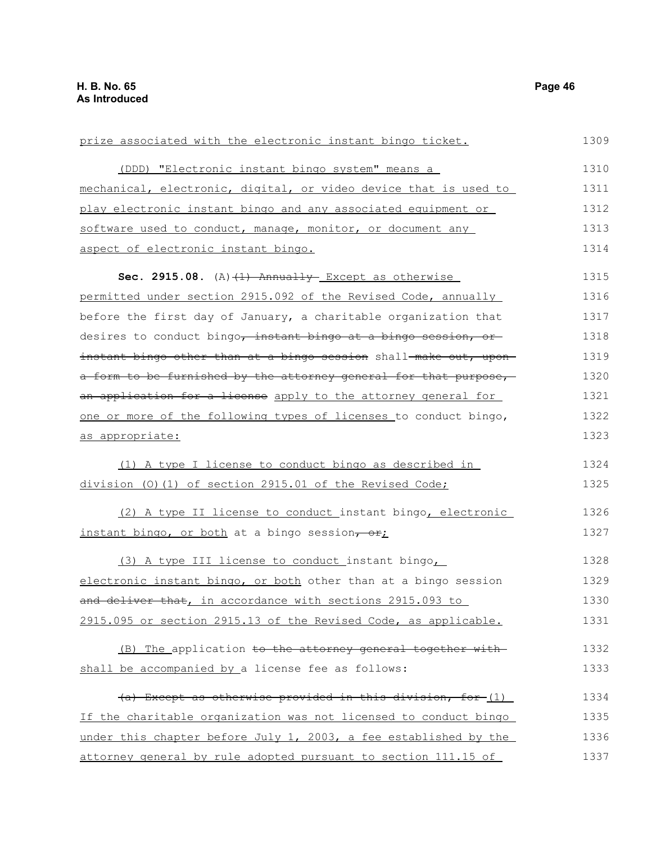| prize associated with the electronic instant bingo ticket.        | 1309 |
|-------------------------------------------------------------------|------|
| (DDD) "Electronic instant bingo system" means a                   | 1310 |
| mechanical, electronic, digital, or video device that is used to  | 1311 |
| play electronic instant bingo and any associated equipment or     | 1312 |
| software used to conduct, manage, monitor, or document any        | 1313 |
| aspect of electronic instant bingo.                               | 1314 |
| Sec. 2915.08. $(A)$ $(1)$ Annually Except as otherwise            | 1315 |
| permitted under section 2915.092 of the Revised Code, annually    | 1316 |
| before the first day of January, a charitable organization that   | 1317 |
| desires to conduct bingo, instant bingo at a bingo session, or    | 1318 |
| instant bingo other than at a bingo session shall-make out, upon- | 1319 |
| a form to be furnished by the attorney general for that purpose,  | 1320 |
| an application for a license apply to the attorney general for    | 1321 |
| one or more of the following types of licenses to conduct bingo,  | 1322 |
| as appropriate:                                                   | 1323 |
| (1) A type I license to conduct bingo as described in             | 1324 |
| division (0)(1) of section 2915.01 of the Revised Code;           | 1325 |
| (2) A type II license to conduct instant bingo, electronic        | 1326 |
| instant bingo, or both at a bingo session, or,                    | 1327 |
| (3) A type III license to conduct instant bingo,                  | 1328 |
| electronic instant bingo, or both other than at a bingo session   | 1329 |
| and deliver that, in accordance with sections 2915.093 to         | 1330 |
| 2915.095 or section 2915.13 of the Revised Code, as applicable.   | 1331 |
| (B) The application to the attorney general together with         | 1332 |
| shall be accompanied by a license fee as follows:                 | 1333 |
| (a) Except as otherwise provided in this division, for (1)        | 1334 |
| If the charitable organization was not licensed to conduct bingo  | 1335 |
| under this chapter before July 1, 2003, a fee established by the  | 1336 |
| attorney general by rule adopted pursuant to section 111.15 of    | 1337 |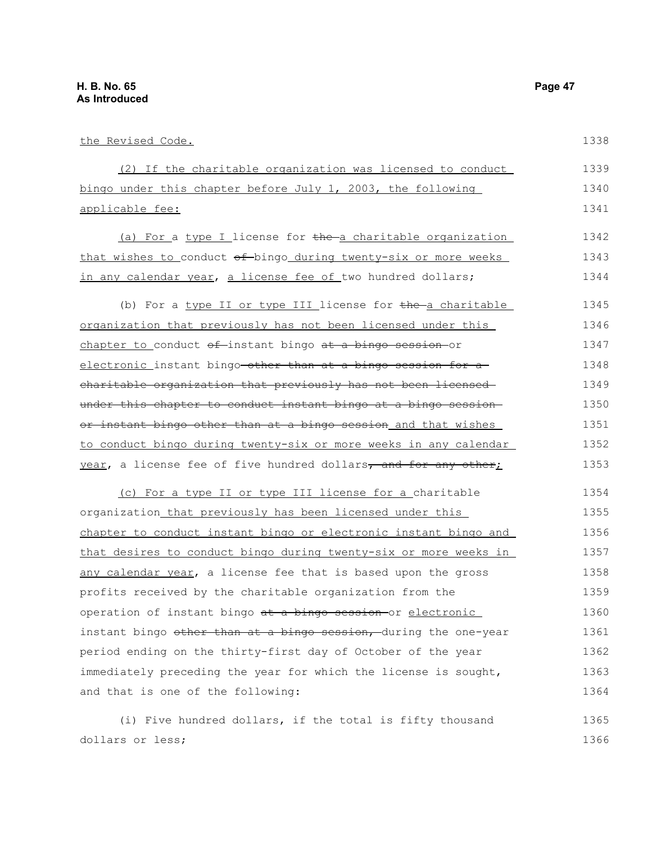| the Revised Code.                                                | 1338 |
|------------------------------------------------------------------|------|
| (2) If the charitable organization was licensed to conduct       | 1339 |
| bingo under this chapter before July 1, 2003, the following      | 1340 |
| applicable fee:                                                  | 1341 |
| (a) For a type I license for the a charitable organization       | 1342 |
| that wishes to conduct of bingo during twenty-six or more weeks  | 1343 |
| in any calendar year, a license fee of two hundred dollars;      | 1344 |
| (b) For a type II or type III license for the a charitable       | 1345 |
| organization that previously has not been licensed under this    | 1346 |
| chapter to conduct of instant bingo at a bingo session or        | 1347 |
| electronic instant bingo-other than at a bingo session for a     | 1348 |
| charitable organization that previously has not been licensed-   | 1349 |
| under this chapter to conduct instant bingo at a bingo session-  | 1350 |
| or instant bingo other than at a bingo session and that wishes   | 1351 |
| to conduct bingo during twenty-six or more weeks in any calendar | 1352 |
| year, a license fee of five hundred dollars, and for any other;  | 1353 |
| (c) For a type II or type III license for a charitable           | 1354 |
| organization that previously has been licensed under this        | 1355 |
| chapter to conduct instant bingo or electronic instant bingo and | 1356 |
| that desires to conduct bingo during twenty-six or more weeks in | 1357 |
| any calendar year, a license fee that is based upon the gross    | 1358 |
| profits received by the charitable organization from the         | 1359 |
| operation of instant bingo at a bingo session or electronic      | 1360 |
| instant bingo other than at a bingo session, during the one-year | 1361 |
| period ending on the thirty-first day of October of the year     | 1362 |
| immediately preceding the year for which the license is sought,  | 1363 |
| and that is one of the following:                                | 1364 |
| (i) Five hundred dollars, if the total is fifty thousand         | 1365 |
| dollars or less;                                                 | 1366 |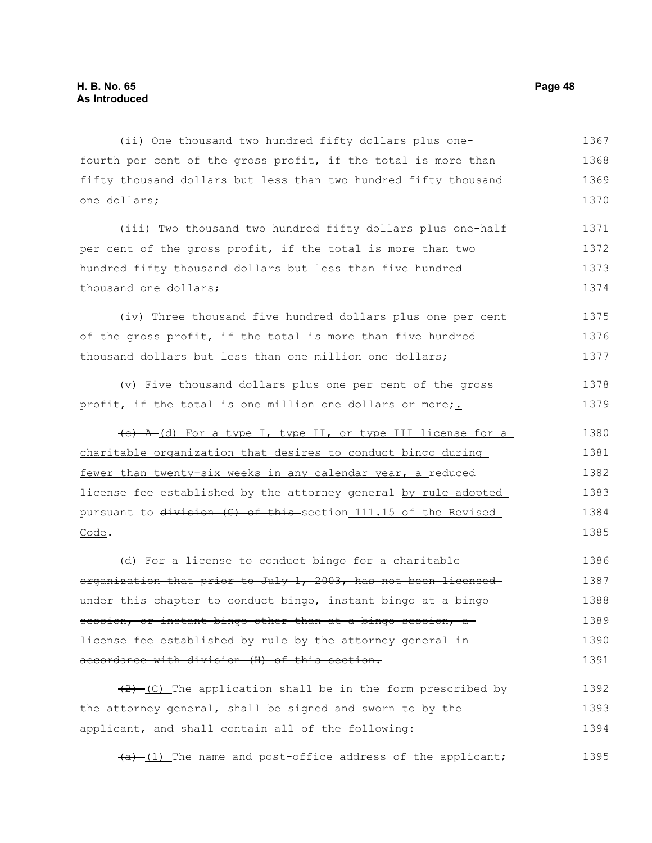(ii) One thousand two hundred fifty dollars plus onefourth per cent of the gross profit, if the total is more than fifty thousand dollars but less than two hundred fifty thousand one dollars; 1367 1368 1369 1370

(iii) Two thousand two hundred fifty dollars plus one-half per cent of the gross profit, if the total is more than two hundred fifty thousand dollars but less than five hundred thousand one dollars; 1371 1372 1373 1374

(iv) Three thousand five hundred dollars plus one per cent of the gross profit, if the total is more than five hundred thousand dollars but less than one million one dollars; 1375 1376 1377

(v) Five thousand dollars plus one per cent of the gross profit, if the total is one million one dollars or more+. 1378 1379

(c) A (d) For a type I, type II, or type III license for a charitable organization that desires to conduct bingo during fewer than twenty-six weeks in any calendar year, a reduced license fee established by the attorney general by rule adopted pursuant to division (G) of this section 111.15 of the Revised Code. 1380 1381 1382 1383 1384 1385

(d) For a license to conduct bingo for a charitable organization that prior to July 1, 2003, has not been licensedunder this chapter to conduct bingo, instant bingo at a bingo session, or instant bingo other than at a bingo session, alicense fee established by rule by the attorney general in accordance with division (H) of this section. 1386 1387 1388 1389 1390 1391

 $(2)$  (C) The application shall be in the form prescribed by the attorney general, shall be signed and sworn to by the applicant, and shall contain all of the following: 1392 1393 1394

 $(a)$  (1) The name and post-office address of the applicant; 1395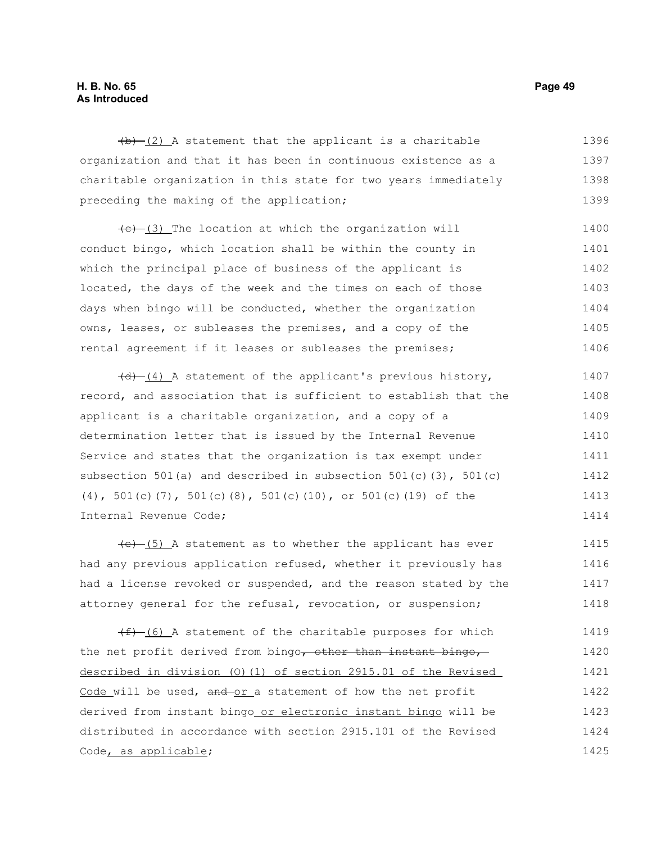## **H. B. No. 65 Page 49 As Introduced**

 $(b)$  (2) A statement that the applicant is a charitable organization and that it has been in continuous existence as a charitable organization in this state for two years immediately preceding the making of the application; 1396 1397 1398 1399

 $(e)$  (3) The location at which the organization will conduct bingo, which location shall be within the county in which the principal place of business of the applicant is located, the days of the week and the times on each of those days when bingo will be conducted, whether the organization owns, leases, or subleases the premises, and a copy of the rental agreement if it leases or subleases the premises; 1400 1401 1402 1403 1404 1405 1406

 $(d)$  (4) A statement of the applicant's previous history, record, and association that is sufficient to establish that the applicant is a charitable organization, and a copy of a determination letter that is issued by the Internal Revenue Service and states that the organization is tax exempt under subsection 501(a) and described in subsection 501(c)(3), 501(c) (4), 501(c)(7), 501(c)(8), 501(c)(10), or 501(c)(19) of the Internal Revenue Code; 1407 1408 1409 1410 1411 1412 1413 1414

 $(e)$  (5) A statement as to whether the applicant has ever had any previous application refused, whether it previously has had a license revoked or suspended, and the reason stated by the attorney general for the refusal, revocation, or suspension; 1415 1416 1417 1418

 $(f)$  (6) A statement of the charitable purposes for which the net profit derived from bingo, other than instant bingo, described in division (O)(1) of section 2915.01 of the Revised Code will be used, and or a statement of how the net profit derived from instant bingo or electronic instant bingo will be distributed in accordance with section 2915.101 of the Revised Code, as applicable; 1419 1420 1421 1422 1423 1424 1425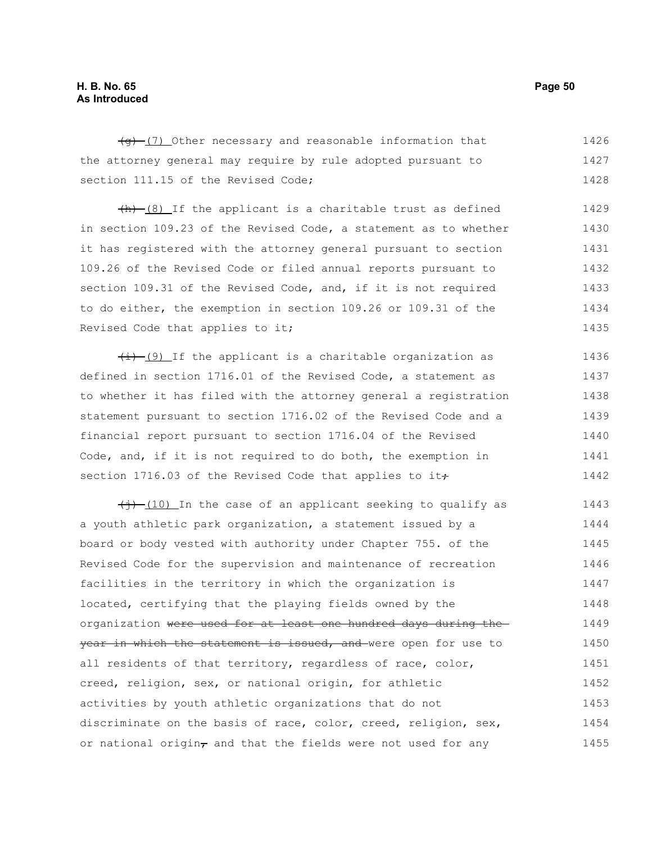## **H. B. No. 65 Page 50 As Introduced**

 $(q)$  (7) Other necessary and reasonable information that the attorney general may require by rule adopted pursuant to section 111.15 of the Revised Code; 1426 1427 1428

 $+h$   $(8)$  If the applicant is a charitable trust as defined in section 109.23 of the Revised Code, a statement as to whether it has registered with the attorney general pursuant to section 109.26 of the Revised Code or filed annual reports pursuant to section 109.31 of the Revised Code, and, if it is not required to do either, the exemption in section 109.26 or 109.31 of the Revised Code that applies to it; 1429 1430 1431 1432 1433 1434 1435

 $\frac{1}{1}$  (9) If the applicant is a charitable organization as defined in section 1716.01 of the Revised Code, a statement as to whether it has filed with the attorney general a registration statement pursuant to section 1716.02 of the Revised Code and a financial report pursuant to section 1716.04 of the Revised Code, and, if it is not required to do both, the exemption in section 1716.03 of the Revised Code that applies to it $\div$ 1436 1437 1438 1439 1440 1441 1442

 $\frac{1}{(10)}$  In the case of an applicant seeking to qualify as a youth athletic park organization, a statement issued by a board or body vested with authority under Chapter 755. of the Revised Code for the supervision and maintenance of recreation facilities in the territory in which the organization is located, certifying that the playing fields owned by the organization were used for at least one hundred days during the year in which the statement is issued, and were open for use to all residents of that territory, regardless of race, color, creed, religion, sex, or national origin, for athletic activities by youth athletic organizations that do not discriminate on the basis of race, color, creed, religion, sex, or national origin $_{\tau}$  and that the fields were not used for any 1443 1444 1445 1446 1447 1448 1449 1450 1451 1452 1453 1454 1455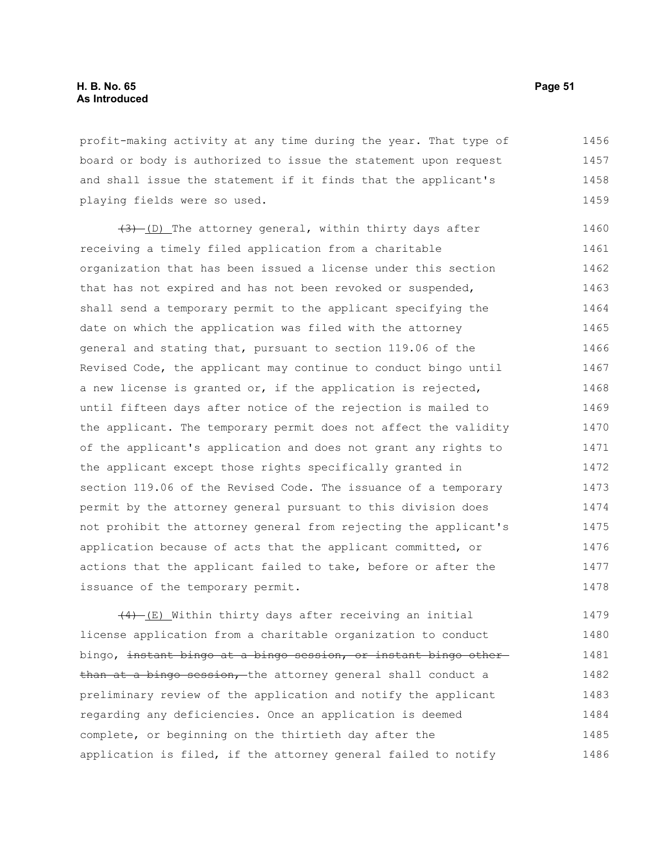profit-making activity at any time during the year. That type of board or body is authorized to issue the statement upon request and shall issue the statement if it finds that the applicant's playing fields were so used. 1456 1457 1458 1459

(3) (D) The attorney general, within thirty days after receiving a timely filed application from a charitable organization that has been issued a license under this section that has not expired and has not been revoked or suspended, shall send a temporary permit to the applicant specifying the date on which the application was filed with the attorney general and stating that, pursuant to section 119.06 of the Revised Code, the applicant may continue to conduct bingo until a new license is granted or, if the application is rejected, until fifteen days after notice of the rejection is mailed to the applicant. The temporary permit does not affect the validity of the applicant's application and does not grant any rights to the applicant except those rights specifically granted in section 119.06 of the Revised Code. The issuance of a temporary permit by the attorney general pursuant to this division does not prohibit the attorney general from rejecting the applicant's application because of acts that the applicant committed, or actions that the applicant failed to take, before or after the issuance of the temporary permit. 1460 1461 1462 1463 1464 1465 1466 1467 1468 1469 1470 1471 1472 1473 1474 1475 1476 1477 1478

 $\frac{(4)-(E)}{E}$  Within thirty days after receiving an initial license application from a charitable organization to conduct bingo, instant bingo at a bingo session, or instant bingo other than at a bingo session, the attorney general shall conduct a preliminary review of the application and notify the applicant regarding any deficiencies. Once an application is deemed complete, or beginning on the thirtieth day after the application is filed, if the attorney general failed to notify 1479 1480 1481 1482 1483 1484 1485 1486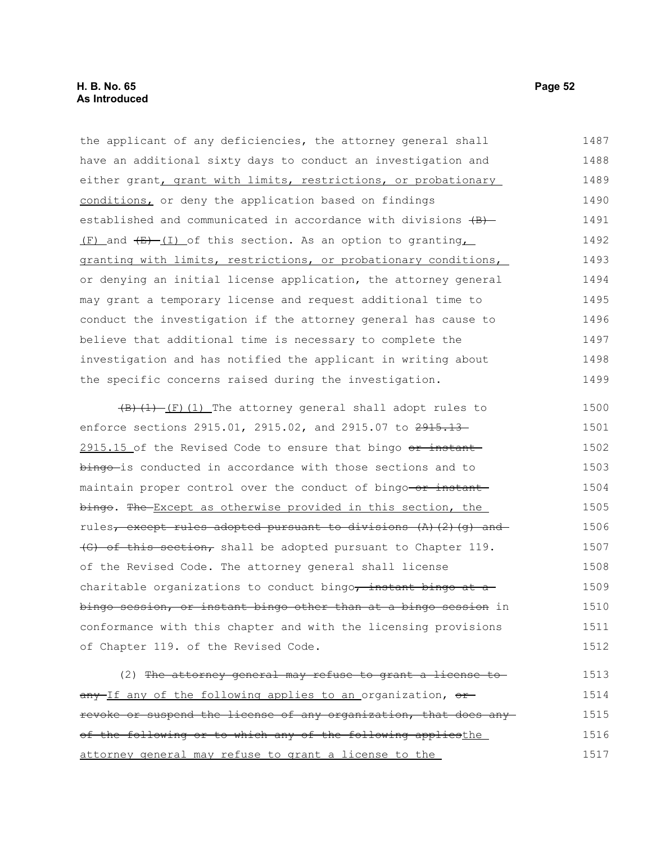the applicant of any deficiencies, the attorney general shall have an additional sixty days to conduct an investigation and either grant, grant with limits, restrictions, or probationary conditions, or deny the application based on findings established and communicated in accordance with divisions  $\{B\}$ - $(F)$  and  $(E)$   $(I)$  of this section. As an option to granting granting with limits, restrictions, or probationary conditions, or denying an initial license application, the attorney general may grant a temporary license and request additional time to conduct the investigation if the attorney general has cause to believe that additional time is necessary to complete the investigation and has notified the applicant in writing about the specific concerns raised during the investigation. 1487 1488 1489 1490 1491 1492 1493 1494 1495 1496 1497 1498 1499

 $\left(\frac{B}{1}\right)$  (I) The attorney general shall adopt rules to enforce sections 2915.01, 2915.02, and 2915.07 to 2915.13-2915.15 of the Revised Code to ensure that bingo  $\sigma$  instant bingo-is conducted in accordance with those sections and to maintain proper control over the conduct of bingo-or instant bingo. The Except as otherwise provided in this section, the rules, except rules adopted pursuant to divisions (A)(2)(g) and (G) of this section, shall be adopted pursuant to Chapter 119. of the Revised Code. The attorney general shall license charitable organizations to conduct bingo, instant bingo at a bingo session, or instant bingo other than at a bingo session in conformance with this chapter and with the licensing provisions of Chapter 119. of the Revised Code. 1500 1501 1502 1503 1504 1505 1506 1507 1508 1509 1510 1511 1512

(2) The attorney general may refuse to grant a license to any If any of the following applies to an organization, or revoke or suspend the license of any organization, that does any of the following or to which any of the following appliesthe attorney general may refuse to grant a license to the 1513 1514 1515 1516 1517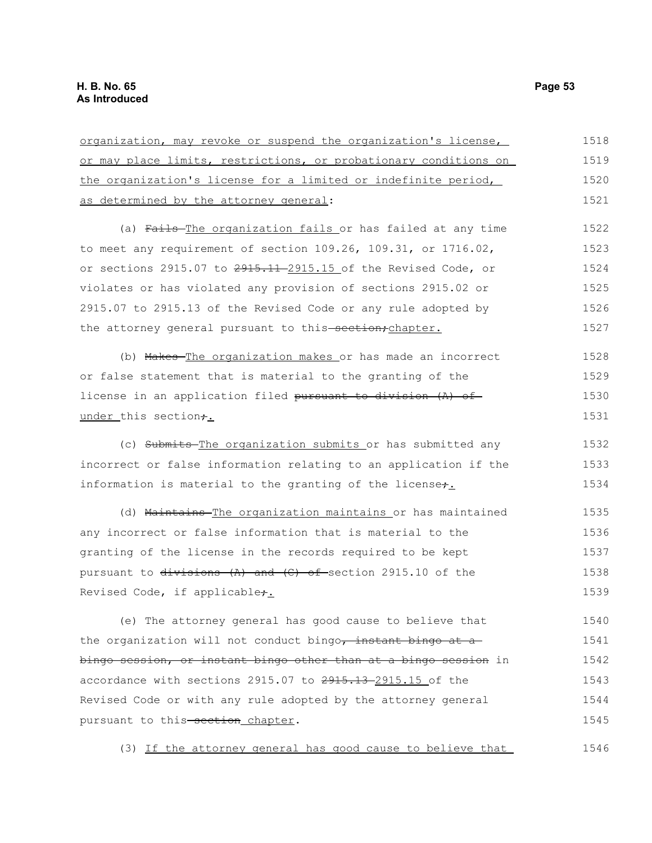| organization, may revoke or suspend the organization's license,             | 1518 |
|-----------------------------------------------------------------------------|------|
| or may place limits, restrictions, or probationary conditions on            | 1519 |
| the organization's license for a limited or indefinite period,              | 1520 |
| as determined by the attorney general:                                      | 1521 |
| (a) Fails-The organization fails or has failed at any time                  | 1522 |
| to meet any requirement of section $109.26$ , $109.31$ , or $1716.02$ ,     | 1523 |
| or sections 2915.07 to <del>2915.11-2</del> 915.15 of the Revised Code, or  | 1524 |
| violates or has violated any provision of sections 2915.02 or               | 1525 |
| 2915.07 to 2915.13 of the Revised Code or any rule adopted by               | 1526 |
| the attorney general pursuant to this-section; chapter.                     | 1527 |
| (b) Makes-The organization makes or has made an incorrect                   | 1528 |
| or false statement that is material to the granting of the                  | 1529 |
| license in an application filed pursuant to division (A) of                 | 1530 |
| under this section+.                                                        | 1531 |
| (c) Submits-The organization submits or has submitted any                   | 1532 |
| incorrect or false information relating to an application if the            | 1533 |
| information is material to the granting of the licenset.                    | 1534 |
| (d) Maintains-The organization maintains or has maintained                  | 1535 |
| any incorrect or false information that is material to the                  | 1536 |
| granting of the license in the records required to be kept                  | 1537 |
| pursuant to <del>divisions (A) and (C) of </del> section 2915.10 of the     | 1538 |
| Revised Code, if applicable <del>;</del>                                    | 1539 |
| (e) The attorney general has good cause to believe that                     | 1540 |
| the organization will not conduct bingo, instant bingo at a                 | 1541 |
| <del>bingo session, or instant bingo other than at a bingo session</del> in | 1542 |
| accordance with sections 2915.07 to 2915.13-2915.15 of the                  | 1543 |
| Revised Code or with any rule adopted by the attorney general               | 1544 |
| pursuant to this <del>-section</del> chapter.                               | 1545 |
|                                                                             |      |

(3) If the attorney general has good cause to believe that 1546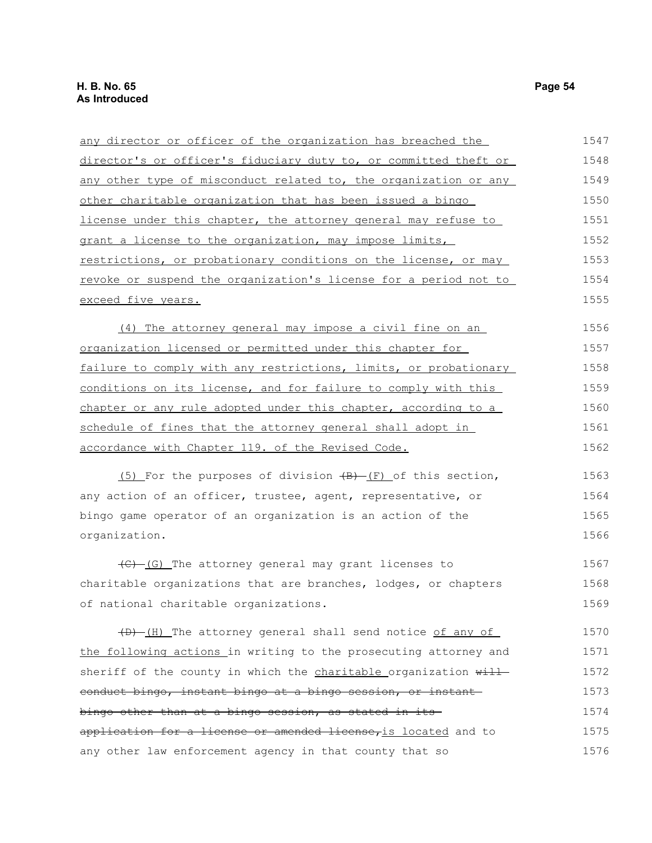| any director or officer of the organization has breached the              | 1547 |
|---------------------------------------------------------------------------|------|
| director's or officer's fiduciary duty to, or committed theft or          | 1548 |
| any other type of misconduct related to, the organization or any          | 1549 |
| other charitable organization that has been issued a bingo                | 1550 |
| license under this chapter, the attorney general may refuse to            | 1551 |
| grant a license to the organization, may impose limits,                   | 1552 |
| restrictions, or probationary conditions on the license, or may           | 1553 |
| revoke or suspend the organization's license for a period not to          | 1554 |
| exceed five years.                                                        | 1555 |
| (4) The attorney general may impose a civil fine on an                    | 1556 |
| organization licensed or permitted under this chapter for                 | 1557 |
| failure to comply with any restrictions, limits, or probationary          | 1558 |
| conditions on its license, and for failure to comply with this            | 1559 |
| chapter or any rule adopted under this chapter, according to a            | 1560 |
| schedule of fines that the attorney general shall adopt in                | 1561 |
| accordance with Chapter 119. of the Revised Code.                         | 1562 |
| $(5)$ For the purposes of division $(B)$ - $(F)$ of this section,         | 1563 |
| any action of an officer, trustee, agent, representative, or              | 1564 |
| bingo game operator of an organization is an action of the                | 1565 |
| organization.                                                             | 1566 |
| $\left(\frac{C}{C}\right)$ (G) The attorney general may grant licenses to | 1567 |
| charitable organizations that are branches, lodges, or chapters           | 1568 |
| of national charitable organizations.                                     | 1569 |
| (B) (H) The attorney general shall send notice of any of                  | 1570 |
| the following actions in writing to the prosecuting attorney and          | 1571 |
| sheriff of the county in which the <i>charitable</i> organization will    | 1572 |
| eonduct bingo, instant bingo at a bingo session, or instant               | 1573 |
| bingo other than at a bingo session, as stated in its-                    | 1574 |
| application for a license or amended license, is located and to           | 1575 |
| any other law enforcement agency in that county that so                   | 1576 |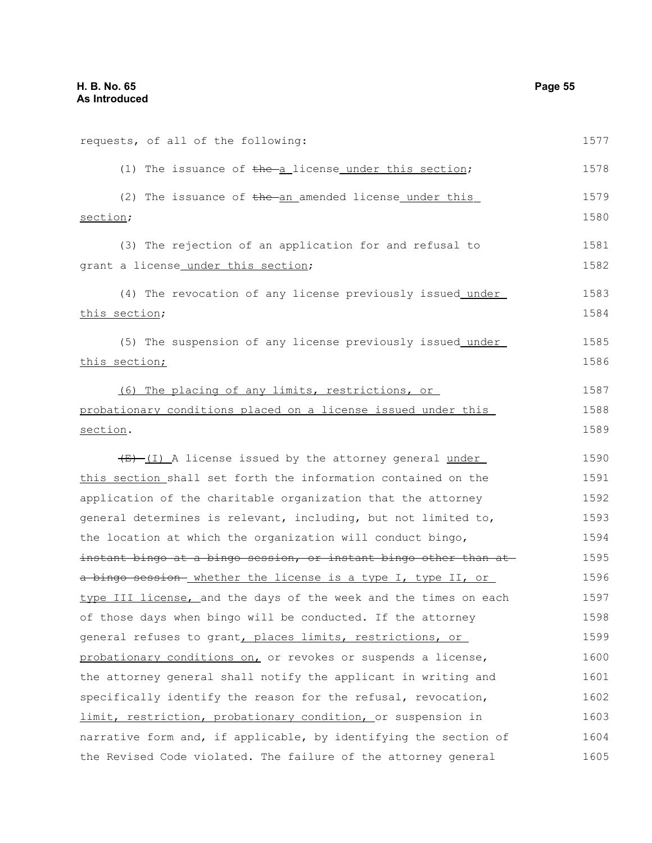| requests, of all of the following:                               | 1577 |
|------------------------------------------------------------------|------|
| (1) The issuance of the a license under this section;            | 1578 |
| (2) The issuance of the an amended license under this            | 1579 |
| section;                                                         | 1580 |
| (3) The rejection of an application for and refusal to           | 1581 |
| grant a license_under_this_section;                              | 1582 |
| (4) The revocation of any license previously issued under        | 1583 |
| this section;                                                    | 1584 |
| (5) The suspension of any license previously issued under        | 1585 |
| this section;                                                    | 1586 |
| (6) The placing of any limits, restrictions, or                  | 1587 |
| probationary conditions placed on a license issued under this    | 1588 |
| section.                                                         | 1589 |
| $\frac{1}{2}$ (I) A license issued by the attorney general under | 1590 |
| this section shall set forth the information contained on the    | 1591 |
| application of the charitable organization that the attorney     | 1592 |
| general determines is relevant, including, but not limited to,   | 1593 |
| the location at which the organization will conduct bingo,       | 1594 |
| instant bingo at a bingo session, or instant bingo other than at | 1595 |
| a bingo session-whether the license is a type I, type II, or     | 1596 |
| type III license, and the days of the week and the times on each | 1597 |
| of those days when bingo will be conducted. If the attorney      | 1598 |
| general refuses to grant, places limits, restrictions, or        | 1599 |
| probationary conditions on, or revokes or suspends a license,    | 1600 |
| the attorney general shall notify the applicant in writing and   | 1601 |
| specifically identify the reason for the refusal, revocation,    | 1602 |
| limit, restriction, probationary condition, or suspension in     | 1603 |
| narrative form and, if applicable, by identifying the section of | 1604 |

the Revised Code violated. The failure of the attorney general 1605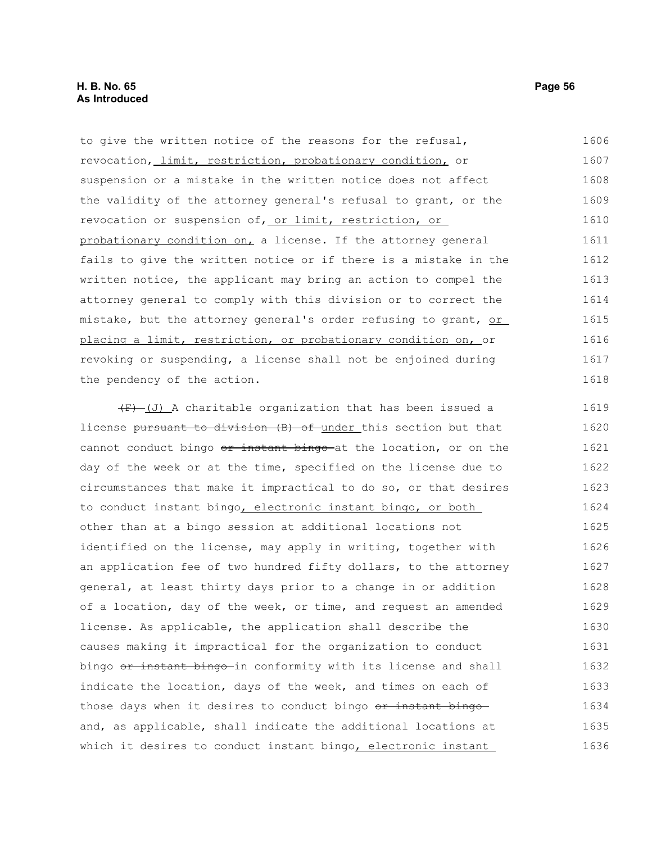to give the written notice of the reasons for the refusal, revocation, limit, restriction, probationary condition, or suspension or a mistake in the written notice does not affect the validity of the attorney general's refusal to grant, or the revocation or suspension of, or limit, restriction, or probationary condition on, a license. If the attorney general fails to give the written notice or if there is a mistake in the written notice, the applicant may bring an action to compel the attorney general to comply with this division or to correct the mistake, but the attorney general's order refusing to grant, or placing a limit, restriction, or probationary condition on, or revoking or suspending, a license shall not be enjoined during the pendency of the action. 1606 1607 1608 1609 1610 1611 1612 1613 1614 1615 1616 1617 1618

 $(F)$  (J) A charitable organization that has been issued a license pursuant to division (B) of under this section but that cannot conduct bingo or instant bingo at the location, or on the day of the week or at the time, specified on the license due to circumstances that make it impractical to do so, or that desires to conduct instant bingo, electronic instant bingo, or both other than at a bingo session at additional locations not identified on the license, may apply in writing, together with an application fee of two hundred fifty dollars, to the attorney general, at least thirty days prior to a change in or addition of a location, day of the week, or time, and request an amended license. As applicable, the application shall describe the causes making it impractical for the organization to conduct bingo or instant bingo-in conformity with its license and shall indicate the location, days of the week, and times on each of those days when it desires to conduct bingo or instant bingoand, as applicable, shall indicate the additional locations at which it desires to conduct instant bingo, electronic instant 1619 1620 1621 1622 1623 1624 1625 1626 1627 1628 1629 1630 1631 1632 1633 1634 1635 1636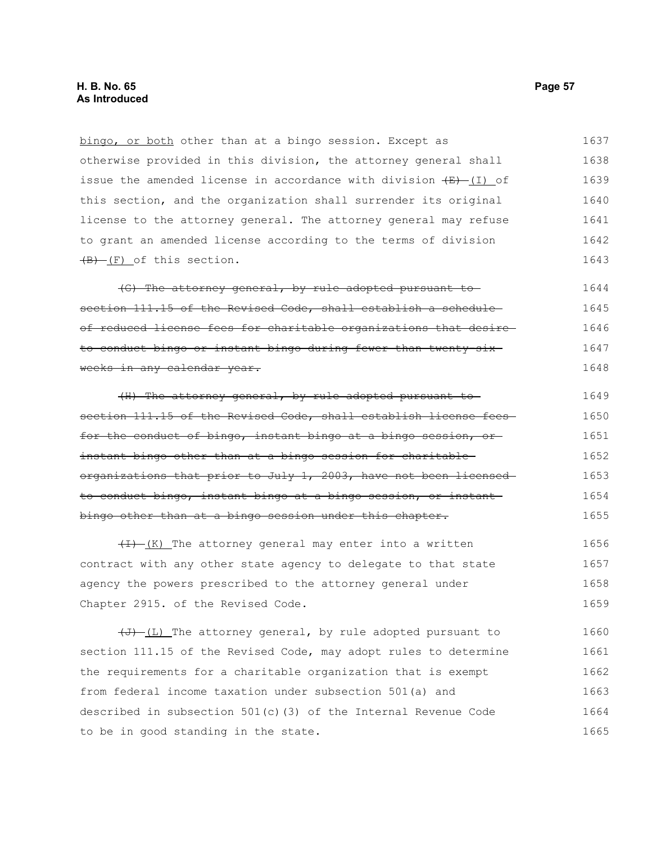bingo, or both other than at a bingo session. Except as otherwise provided in this division, the attorney general shall issue the amended license in accordance with division  $(E)$  (I) of this section, and the organization shall surrender its original license to the attorney general. The attorney general may refuse to grant an amended license according to the terms of division  $(B)$  (F) of this section. 1637 1638 1639 1640 1641 1642 1643

(G) The attorney general, by rule adopted pursuant to section 111.15 of the Revised Code, shall establish a scheduleof reduced license fees for charitable organizations that desire to conduct bingo or instant bingo during fewer than twenty-six weeks in any calendar year. 1644 1645 1646 1647 1648

(H) The attorney general, by rule adopted pursuant to section 111.15 of the Revised Code, shall establish license feesfor the conduct of bingo, instant bingo at a bingo session, orinstant bingo other than at a bingo session for charitable organizations that prior to July 1, 2003, have not been licensed to conduct bingo, instant bingo at a bingo session, or instant bingo other than at a bingo session under this chapter. 1649 1650 1651 1652 1653 1654 1655

 $(H)$  (K) The attorney general may enter into a written contract with any other state agency to delegate to that state agency the powers prescribed to the attorney general under Chapter 2915. of the Revised Code. 1656 1657 1658 1659

 $\overline{(\cdot)}$  (L) The attorney general, by rule adopted pursuant to section 111.15 of the Revised Code, may adopt rules to determine the requirements for a charitable organization that is exempt from federal income taxation under subsection 501(a) and described in subsection 501(c)(3) of the Internal Revenue Code to be in good standing in the state. 1660 1661 1662 1663 1664 1665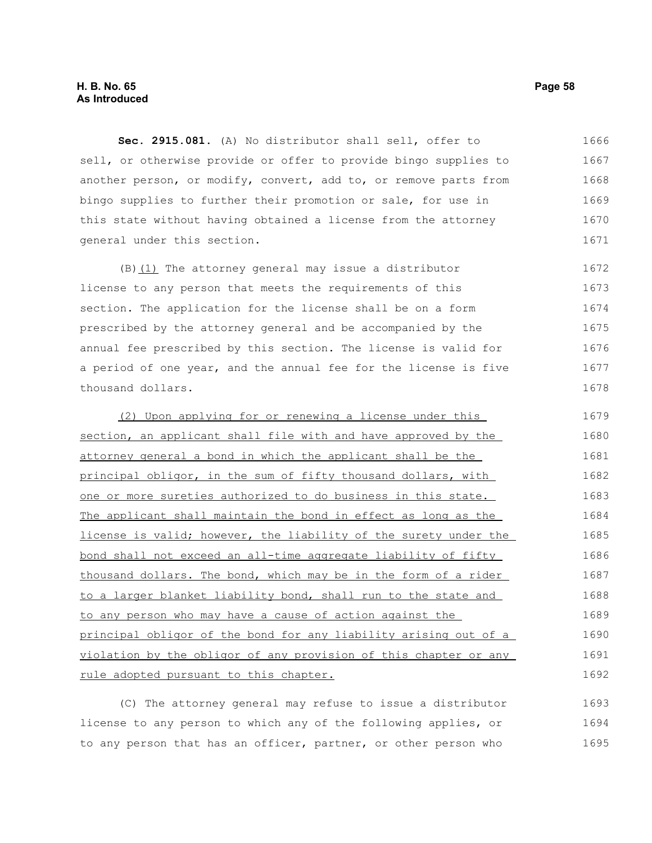**Sec. 2915.081.** (A) No distributor shall sell, offer to sell, or otherwise provide or offer to provide bingo supplies to another person, or modify, convert, add to, or remove parts from bingo supplies to further their promotion or sale, for use in this state without having obtained a license from the attorney general under this section. 1666 1667 1668 1669 1670 1671

(B)(1) The attorney general may issue a distributor license to any person that meets the requirements of this section. The application for the license shall be on a form prescribed by the attorney general and be accompanied by the annual fee prescribed by this section. The license is valid for a period of one year, and the annual fee for the license is five thousand dollars. 1672 1673 1674 1675 1676 1677 1678

(2) Upon applying for or renewing a license under this section, an applicant shall file with and have approved by the attorney general a bond in which the applicant shall be the principal obligor, in the sum of fifty thousand dollars, with one or more sureties authorized to do business in this state. The applicant shall maintain the bond in effect as long as the license is valid; however, the liability of the surety under the bond shall not exceed an all-time aggregate liability of fifty thousand dollars. The bond, which may be in the form of a rider to a larger blanket liability bond, shall run to the state and to any person who may have a cause of action against the principal obligor of the bond for any liability arising out of a violation by the obligor of any provision of this chapter or any rule adopted pursuant to this chapter. 1679 1680 1681 1682 1683 1684 1685 1686 1687 1688 1689 1690 1691 1692

(C) The attorney general may refuse to issue a distributor license to any person to which any of the following applies, or to any person that has an officer, partner, or other person who 1693 1694 1695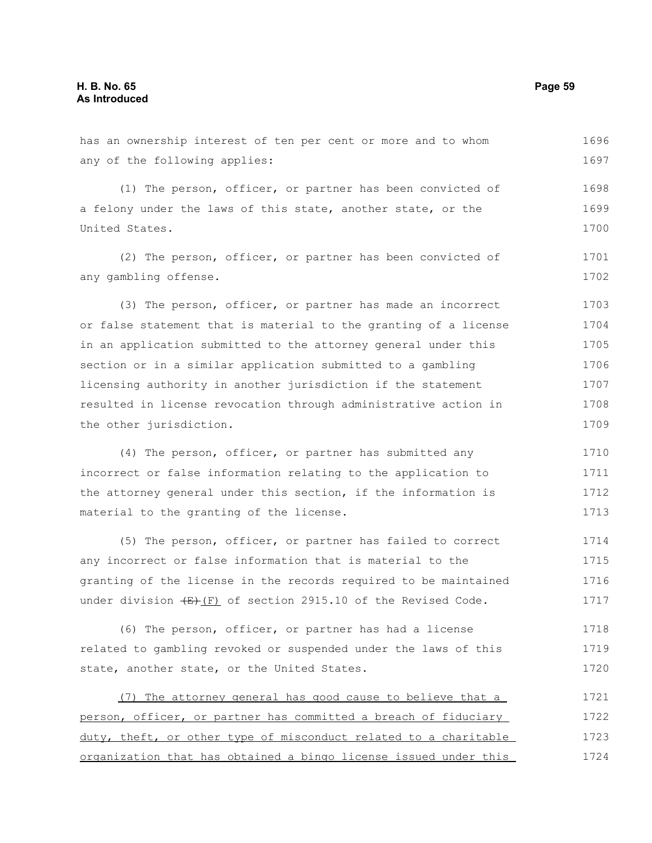has an ownership interest of ten per cent or more and to whom any of the following applies: (1) The person, officer, or partner has been convicted of a felony under the laws of this state, another state, or the United States. (2) The person, officer, or partner has been convicted of any gambling offense. (3) The person, officer, or partner has made an incorrect or false statement that is material to the granting of a license in an application submitted to the attorney general under this section or in a similar application submitted to a gambling licensing authority in another jurisdiction if the statement resulted in license revocation through administrative action in the other jurisdiction. (4) The person, officer, or partner has submitted any incorrect or false information relating to the application to the attorney general under this section, if the information is material to the granting of the license. (5) The person, officer, or partner has failed to correct any incorrect or false information that is material to the granting of the license in the records required to be maintained under division  $(E)$  (F) of section 2915.10 of the Revised Code. (6) The person, officer, or partner has had a license related to gambling revoked or suspended under the laws of this state, another state, or the United States. (7) The attorney general has good cause to believe that a person, officer, or partner has committed a breach of fiduciary duty, theft, or other type of misconduct related to a charitable organization that has obtained a bingo license issued under this 1696 1697 1698 1699 1700 1701 1702 1703 1704 1705 1706 1707 1708 1709 1710 1711 1712 1713 1714 1715 1716 1717 1718 1719 1720 1721 1722 1723 1724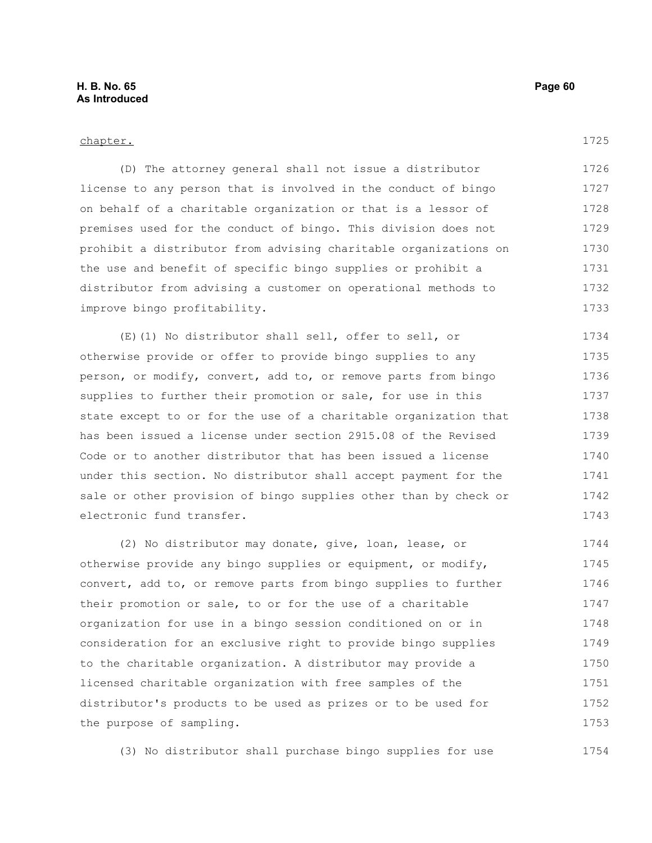## chapter.

1725

(D) The attorney general shall not issue a distributor license to any person that is involved in the conduct of bingo on behalf of a charitable organization or that is a lessor of premises used for the conduct of bingo. This division does not prohibit a distributor from advising charitable organizations on the use and benefit of specific bingo supplies or prohibit a distributor from advising a customer on operational methods to improve bingo profitability. 1726 1727 1728 1729 1730 1731 1732 1733

(E)(1) No distributor shall sell, offer to sell, or otherwise provide or offer to provide bingo supplies to any person, or modify, convert, add to, or remove parts from bingo supplies to further their promotion or sale, for use in this state except to or for the use of a charitable organization that has been issued a license under section 2915.08 of the Revised Code or to another distributor that has been issued a license under this section. No distributor shall accept payment for the sale or other provision of bingo supplies other than by check or electronic fund transfer. 1734 1735 1736 1737 1738 1739 1740 1741 1742 1743

(2) No distributor may donate, give, loan, lease, or otherwise provide any bingo supplies or equipment, or modify, convert, add to, or remove parts from bingo supplies to further their promotion or sale, to or for the use of a charitable organization for use in a bingo session conditioned on or in consideration for an exclusive right to provide bingo supplies to the charitable organization. A distributor may provide a licensed charitable organization with free samples of the distributor's products to be used as prizes or to be used for the purpose of sampling. 1744 1745 1746 1747 1748 1749 1750 1751 1752 1753

(3) No distributor shall purchase bingo supplies for use 1754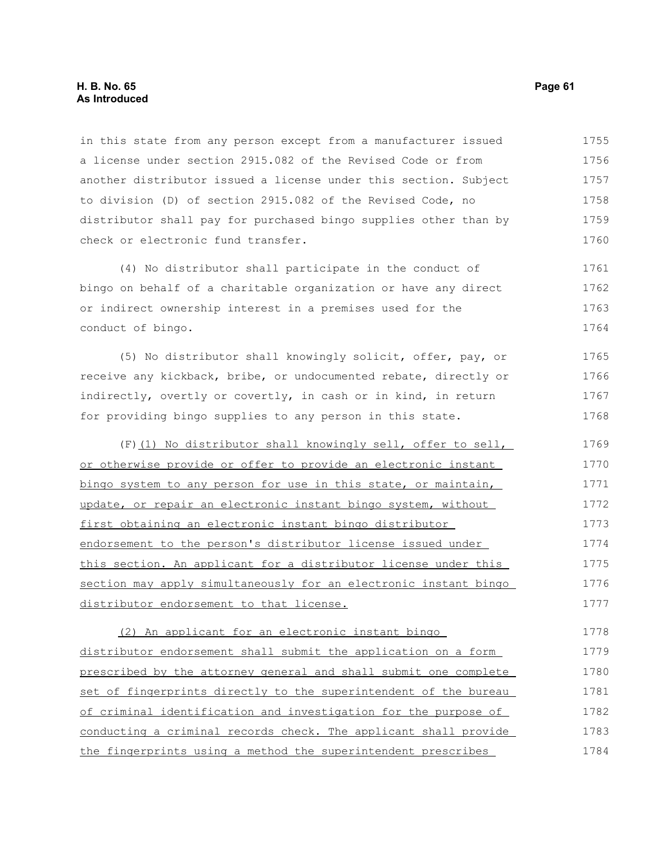# **H. B. No. 65 Page 61 As Introduced**

in this state from any person except from a manufacturer issued a license under section 2915.082 of the Revised Code or from another distributor issued a license under this section. Subject to division (D) of section 2915.082 of the Revised Code, no distributor shall pay for purchased bingo supplies other than by check or electronic fund transfer. 1755 1756 1757 1758 1759 1760

(4) No distributor shall participate in the conduct of bingo on behalf of a charitable organization or have any direct or indirect ownership interest in a premises used for the conduct of bingo. 1761 1762 1763 1764

(5) No distributor shall knowingly solicit, offer, pay, or receive any kickback, bribe, or undocumented rebate, directly or indirectly, overtly or covertly, in cash or in kind, in return for providing bingo supplies to any person in this state. 1765 1766 1767 1768

(F)(1) No distributor shall knowingly sell, offer to sell, or otherwise provide or offer to provide an electronic instant bingo system to any person for use in this state, or maintain, update, or repair an electronic instant bingo system, without first obtaining an electronic instant bingo distributor endorsement to the person's distributor license issued under this section. An applicant for a distributor license under this section may apply simultaneously for an electronic instant bingo distributor endorsement to that license. 1769 1770 1771 1772 1773 1774 1775 1776 1777

(2) An applicant for an electronic instant bingo distributor endorsement shall submit the application on a form prescribed by the attorney general and shall submit one complete set of fingerprints directly to the superintendent of the bureau of criminal identification and investigation for the purpose of conducting a criminal records check. The applicant shall provide the fingerprints using a method the superintendent prescribes 1778 1779 1780 1781 1782 1783 1784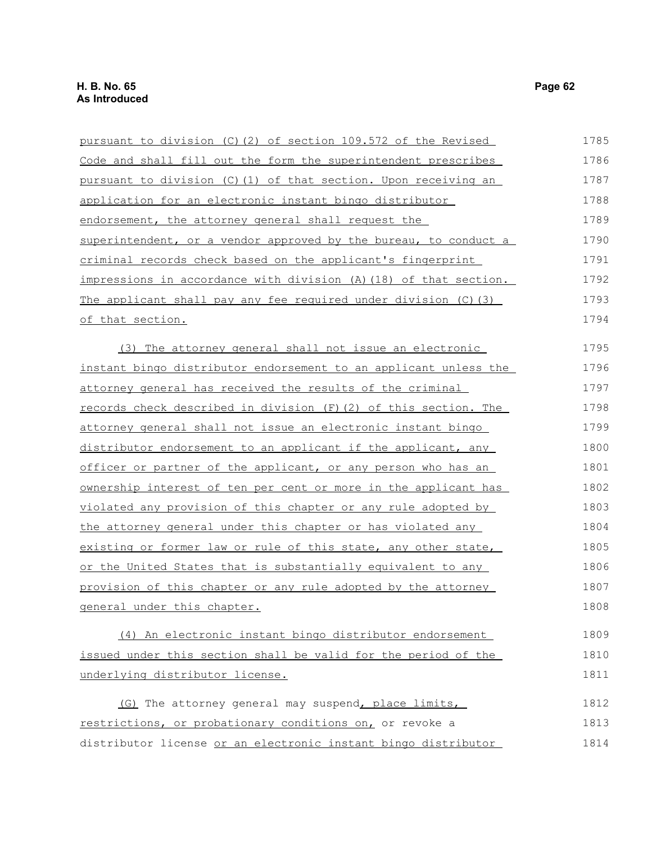| pursuant to division (C)(2) of section 109.572 of the Revised     | 1785 |
|-------------------------------------------------------------------|------|
| Code and shall fill out the form the superintendent prescribes    | 1786 |
| pursuant to division (C)(1) of that section. Upon receiving an    | 1787 |
| application for an electronic instant bingo distributor           | 1788 |
| endorsement, the attorney general shall request the               | 1789 |
| superintendent, or a vendor approved by the bureau, to conduct a  | 1790 |
| criminal records check based on the applicant's fingerprint       | 1791 |
| impressions in accordance with division (A) (18) of that section. | 1792 |
| The applicant shall pay any fee required under division (C) (3)   | 1793 |
| of that section.                                                  | 1794 |
| (3) The attorney general shall not issue an electronic            | 1795 |
| instant bingo distributor endorsement to an applicant unless the  | 1796 |
| attorney general has received the results of the criminal         | 1797 |
| records check described in division (F) (2) of this section. The  | 1798 |
| attorney general shall not issue an electronic instant bingo      | 1799 |
| distributor endorsement to an applicant if the applicant, any     | 1800 |
| officer or partner of the applicant, or any person who has an     | 1801 |
| ownership interest of ten per cent or more in the applicant has   | 1802 |
| violated any provision of this chapter or any rule adopted by     | 1803 |
| the attorney general under this chapter or has violated any       | 1804 |
| existing or former law or rule of this state, any other state,    | 1805 |
| or the United States that is substantially equivalent to any      | 1806 |
| provision of this chapter or any rule adopted by the attorney     | 1807 |
| general under this chapter.                                       | 1808 |
| (4) An electronic instant bingo distributor endorsement           | 1809 |
| issued under this section shall be valid for the period of the    | 1810 |
| underlying distributor license.                                   | 1811 |
| (G) The attorney general may suspend, place limits,               | 1812 |
| restrictions, or probationary conditions on, or revoke a          | 1813 |
| distributor license or an electronic instant bingo distributor    | 1814 |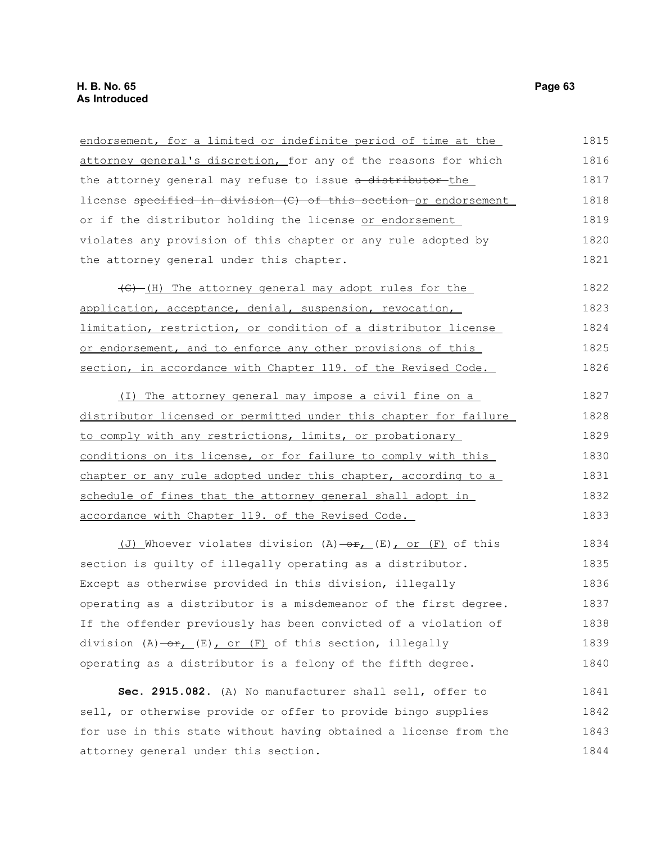| endorsement, for a limited or indefinite period of time at the                         | 1815 |
|----------------------------------------------------------------------------------------|------|
| attorney general's discretion, for any of the reasons for which                        | 1816 |
| the attorney general may refuse to issue a distributor the                             | 1817 |
| license specified in division (C) of this section or endorsement                       | 1818 |
| or if the distributor holding the license or endorsement                               | 1819 |
| violates any provision of this chapter or any rule adopted by                          | 1820 |
| the attorney general under this chapter.                                               | 1821 |
| (G) (H) The attorney general may adopt rules for the                                   | 1822 |
| application, acceptance, denial, suspension, revocation,                               | 1823 |
| limitation, restriction, or condition of a distributor license                         | 1824 |
| or endorsement, and to enforce any other provisions of this                            | 1825 |
| section, in accordance with Chapter 119. of the Revised Code.                          | 1826 |
| (I) The attorney general may impose a civil fine on a                                  | 1827 |
| distributor licensed or permitted under this chapter for failure                       | 1828 |
| to comply with any restrictions, limits, or probationary                               | 1829 |
| conditions on its license, or for failure to comply with this                          | 1830 |
| chapter or any rule adopted under this chapter, according to a                         | 1831 |
| schedule of fines that the attorney general shall adopt in                             | 1832 |
| accordance with Chapter 119. of the Revised Code.                                      | 1833 |
| (J) Whoever violates division $(A)$ $\rightarrow$ $E$ <sub>1</sub> (E), or (F) of this | 1834 |
| section is guilty of illegally operating as a distributor.                             | 1835 |
| Except as otherwise provided in this division, illegally                               | 1836 |
| operating as a distributor is a misdemeanor of the first degree.                       | 1837 |
| If the offender previously has been convicted of a violation of                        | 1838 |
| division $(A) - or (E)$ , or $(F)$ of this section, illegally                          | 1839 |
| operating as a distributor is a felony of the fifth degree.                            | 1840 |
| Sec. 2915.082. (A) No manufacturer shall sell, offer to                                | 1841 |
| sell, or otherwise provide or offer to provide bingo supplies                          | 1842 |
| for use in this state without having obtained a license from the                       | 1843 |

attorney general under this section.

1844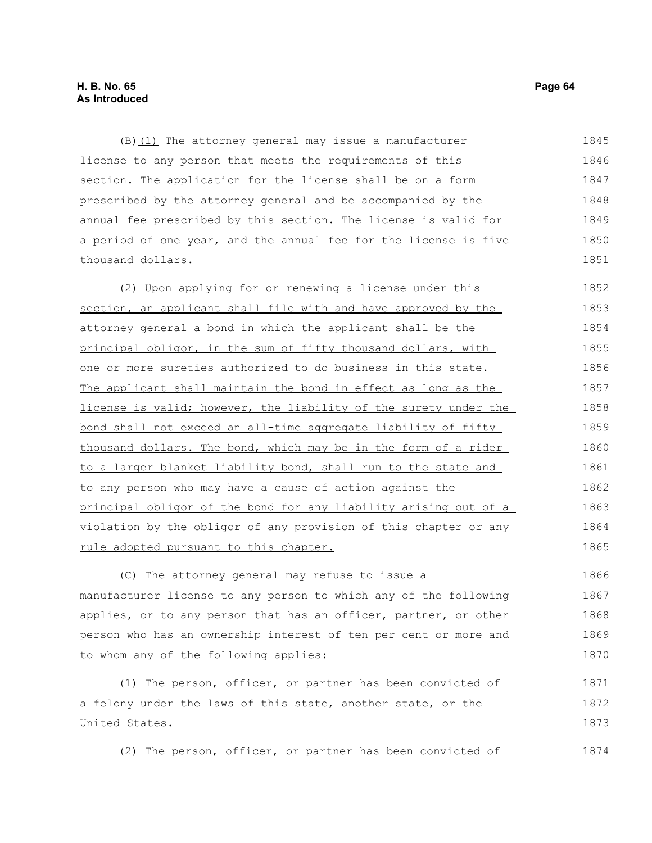$(B)$  (1) The attorney general may issue a manufacturer license to any person that meets the requirements of this section. The application for the license shall be on a form prescribed by the attorney general and be accompanied by the annual fee prescribed by this section. The license is valid for a period of one year, and the annual fee for the license is five thousand dollars. 1845 1846 1847 1848 1849 1850 1851

(2) Upon applying for or renewing a license under this section, an applicant shall file with and have approved by the attorney general a bond in which the applicant shall be the principal obligor, in the sum of fifty thousand dollars, with one or more sureties authorized to do business in this state. The applicant shall maintain the bond in effect as long as the license is valid; however, the liability of the surety under the bond shall not exceed an all-time aggregate liability of fifty thousand dollars. The bond, which may be in the form of a rider to a larger blanket liability bond, shall run to the state and to any person who may have a cause of action against the principal obligor of the bond for any liability arising out of a violation by the obligor of any provision of this chapter or any rule adopted pursuant to this chapter. 1852 1853 1854 1855 1856 1857 1858 1859 1860 1861 1862 1863 1864 1865

(C) The attorney general may refuse to issue a manufacturer license to any person to which any of the following applies, or to any person that has an officer, partner, or other person who has an ownership interest of ten per cent or more and to whom any of the following applies: 1866 1867 1868 1869 1870

(1) The person, officer, or partner has been convicted of a felony under the laws of this state, another state, or the United States. 1871 1872 1873

(2) The person, officer, or partner has been convicted of 1874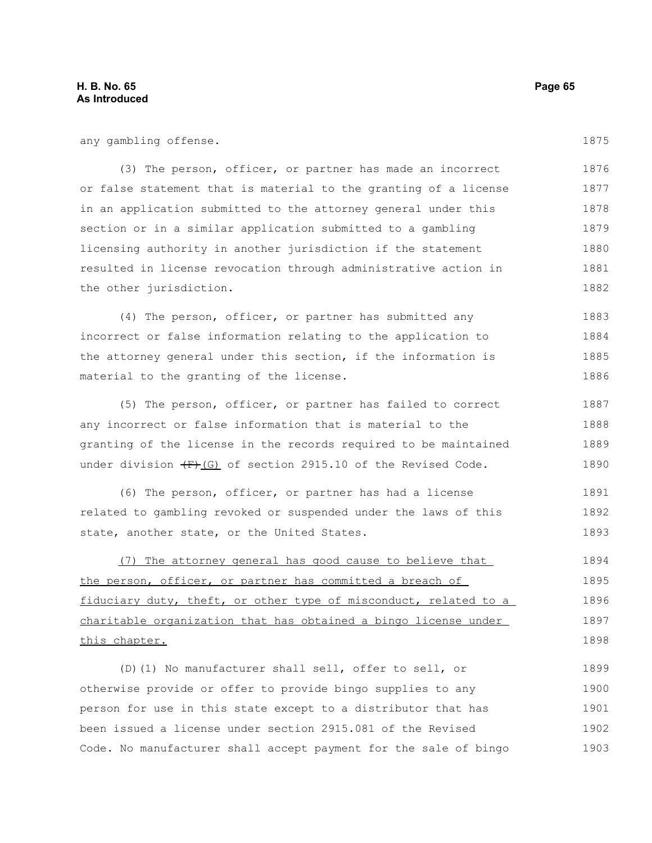any gambling offense.

(3) The person, officer, or partner has made an incorrect or false statement that is material to the granting of a license in an application submitted to the attorney general under this section or in a similar application submitted to a gambling licensing authority in another jurisdiction if the statement resulted in license revocation through administrative action in the other jurisdiction. 1876 1877 1878 1879 1880 1881 1882

(4) The person, officer, or partner has submitted any incorrect or false information relating to the application to the attorney general under this section, if the information is material to the granting of the license. 1883 1884 1885 1886

(5) The person, officer, or partner has failed to correct any incorrect or false information that is material to the granting of the license in the records required to be maintained under division  $(E)$  (G) of section 2915.10 of the Revised Code. 1887 1888 1889 1890

(6) The person, officer, or partner has had a license related to gambling revoked or suspended under the laws of this state, another state, or the United States. 1891 1892 1893

(7) The attorney general has good cause to believe that the person, officer, or partner has committed a breach of fiduciary duty, theft, or other type of misconduct, related to a charitable organization that has obtained a bingo license under this chapter. 1894 1895 1896 1897 1898

(D)(1) No manufacturer shall sell, offer to sell, or otherwise provide or offer to provide bingo supplies to any person for use in this state except to a distributor that has been issued a license under section 2915.081 of the Revised Code. No manufacturer shall accept payment for the sale of bingo 1899 1900 1901 1902 1903

1875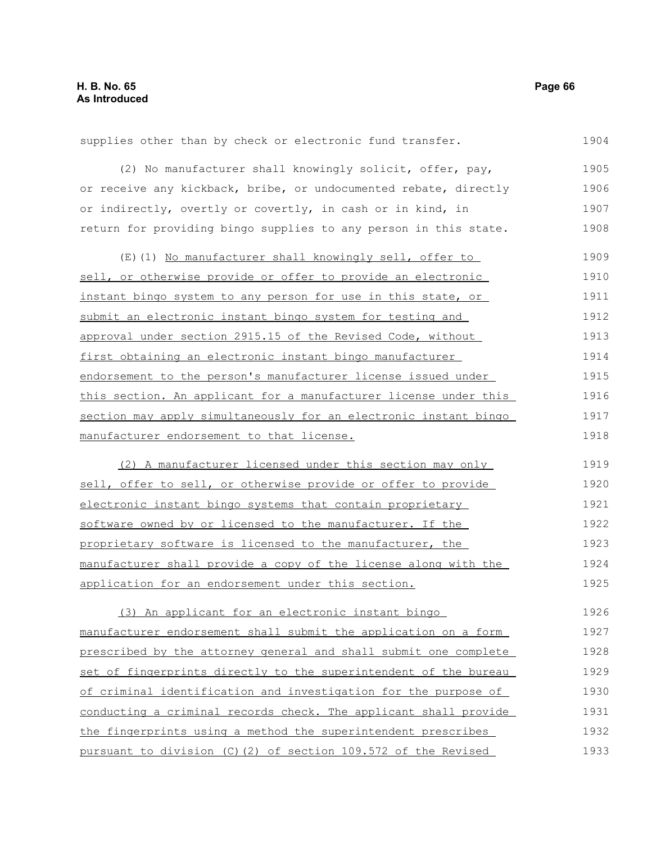supplies other than by check or electronic fund transfer. 1904

(2) No manufacturer shall knowingly solicit, offer, pay, or receive any kickback, bribe, or undocumented rebate, directly or indirectly, overtly or covertly, in cash or in kind, in return for providing bingo supplies to any person in this state. 1905 1906 1907 1908

(E)(1) No manufacturer shall knowingly sell, offer to sell, or otherwise provide or offer to provide an electronic instant bingo system to any person for use in this state, or submit an electronic instant bingo system for testing and approval under section 2915.15 of the Revised Code, without first obtaining an electronic instant bingo manufacturer endorsement to the person's manufacturer license issued under this section. An applicant for a manufacturer license under this section may apply simultaneously for an electronic instant bingo manufacturer endorsement to that license. 1909 1910 1911 1912 1913 1914 1915 1916 1917 1918

(2) A manufacturer licensed under this section may only sell, offer to sell, or otherwise provide or offer to provide electronic instant bingo systems that contain proprietary software owned by or licensed to the manufacturer. If the proprietary software is licensed to the manufacturer, the manufacturer shall provide a copy of the license along with the application for an endorsement under this section. 1919 1920 1921 1922 1923 1924 1925

(3) An applicant for an electronic instant bingo manufacturer endorsement shall submit the application on a form prescribed by the attorney general and shall submit one complete set of fingerprints directly to the superintendent of the bureau of criminal identification and investigation for the purpose of conducting a criminal records check. The applicant shall provide the fingerprints using a method the superintendent prescribes pursuant to division (C)(2) of section 109.572 of the Revised 1926 1927 1928 1929 1930 1931 1932 1933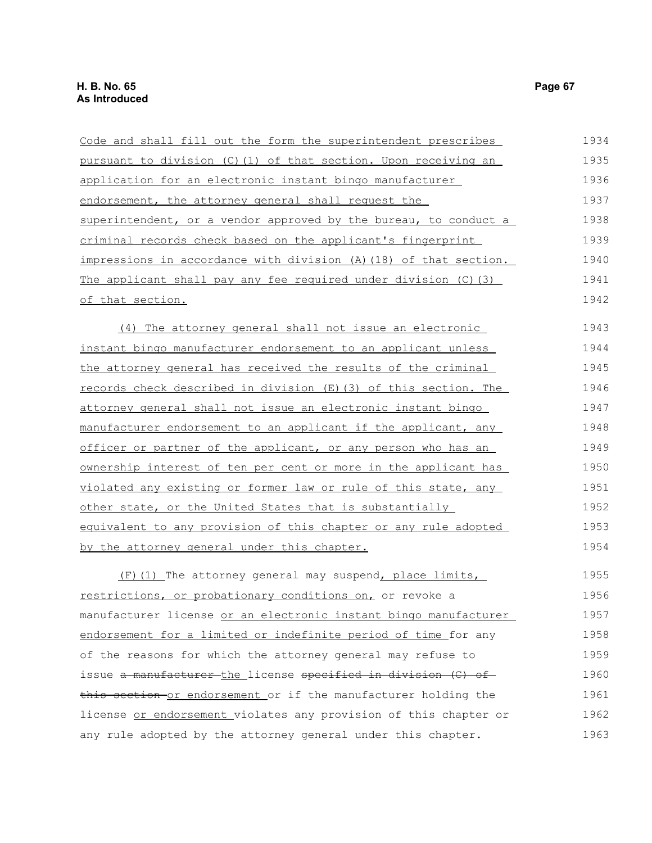| Code and shall fill out the form the superintendent prescribes    | 1934 |
|-------------------------------------------------------------------|------|
| pursuant to division (C)(1) of that section. Upon receiving an    | 1935 |
| application for an electronic instant bingo manufacturer          | 1936 |
| endorsement, the attorney general shall request the               | 1937 |
| superintendent, or a vendor approved by the bureau, to conduct a  | 1938 |
| criminal records check based on the applicant's fingerprint       | 1939 |
| impressions in accordance with division (A) (18) of that section. | 1940 |
| The applicant shall pay any fee required under division (C)(3)    | 1941 |
| of that section.                                                  | 1942 |
| (4) The attorney general shall not issue an electronic            | 1943 |
| instant bingo manufacturer endorsement to an applicant unless     | 1944 |
| the attorney general has received the results of the criminal     | 1945 |
| records check described in division (E) (3) of this section. The  | 1946 |
| attorney general shall not issue an electronic instant bingo      | 1947 |
| manufacturer endorsement to an applicant if the applicant, any    | 1948 |
| officer or partner of the applicant, or any person who has an     | 1949 |
| ownership interest of ten per cent or more in the applicant has   | 1950 |
| violated any existing or former law or rule of this state, any    | 1951 |
| other state, or the United States that is substantially           | 1952 |
| equivalent to any provision of this chapter or any rule adopted   | 1953 |
| by the attorney general under this chapter.                       | 1954 |
| (F) (1) The attorney general may suspend, place limits,           | 1955 |
| restrictions, or probationary conditions on, or revoke a          | 1956 |
| manufacturer license or an electronic instant bingo manufacturer  | 1957 |
| endorsement for a limited or indefinite period of time for any    | 1958 |
| of the reasons for which the attorney general may refuse to       | 1959 |
| issue a manufacturer the license specified in division (C) of     | 1960 |
| this section or endorsement or if the manufacturer holding the    | 1961 |
| license or endorsement violates any provision of this chapter or  | 1962 |

1963

any rule adopted by the attorney general under this chapter.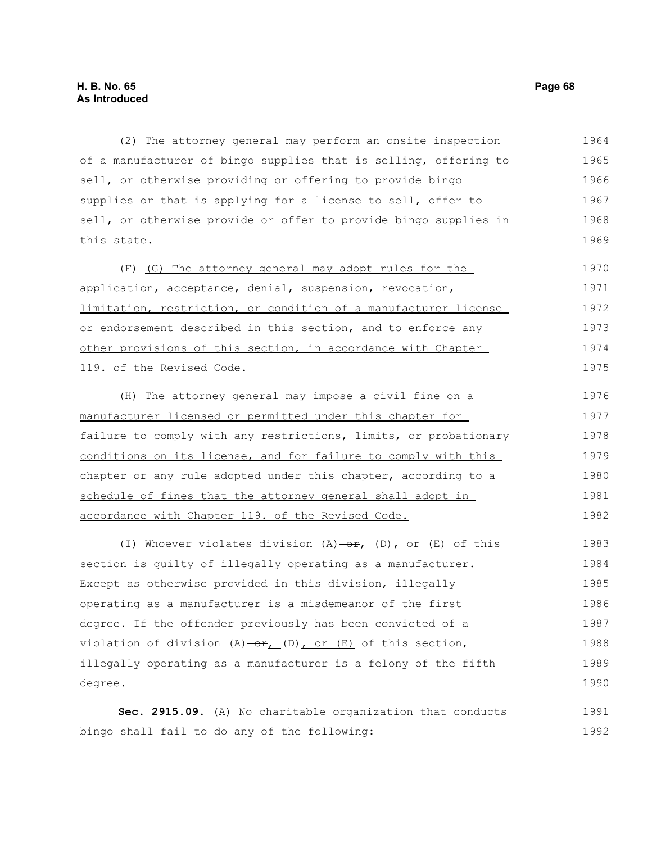(2) The attorney general may perform an onsite inspection of a manufacturer of bingo supplies that is selling, offering to sell, or otherwise providing or offering to provide bingo supplies or that is applying for a license to sell, offer to sell, or otherwise provide or offer to provide bingo supplies in this state. 1964 1965 1966 1967 1968 1969

(F) (G) The attorney general may adopt rules for the application, acceptance, denial, suspension, revocation, limitation, restriction, or condition of a manufacturer license or endorsement described in this section, and to enforce any other provisions of this section, in accordance with Chapter 119. of the Revised Code. 1970 1971 1972 1973 1974 1975

(H) The attorney general may impose a civil fine on a manufacturer licensed or permitted under this chapter for failure to comply with any restrictions, limits, or probationary conditions on its license, and for failure to comply with this chapter or any rule adopted under this chapter, according to a schedule of fines that the attorney general shall adopt in accordance with Chapter 119. of the Revised Code. 1976 1977 1978 1979 1980 1981 1982

 $(1)$  Whoever violates division  $(A)$  -or,  $(D)$ , or  $(E)$  of this section is guilty of illegally operating as a manufacturer. Except as otherwise provided in this division, illegally operating as a manufacturer is a misdemeanor of the first degree. If the offender previously has been convicted of a violation of division  $(A)$  -or,  $(D)$ , or  $(E)$  of this section, illegally operating as a manufacturer is a felony of the fifth degree. 1983 1984 1985 1986 1987 1988 1989 1990

**Sec. 2915.09.** (A) No charitable organization that conducts bingo shall fail to do any of the following: 1991 1992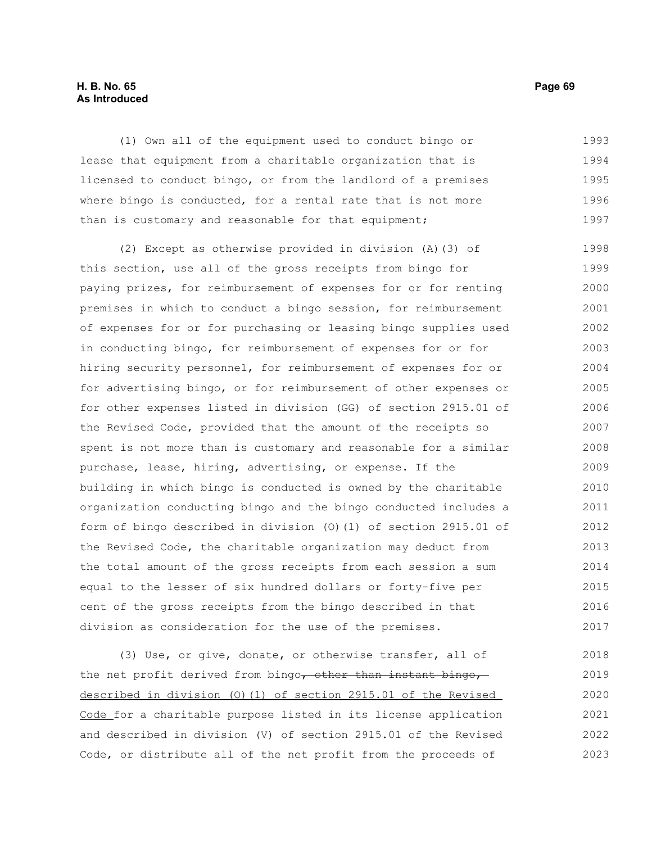## **H. B. No. 65 Page 69 As Introduced**

(1) Own all of the equipment used to conduct bingo or lease that equipment from a charitable organization that is licensed to conduct bingo, or from the landlord of a premises where bingo is conducted, for a rental rate that is not more than is customary and reasonable for that equipment; 1993 1994 1995 1996 1997

(2) Except as otherwise provided in division (A)(3) of this section, use all of the gross receipts from bingo for paying prizes, for reimbursement of expenses for or for renting premises in which to conduct a bingo session, for reimbursement of expenses for or for purchasing or leasing bingo supplies used in conducting bingo, for reimbursement of expenses for or for hiring security personnel, for reimbursement of expenses for or for advertising bingo, or for reimbursement of other expenses or for other expenses listed in division (GG) of section 2915.01 of the Revised Code, provided that the amount of the receipts so spent is not more than is customary and reasonable for a similar purchase, lease, hiring, advertising, or expense. If the building in which bingo is conducted is owned by the charitable organization conducting bingo and the bingo conducted includes a form of bingo described in division (O)(1) of section 2915.01 of the Revised Code, the charitable organization may deduct from the total amount of the gross receipts from each session a sum equal to the lesser of six hundred dollars or forty-five per cent of the gross receipts from the bingo described in that division as consideration for the use of the premises. 1998 1999 2000 2001 2002 2003 2004 2005 2006 2007 2008 2009 2010 2011 2012 2013 2014 2015 2016 2017

(3) Use, or give, donate, or otherwise transfer, all of the net profit derived from bingo, other than instant bingo, described in division (O)(1) of section 2915.01 of the Revised Code for a charitable purpose listed in its license application and described in division (V) of section 2915.01 of the Revised Code, or distribute all of the net profit from the proceeds of 2018 2019 2020 2021 2022 2023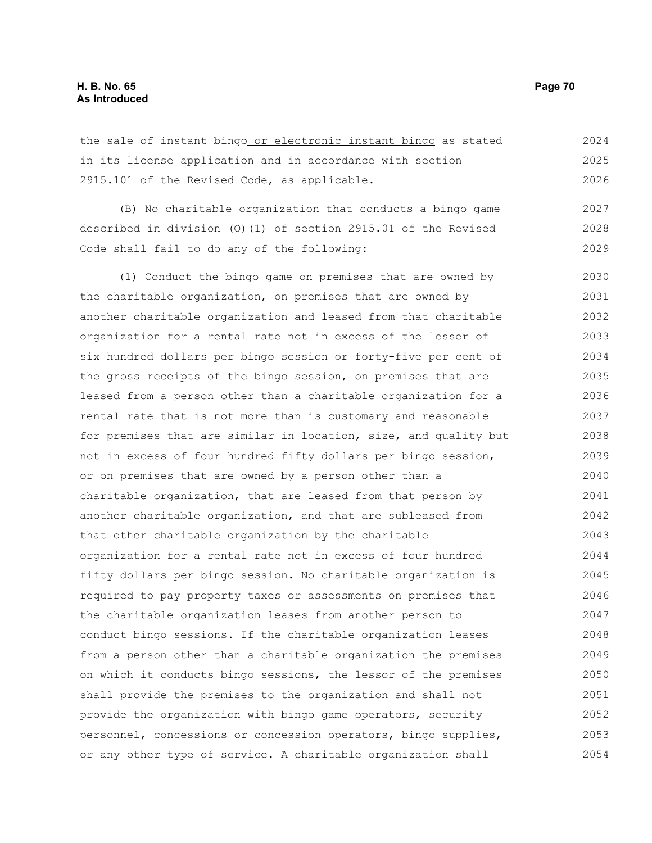the sale of instant bingo or electronic instant bingo as stated in its license application and in accordance with section 2915.101 of the Revised Code, as applicable. 2024 2025 2026

(B) No charitable organization that conducts a bingo game described in division (O)(1) of section 2915.01 of the Revised Code shall fail to do any of the following: 2027 2028 2029

(1) Conduct the bingo game on premises that are owned by the charitable organization, on premises that are owned by another charitable organization and leased from that charitable organization for a rental rate not in excess of the lesser of six hundred dollars per bingo session or forty-five per cent of the gross receipts of the bingo session, on premises that are leased from a person other than a charitable organization for a rental rate that is not more than is customary and reasonable for premises that are similar in location, size, and quality but not in excess of four hundred fifty dollars per bingo session, or on premises that are owned by a person other than a charitable organization, that are leased from that person by another charitable organization, and that are subleased from that other charitable organization by the charitable organization for a rental rate not in excess of four hundred fifty dollars per bingo session. No charitable organization is required to pay property taxes or assessments on premises that the charitable organization leases from another person to conduct bingo sessions. If the charitable organization leases from a person other than a charitable organization the premises on which it conducts bingo sessions, the lessor of the premises shall provide the premises to the organization and shall not provide the organization with bingo game operators, security personnel, concessions or concession operators, bingo supplies, or any other type of service. A charitable organization shall 2030 2031 2032 2033 2034 2035 2036 2037 2038 2039 2040 2041 2042 2043 2044 2045 2046 2047 2048 2049 2050 2051 2052 2053 2054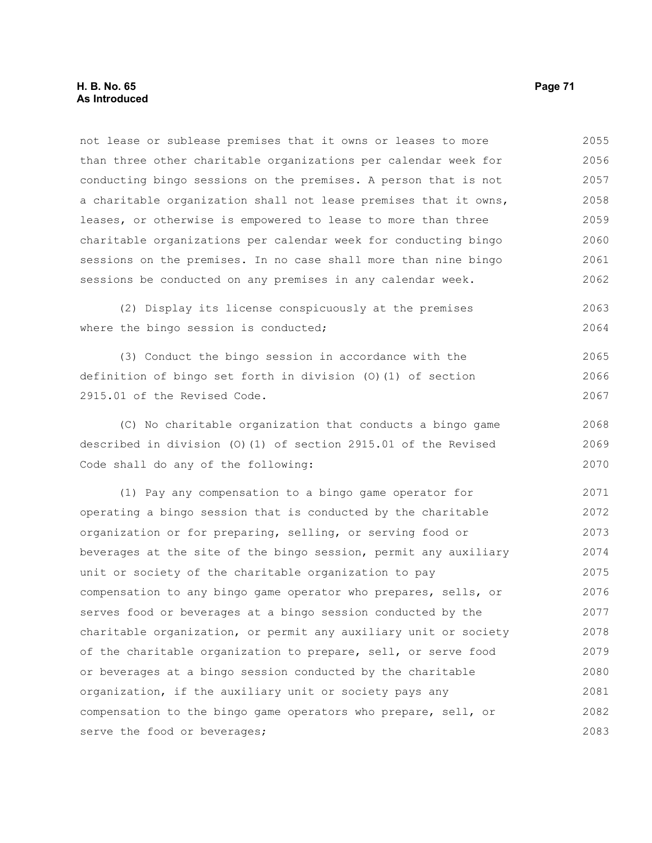not lease or sublease premises that it owns or leases to more than three other charitable organizations per calendar week for conducting bingo sessions on the premises. A person that is not a charitable organization shall not lease premises that it owns, leases, or otherwise is empowered to lease to more than three charitable organizations per calendar week for conducting bingo sessions on the premises. In no case shall more than nine bingo sessions be conducted on any premises in any calendar week. 2055 2056 2057 2058 2059 2060 2061 2062

(2) Display its license conspicuously at the premises where the bingo session is conducted; 2063 2064

(3) Conduct the bingo session in accordance with the definition of bingo set forth in division (O)(1) of section 2915.01 of the Revised Code. 2065 2066 2067

(C) No charitable organization that conducts a bingo game described in division (O)(1) of section 2915.01 of the Revised Code shall do any of the following: 2068 2069 2070

(1) Pay any compensation to a bingo game operator for operating a bingo session that is conducted by the charitable organization or for preparing, selling, or serving food or beverages at the site of the bingo session, permit any auxiliary unit or society of the charitable organization to pay compensation to any bingo game operator who prepares, sells, or serves food or beverages at a bingo session conducted by the charitable organization, or permit any auxiliary unit or society of the charitable organization to prepare, sell, or serve food or beverages at a bingo session conducted by the charitable organization, if the auxiliary unit or society pays any compensation to the bingo game operators who prepare, sell, or serve the food or beverages; 2071 2072 2073 2074 2075 2076 2077 2078 2079 2080 2081 2082 2083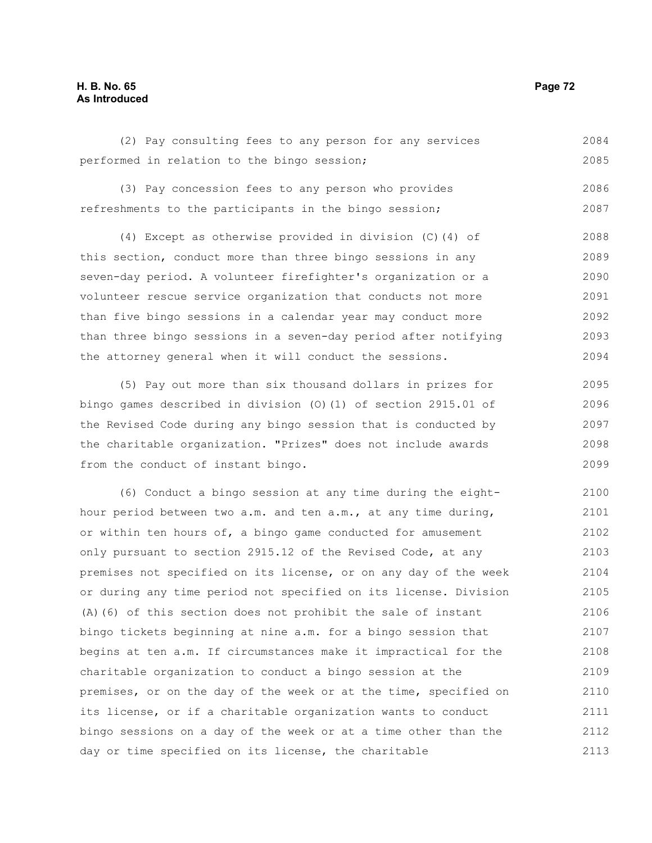# **H. B. No. 65 Page 72 As Introduced**

(2) Pay consulting fees to any person for any services performed in relation to the bingo session; 2084 2085

(3) Pay concession fees to any person who provides refreshments to the participants in the bingo session; 2086 2087

(4) Except as otherwise provided in division (C)(4) of this section, conduct more than three bingo sessions in any seven-day period. A volunteer firefighter's organization or a volunteer rescue service organization that conducts not more than five bingo sessions in a calendar year may conduct more than three bingo sessions in a seven-day period after notifying the attorney general when it will conduct the sessions. 2088 2089 2090 2091 2092 2093 2094

(5) Pay out more than six thousand dollars in prizes for bingo games described in division (O)(1) of section 2915.01 of the Revised Code during any bingo session that is conducted by the charitable organization. "Prizes" does not include awards from the conduct of instant bingo. 2095 2096 2097 2098 2099

(6) Conduct a bingo session at any time during the eighthour period between two a.m. and ten a.m., at any time during, or within ten hours of, a bingo game conducted for amusement only pursuant to section 2915.12 of the Revised Code, at any premises not specified on its license, or on any day of the week or during any time period not specified on its license. Division (A)(6) of this section does not prohibit the sale of instant bingo tickets beginning at nine a.m. for a bingo session that begins at ten a.m. If circumstances make it impractical for the charitable organization to conduct a bingo session at the premises, or on the day of the week or at the time, specified on its license, or if a charitable organization wants to conduct bingo sessions on a day of the week or at a time other than the day or time specified on its license, the charitable 2100 2101 2102 2103 2104 2105 2106 2107 2108 2109 2110 2111 2112 2113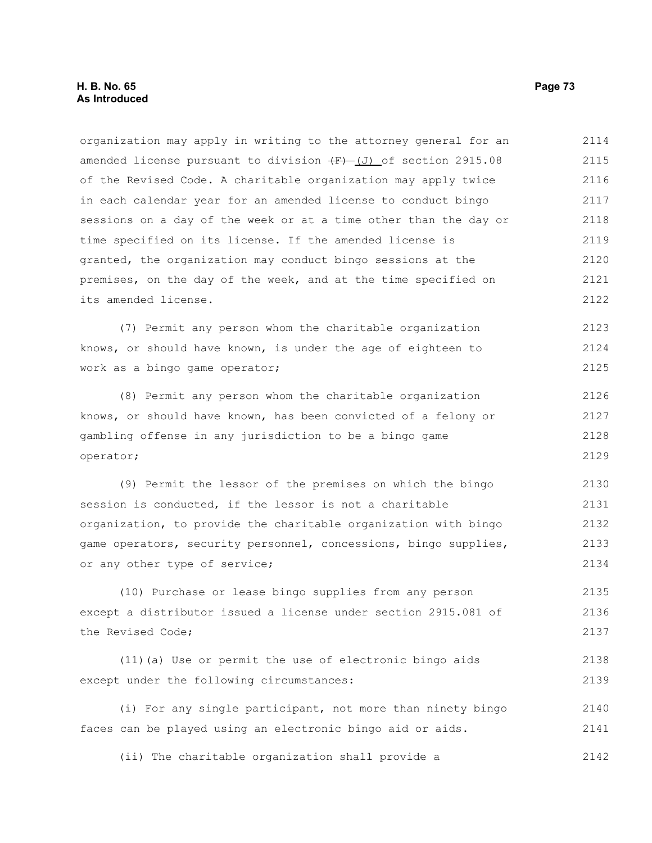organization may apply in writing to the attorney general for an amended license pursuant to division  $\overline{(F) - (J)}$  of section 2915.08 of the Revised Code. A charitable organization may apply twice in each calendar year for an amended license to conduct bingo sessions on a day of the week or at a time other than the day or time specified on its license. If the amended license is granted, the organization may conduct bingo sessions at the premises, on the day of the week, and at the time specified on its amended license. 2114 2115 2116 2117 2118 2119 2120 2121 2122

(7) Permit any person whom the charitable organization knows, or should have known, is under the age of eighteen to work as a bingo game operator; 2123 2124 2125

(8) Permit any person whom the charitable organization knows, or should have known, has been convicted of a felony or gambling offense in any jurisdiction to be a bingo game operator; 2126 2127 2128 2129

(9) Permit the lessor of the premises on which the bingo session is conducted, if the lessor is not a charitable organization, to provide the charitable organization with bingo game operators, security personnel, concessions, bingo supplies, or any other type of service; 2130 2131 2132 2133 2134

(10) Purchase or lease bingo supplies from any person except a distributor issued a license under section 2915.081 of the Revised Code; 2135 2136 2137

(11)(a) Use or permit the use of electronic bingo aids except under the following circumstances: 2138 2139

(i) For any single participant, not more than ninety bingo faces can be played using an electronic bingo aid or aids. 2140 2141

(ii) The charitable organization shall provide a 2142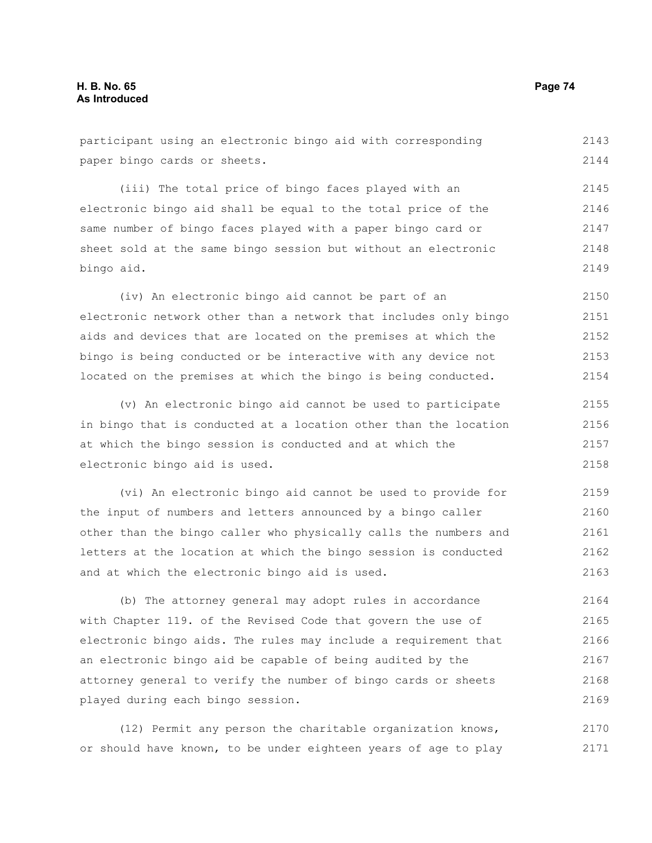participant using an electronic bingo aid with corresponding paper bingo cards or sheets. (iii) The total price of bingo faces played with an electronic bingo aid shall be equal to the total price of the same number of bingo faces played with a paper bingo card or 2143 2144 2145 2146 2147

sheet sold at the same bingo session but without an electronic bingo aid. 2148 2149

(iv) An electronic bingo aid cannot be part of an electronic network other than a network that includes only bingo aids and devices that are located on the premises at which the bingo is being conducted or be interactive with any device not located on the premises at which the bingo is being conducted. 2150 2151 2152 2153 2154

(v) An electronic bingo aid cannot be used to participate in bingo that is conducted at a location other than the location at which the bingo session is conducted and at which the electronic bingo aid is used.

(vi) An electronic bingo aid cannot be used to provide for the input of numbers and letters announced by a bingo caller other than the bingo caller who physically calls the numbers and letters at the location at which the bingo session is conducted and at which the electronic bingo aid is used. 2159 2160 2161 2162 2163

(b) The attorney general may adopt rules in accordance with Chapter 119. of the Revised Code that govern the use of electronic bingo aids. The rules may include a requirement that an electronic bingo aid be capable of being audited by the attorney general to verify the number of bingo cards or sheets played during each bingo session. 2164 2165 2166 2167 2168 2169

(12) Permit any person the charitable organization knows, or should have known, to be under eighteen years of age to play 2170 2171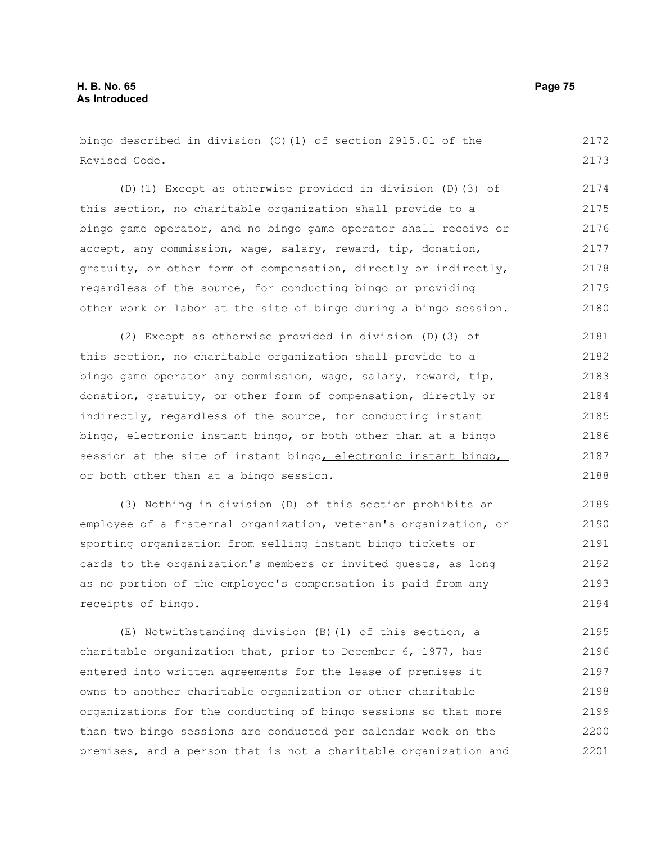bingo described in division (O)(1) of section 2915.01 of the Revised Code. 2172 2173

(D)(1) Except as otherwise provided in division (D)(3) of this section, no charitable organization shall provide to a bingo game operator, and no bingo game operator shall receive or accept, any commission, wage, salary, reward, tip, donation, gratuity, or other form of compensation, directly or indirectly, regardless of the source, for conducting bingo or providing other work or labor at the site of bingo during a bingo session. 2174 2175 2176 2177 2178 2179 2180

(2) Except as otherwise provided in division (D)(3) of this section, no charitable organization shall provide to a bingo game operator any commission, wage, salary, reward, tip, donation, gratuity, or other form of compensation, directly or indirectly, regardless of the source, for conducting instant bingo, electronic instant bingo, or both other than at a bingo session at the site of instant bingo, electronic instant bingo, or both other than at a bingo session. 2181 2182 2183 2184 2185 2186 2187 2188

(3) Nothing in division (D) of this section prohibits an employee of a fraternal organization, veteran's organization, or sporting organization from selling instant bingo tickets or cards to the organization's members or invited guests, as long as no portion of the employee's compensation is paid from any receipts of bingo. 2189 2190 2191 2192 2193 2194

(E) Notwithstanding division (B)(1) of this section, a charitable organization that, prior to December 6, 1977, has entered into written agreements for the lease of premises it owns to another charitable organization or other charitable organizations for the conducting of bingo sessions so that more than two bingo sessions are conducted per calendar week on the premises, and a person that is not a charitable organization and 2195 2196 2197 2198 2199 2200 2201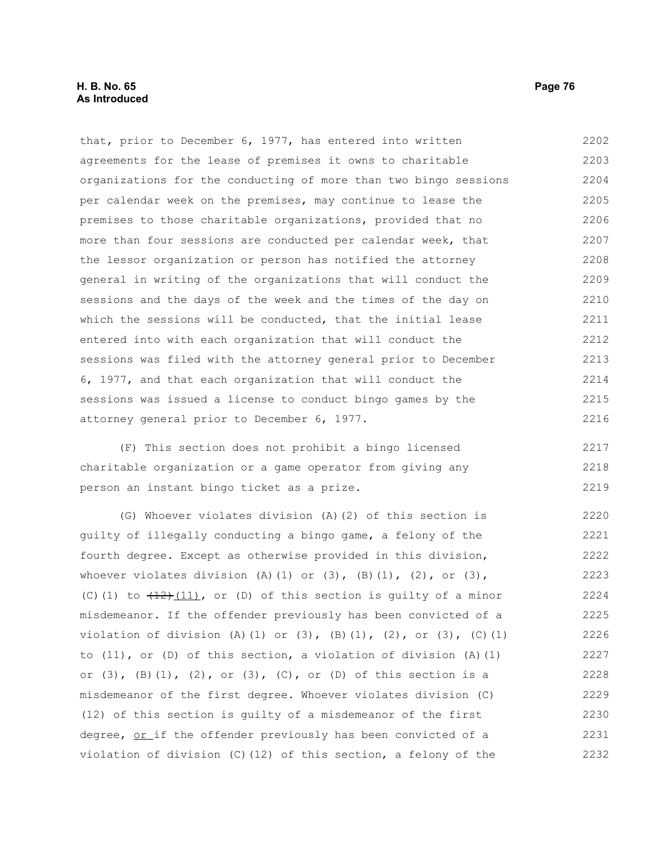that, prior to December 6, 1977, has entered into written agreements for the lease of premises it owns to charitable organizations for the conducting of more than two bingo sessions per calendar week on the premises, may continue to lease the premises to those charitable organizations, provided that no more than four sessions are conducted per calendar week, that the lessor organization or person has notified the attorney general in writing of the organizations that will conduct the sessions and the days of the week and the times of the day on which the sessions will be conducted, that the initial lease entered into with each organization that will conduct the sessions was filed with the attorney general prior to December 6, 1977, and that each organization that will conduct the sessions was issued a license to conduct bingo games by the attorney general prior to December 6, 1977. 2202 2203 2204 2205 2206 2207 2208 2209 2210 2211 2212 2213 2214 2215 2216

(F) This section does not prohibit a bingo licensed charitable organization or a game operator from giving any person an instant bingo ticket as a prize. 2217 2218 2219

(G) Whoever violates division (A)(2) of this section is guilty of illegally conducting a bingo game, a felony of the fourth degree. Except as otherwise provided in this division, whoever violates division (A)(1) or  $(3)$ ,  $(B)(1)$ ,  $(2)$ , or  $(3)$ , (C)(1) to  $(12)$  (11), or (D) of this section is guilty of a minor misdemeanor. If the offender previously has been convicted of a violation of division (A)(1) or (3),  $(B)(1)$ , (2), or (3), (C)(1) to (11), or (D) of this section, a violation of division (A)(1) or  $(3)$ ,  $(B) (1)$ ,  $(2)$ , or  $(3)$ ,  $(C)$ , or  $(D)$  of this section is a misdemeanor of the first degree. Whoever violates division (C) (12) of this section is guilty of a misdemeanor of the first degree, or if the offender previously has been convicted of a violation of division (C)(12) of this section, a felony of the 2220 2221 2222 2223 2224 2225 2226 2227 2228 2229 2230 2231 2232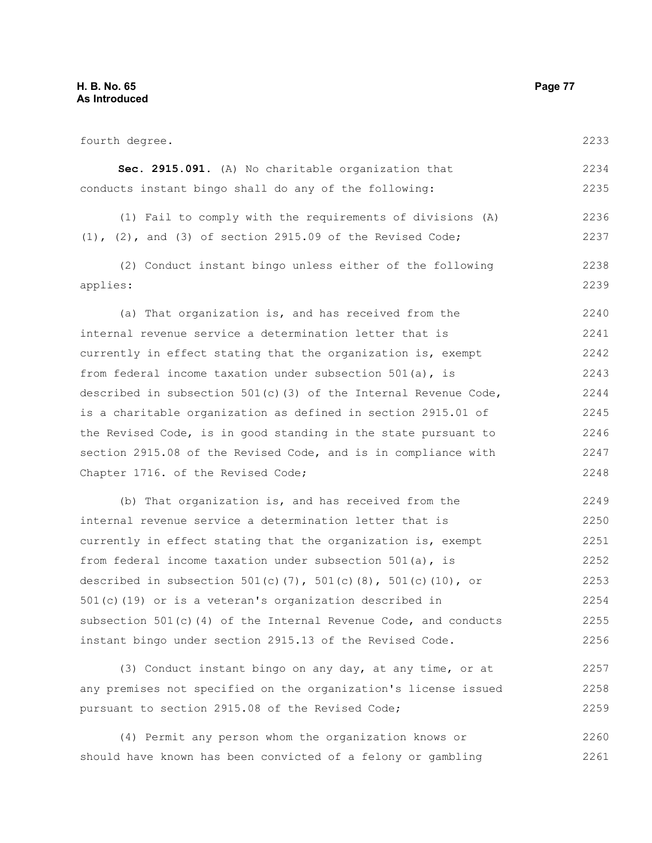| fourth degree.                                                     | 2233 |
|--------------------------------------------------------------------|------|
| Sec. 2915.091. (A) No charitable organization that                 | 2234 |
| conducts instant bingo shall do any of the following:              | 2235 |
| (1) Fail to comply with the requirements of divisions (A)          | 2236 |
| $(1)$ , $(2)$ , and $(3)$ of section 2915.09 of the Revised Code;  | 2237 |
| (2) Conduct instant bingo unless either of the following           | 2238 |
| applies:                                                           | 2239 |
| (a) That organization is, and has received from the                | 2240 |
| internal revenue service a determination letter that is            | 2241 |
| currently in effect stating that the organization is, exempt       | 2242 |
| from federal income taxation under subsection 501(a), is           | 2243 |
| described in subsection 501(c)(3) of the Internal Revenue Code,    | 2244 |
| is a charitable organization as defined in section 2915.01 of      | 2245 |
| the Revised Code, is in good standing in the state pursuant to     | 2246 |
| section 2915.08 of the Revised Code, and is in compliance with     | 2247 |
| Chapter 1716. of the Revised Code;                                 | 2248 |
| (b) That organization is, and has received from the                | 2249 |
| internal revenue service a determination letter that is            | 2250 |
| currently in effect stating that the organization is, exempt       | 2251 |
| from federal income taxation under subsection 501(a), is           | 2252 |
| described in subsection 501(c)(7), 501(c)(8), 501(c)(10), or       | 2253 |
| 501(c)(19) or is a veteran's organization described in             | 2254 |
| subsection $501(c)$ (4) of the Internal Revenue Code, and conducts | 2255 |
| instant bingo under section 2915.13 of the Revised Code.           | 2256 |
| (3) Conduct instant bingo on any day, at any time, or at           | 2257 |

any premises not specified on the organization's license issued pursuant to section 2915.08 of the Revised Code; 2258 2259

(4) Permit any person whom the organization knows or should have known has been convicted of a felony or gambling 2260 2261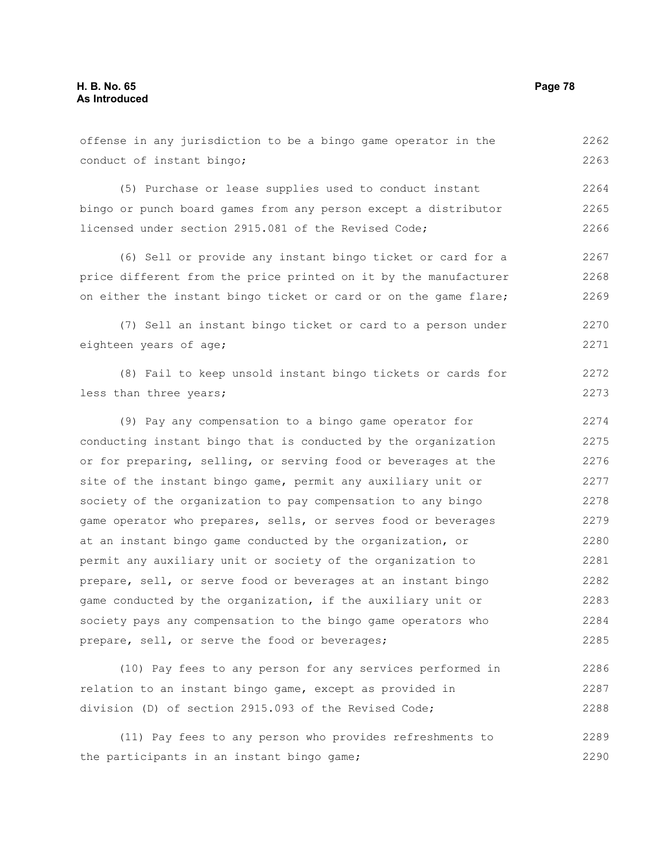| offense in any jurisdiction to be a bingo game operator in the   | 2262 |
|------------------------------------------------------------------|------|
| conduct of instant bingo;                                        | 2263 |
| (5) Purchase or lease supplies used to conduct instant           | 2264 |
| bingo or punch board games from any person except a distributor  | 2265 |
| licensed under section 2915.081 of the Revised Code;             | 2266 |
| (6) Sell or provide any instant bingo ticket or card for a       | 2267 |
| price different from the price printed on it by the manufacturer | 2268 |
| on either the instant bingo ticket or card or on the game flare; | 2269 |
| (7) Sell an instant bingo ticket or card to a person under       | 2270 |
| eighteen years of age;                                           | 2271 |
| (8) Fail to keep unsold instant bingo tickets or cards for       | 2272 |
| less than three years;                                           | 2273 |
| (9) Pay any compensation to a bingo game operator for            | 2274 |
| conducting instant bingo that is conducted by the organization   | 2275 |
| or for preparing, selling, or serving food or beverages at the   | 2276 |
| site of the instant bingo game, permit any auxiliary unit or     | 2277 |
| society of the organization to pay compensation to any bingo     | 2278 |
| game operator who prepares, sells, or serves food or beverages   | 2279 |
| at an instant bingo game conducted by the organization, or       | 2280 |
| permit any auxiliary unit or society of the organization to      | 2281 |
| prepare, sell, or serve food or beverages at an instant bingo    | 2282 |
| game conducted by the organization, if the auxiliary unit or     | 2283 |
| society pays any compensation to the bingo game operators who    | 2284 |
| prepare, sell, or serve the food or beverages;                   | 2285 |
| (10) Pay fees to any person for any services performed in        | 2286 |
| relation to an instant bingo game, except as provided in         | 2287 |
| division (D) of section 2915.093 of the Revised Code;            | 2288 |

(11) Pay fees to any person who provides refreshments to the participants in an instant bingo game; 2289 2290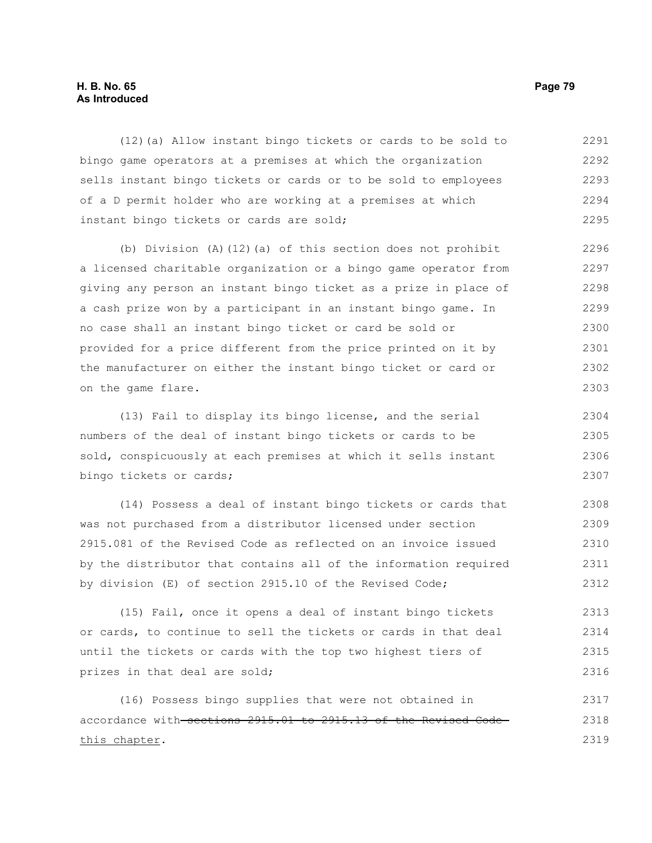## **H. B. No. 65 Page 79 As Introduced**

(12)(a) Allow instant bingo tickets or cards to be sold to bingo game operators at a premises at which the organization sells instant bingo tickets or cards or to be sold to employees of a D permit holder who are working at a premises at which instant bingo tickets or cards are sold; 2291 2292 2293 2294 2295

(b) Division (A)(12)(a) of this section does not prohibit a licensed charitable organization or a bingo game operator from giving any person an instant bingo ticket as a prize in place of a cash prize won by a participant in an instant bingo game. In no case shall an instant bingo ticket or card be sold or provided for a price different from the price printed on it by the manufacturer on either the instant bingo ticket or card or on the game flare. 2296 2297 2298 2299 2300 2301 2302 2303

(13) Fail to display its bingo license, and the serial numbers of the deal of instant bingo tickets or cards to be sold, conspicuously at each premises at which it sells instant bingo tickets or cards; 2304 2305 2306 2307

(14) Possess a deal of instant bingo tickets or cards that was not purchased from a distributor licensed under section 2915.081 of the Revised Code as reflected on an invoice issued by the distributor that contains all of the information required by division (E) of section 2915.10 of the Revised Code; 2308 2309 2310 2311 2312

(15) Fail, once it opens a deal of instant bingo tickets or cards, to continue to sell the tickets or cards in that deal until the tickets or cards with the top two highest tiers of prizes in that deal are sold; 2313 2314 2315 2316

(16) Possess bingo supplies that were not obtained in accordance with sections 2915.01 to 2915.13 of the Revised Code this chapter. 2317 2318 2319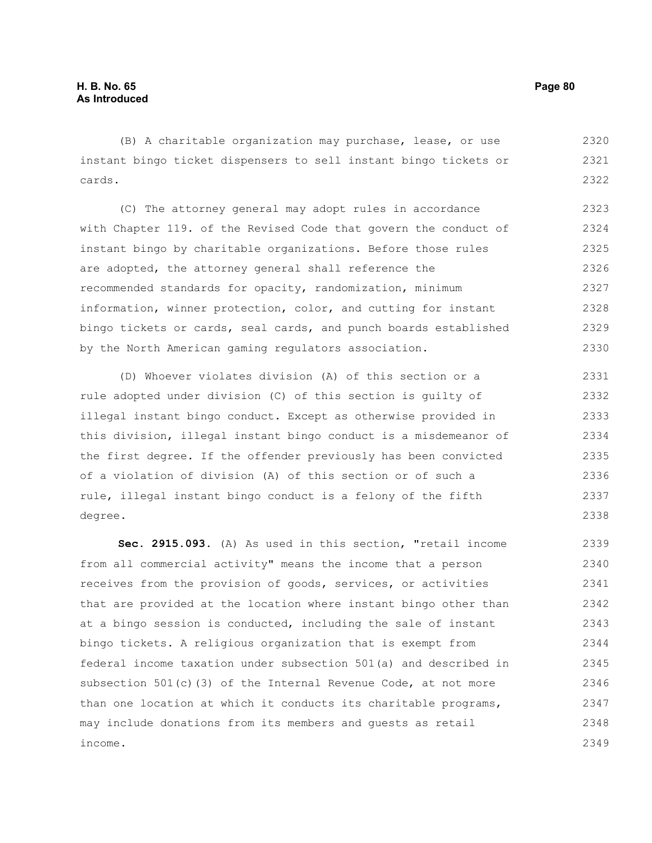(B) A charitable organization may purchase, lease, or use instant bingo ticket dispensers to sell instant bingo tickets or cards. 2320 2321 2322

(C) The attorney general may adopt rules in accordance with Chapter 119. of the Revised Code that govern the conduct of instant bingo by charitable organizations. Before those rules are adopted, the attorney general shall reference the recommended standards for opacity, randomization, minimum information, winner protection, color, and cutting for instant bingo tickets or cards, seal cards, and punch boards established by the North American gaming regulators association. 2323 2324 2325 2326 2327 2328 2329 2330

(D) Whoever violates division (A) of this section or a rule adopted under division (C) of this section is guilty of illegal instant bingo conduct. Except as otherwise provided in this division, illegal instant bingo conduct is a misdemeanor of the first degree. If the offender previously has been convicted of a violation of division (A) of this section or of such a rule, illegal instant bingo conduct is a felony of the fifth degree. 2331 2332 2333 2334 2335 2336 2337 2338

**Sec. 2915.093.** (A) As used in this section, "retail income from all commercial activity" means the income that a person receives from the provision of goods, services, or activities that are provided at the location where instant bingo other than at a bingo session is conducted, including the sale of instant bingo tickets. A religious organization that is exempt from federal income taxation under subsection 501(a) and described in subsection  $501(c)$  (3) of the Internal Revenue Code, at not more than one location at which it conducts its charitable programs, may include donations from its members and guests as retail income. 2339 2340 2341 2342 2343 2344 2345 2346 2347 2348 2349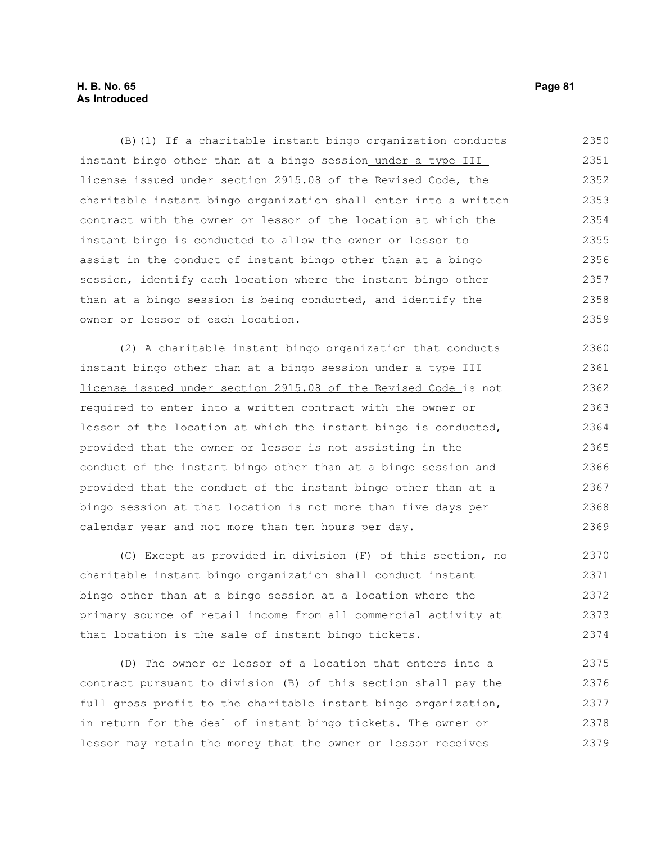## **H. B. No. 65 Page 81 As Introduced**

(B)(1) If a charitable instant bingo organization conducts instant bingo other than at a bingo session under a type III license issued under section 2915.08 of the Revised Code, the charitable instant bingo organization shall enter into a written contract with the owner or lessor of the location at which the instant bingo is conducted to allow the owner or lessor to assist in the conduct of instant bingo other than at a bingo session, identify each location where the instant bingo other than at a bingo session is being conducted, and identify the owner or lessor of each location. 2350 2351 2352 2353 2354 2355 2356 2357 2358 2359

(2) A charitable instant bingo organization that conducts instant bingo other than at a bingo session under a type III license issued under section 2915.08 of the Revised Code is not required to enter into a written contract with the owner or lessor of the location at which the instant bingo is conducted, provided that the owner or lessor is not assisting in the conduct of the instant bingo other than at a bingo session and provided that the conduct of the instant bingo other than at a bingo session at that location is not more than five days per calendar year and not more than ten hours per day. 2360 2361 2362 2363 2364 2365 2366 2367 2368 2369

(C) Except as provided in division (F) of this section, no charitable instant bingo organization shall conduct instant bingo other than at a bingo session at a location where the primary source of retail income from all commercial activity at that location is the sale of instant bingo tickets. 2370 2371 2372 2373 2374

(D) The owner or lessor of a location that enters into a contract pursuant to division (B) of this section shall pay the full gross profit to the charitable instant bingo organization, in return for the deal of instant bingo tickets. The owner or lessor may retain the money that the owner or lessor receives 2375 2376 2377 2378 2379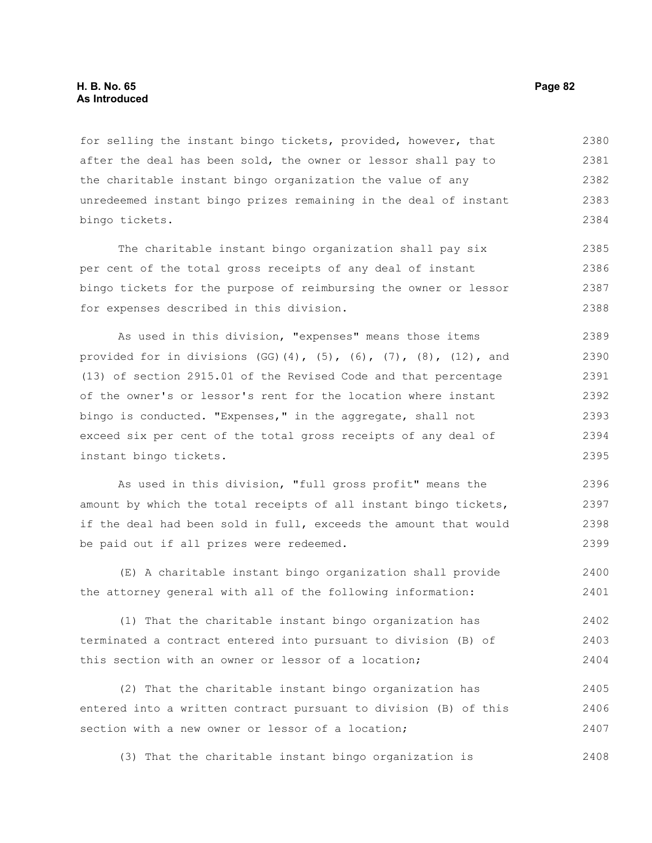for selling the instant bingo tickets, provided, however, that after the deal has been sold, the owner or lessor shall pay to the charitable instant bingo organization the value of any unredeemed instant bingo prizes remaining in the deal of instant bingo tickets. 2380 2381 2382 2383 2384

The charitable instant bingo organization shall pay six per cent of the total gross receipts of any deal of instant bingo tickets for the purpose of reimbursing the owner or lessor for expenses described in this division. 2385 2386 2387 2388

As used in this division, "expenses" means those items provided for in divisions (GG)(4), (5), (6), (7), (8), (12), and (13) of section 2915.01 of the Revised Code and that percentage of the owner's or lessor's rent for the location where instant bingo is conducted. "Expenses," in the aggregate, shall not exceed six per cent of the total gross receipts of any deal of instant bingo tickets. 2389 2390 2391 2392 2393 2394 2395

As used in this division, "full gross profit" means the amount by which the total receipts of all instant bingo tickets, if the deal had been sold in full, exceeds the amount that would be paid out if all prizes were redeemed. 2396 2397 2398 2399

(E) A charitable instant bingo organization shall provide the attorney general with all of the following information: 2400 2401

(1) That the charitable instant bingo organization has terminated a contract entered into pursuant to division (B) of this section with an owner or lessor of a location; 2402 2403 2404

(2) That the charitable instant bingo organization has entered into a written contract pursuant to division (B) of this section with a new owner or lessor of a location; 2405 2406 2407

(3) That the charitable instant bingo organization is 2408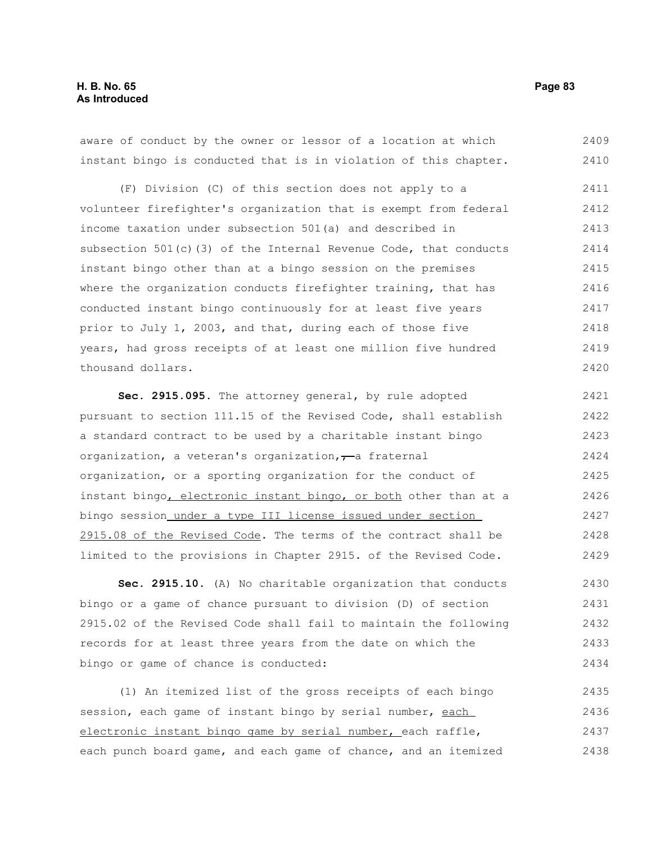aware of conduct by the owner or lessor of a location at which instant bingo is conducted that is in violation of this chapter. 2409 2410

(F) Division (C) of this section does not apply to a volunteer firefighter's organization that is exempt from federal income taxation under subsection 501(a) and described in subsection 501(c)(3) of the Internal Revenue Code, that conducts instant bingo other than at a bingo session on the premises where the organization conducts firefighter training, that has conducted instant bingo continuously for at least five years prior to July 1, 2003, and that, during each of those five years, had gross receipts of at least one million five hundred thousand dollars. 2411 2412 2413 2414 2415 2416 2417 2418 2419 2420

**Sec. 2915.095.** The attorney general, by rule adopted pursuant to section 111.15 of the Revised Code, shall establish a standard contract to be used by a charitable instant bingo organization, a veteran's organization, $\tau$ a fraternal organization, or a sporting organization for the conduct of instant bingo, electronic instant bingo, or both other than at a bingo session under a type III license issued under section 2915.08 of the Revised Code. The terms of the contract shall be limited to the provisions in Chapter 2915. of the Revised Code. 2421 2422 2423 2424 2425 2426 2427 2428 2429

**Sec. 2915.10.** (A) No charitable organization that conducts bingo or a game of chance pursuant to division (D) of section 2915.02 of the Revised Code shall fail to maintain the following records for at least three years from the date on which the bingo or game of chance is conducted: 2430 2431 2432 2433 2434

(1) An itemized list of the gross receipts of each bingo session, each game of instant bingo by serial number, each electronic instant bingo game by serial number, each raffle, each punch board game, and each game of chance, and an itemized 2435 2436 2437 2438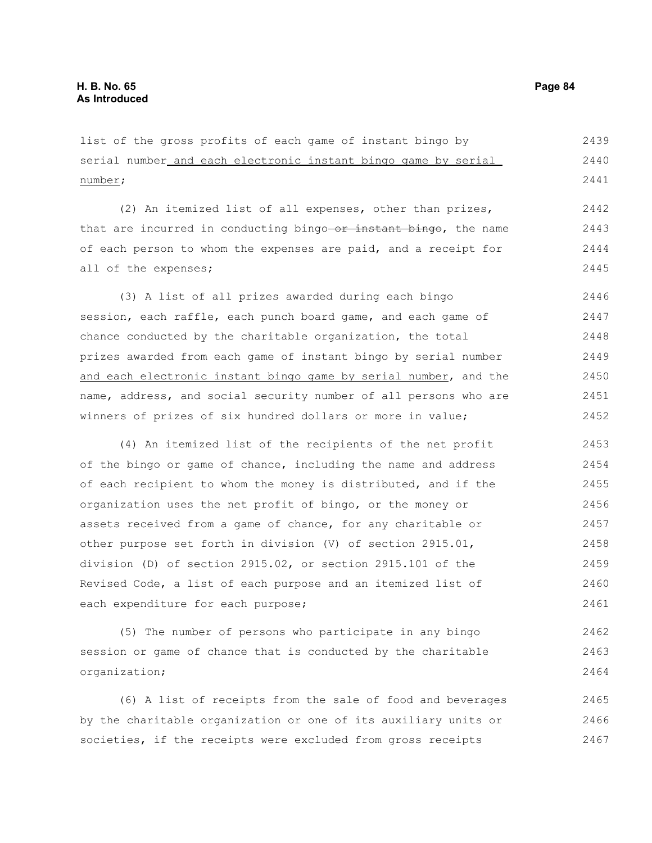list of the gross profits of each game of instant bingo by serial number and each electronic instant bingo game by serial number; 2439 2440 2441

(2) An itemized list of all expenses, other than prizes, that are incurred in conducting bingo-or instant bingo, the name of each person to whom the expenses are paid, and a receipt for all of the expenses; 2442 2443 2444 2445

(3) A list of all prizes awarded during each bingo session, each raffle, each punch board game, and each game of chance conducted by the charitable organization, the total prizes awarded from each game of instant bingo by serial number and each electronic instant bingo game by serial number, and the name, address, and social security number of all persons who are winners of prizes of six hundred dollars or more in value; 2446 2447 2448 2449 2450 2451 2452

(4) An itemized list of the recipients of the net profit of the bingo or game of chance, including the name and address of each recipient to whom the money is distributed, and if the organization uses the net profit of bingo, or the money or assets received from a game of chance, for any charitable or other purpose set forth in division (V) of section 2915.01, division (D) of section 2915.02, or section 2915.101 of the Revised Code, a list of each purpose and an itemized list of each expenditure for each purpose; 2453 2454 2455 2456 2457 2458 2459 2460 2461

(5) The number of persons who participate in any bingo session or game of chance that is conducted by the charitable organization; 2462 2463 2464

(6) A list of receipts from the sale of food and beverages by the charitable organization or one of its auxiliary units or societies, if the receipts were excluded from gross receipts 2465 2466 2467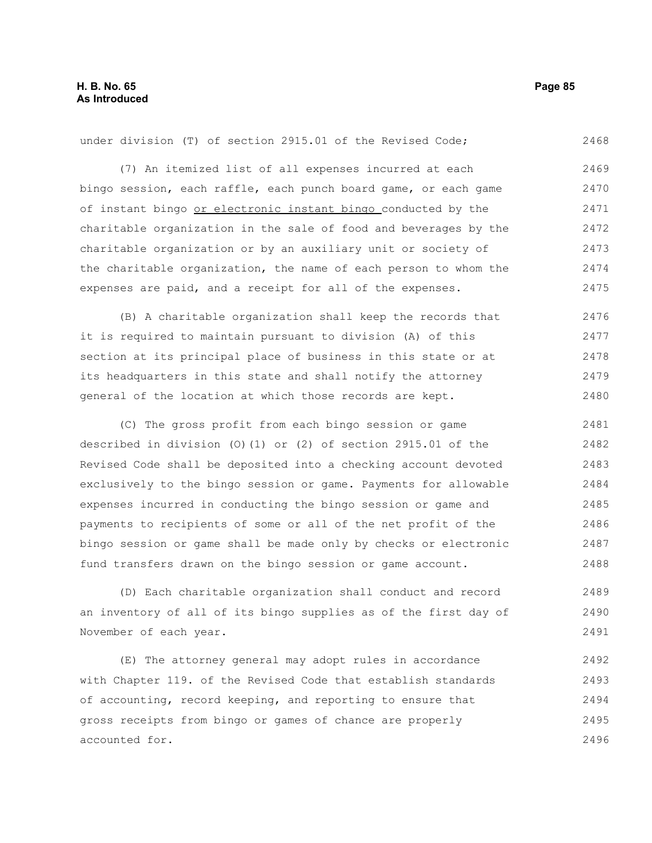under division (T) of section 2915.01 of the Revised Code; 2468

(7) An itemized list of all expenses incurred at each bingo session, each raffle, each punch board game, or each game of instant bingo or electronic instant bingo conducted by the charitable organization in the sale of food and beverages by the charitable organization or by an auxiliary unit or society of the charitable organization, the name of each person to whom the expenses are paid, and a receipt for all of the expenses. 2469 2470 2471 2472 2473 2474 2475

(B) A charitable organization shall keep the records that it is required to maintain pursuant to division (A) of this section at its principal place of business in this state or at its headquarters in this state and shall notify the attorney general of the location at which those records are kept. 2476 2477 2478 2479 2480

(C) The gross profit from each bingo session or game described in division (O)(1) or (2) of section 2915.01 of the Revised Code shall be deposited into a checking account devoted exclusively to the bingo session or game. Payments for allowable expenses incurred in conducting the bingo session or game and payments to recipients of some or all of the net profit of the bingo session or game shall be made only by checks or electronic fund transfers drawn on the bingo session or game account. 2481 2482 2483 2484 2485 2486 2487 2488

(D) Each charitable organization shall conduct and record an inventory of all of its bingo supplies as of the first day of November of each year. 2489 2490 2491

(E) The attorney general may adopt rules in accordance with Chapter 119. of the Revised Code that establish standards of accounting, record keeping, and reporting to ensure that gross receipts from bingo or games of chance are properly accounted for. 2492 2493 2494 2495 2496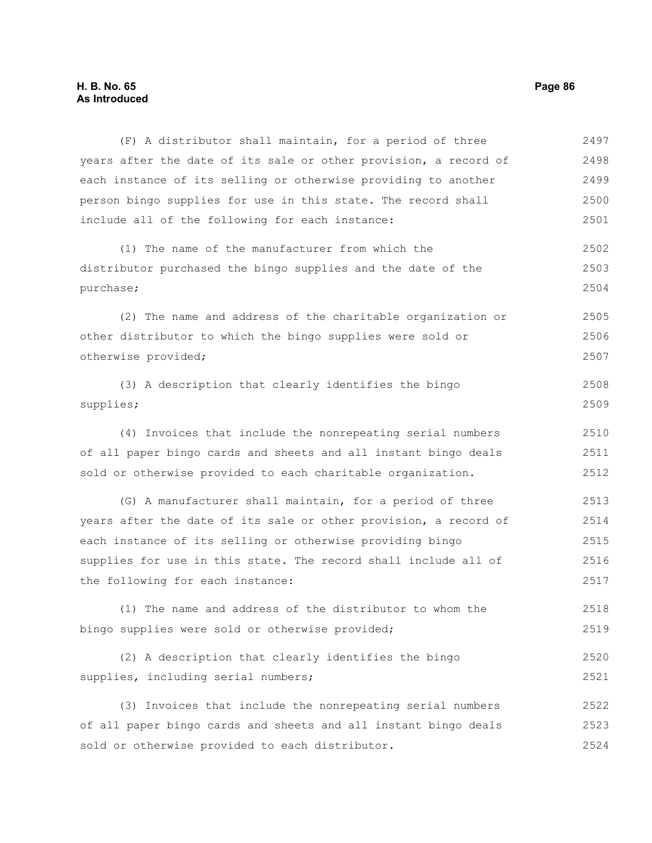## **H. B. No. 65 Page 86 As Introduced**

| (F) A distributor shall maintain, for a period of three          | 2497 |
|------------------------------------------------------------------|------|
| years after the date of its sale or other provision, a record of | 2498 |
| each instance of its selling or otherwise providing to another   | 2499 |
| person bingo supplies for use in this state. The record shall    | 2500 |
| include all of the following for each instance:                  | 2501 |
| (1) The name of the manufacturer from which the                  | 2502 |
| distributor purchased the bingo supplies and the date of the     | 2503 |
| purchase;                                                        | 2504 |
| (2) The name and address of the charitable organization or       | 2505 |
| other distributor to which the bingo supplies were sold or       | 2506 |
| otherwise provided;                                              | 2507 |
| (3) A description that clearly identifies the bingo              | 2508 |
| supplies;                                                        | 2509 |
| (4) Invoices that include the nonrepeating serial numbers        | 2510 |
| of all paper bingo cards and sheets and all instant bingo deals  | 2511 |
| sold or otherwise provided to each charitable organization.      | 2512 |
| (G) A manufacturer shall maintain, for a period of three         | 2513 |
| years after the date of its sale or other provision, a record of | 2514 |
| each instance of its selling or otherwise providing bingo        | 2515 |
| supplies for use in this state. The record shall include all of  | 2516 |
| the following for each instance:                                 | 2517 |
| (1) The name and address of the distributor to whom the          | 2518 |
| bingo supplies were sold or otherwise provided;                  | 2519 |
| (2) A description that clearly identifies the bingo              | 2520 |
| supplies, including serial numbers;                              | 2521 |
| (3) Invoices that include the nonrepeating serial numbers        | 2522 |
| of all paper bingo cards and sheets and all instant bingo deals  | 2523 |
| sold or otherwise provided to each distributor.                  | 2524 |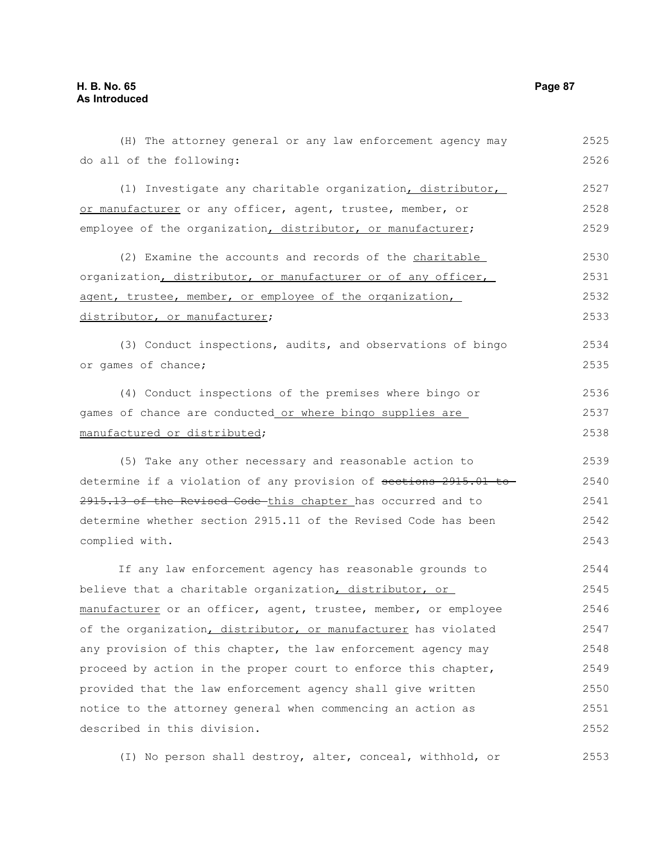| do all of the following:                                         | 2526 |
|------------------------------------------------------------------|------|
| (1) Investigate any charitable organization, distributor,        | 2527 |
| or manufacturer or any officer, agent, trustee, member, or       | 2528 |
| employee of the organization, distributor, or manufacturer;      | 2529 |
| (2) Examine the accounts and records of the charitable           | 2530 |
| organization, distributor, or manufacturer or of any officer,    | 2531 |
| agent, trustee, member, or employee of the organization,         | 2532 |
| distributor, or manufacturer;                                    | 2533 |
| (3) Conduct inspections, audits, and observations of bingo       | 2534 |
| or games of chance;                                              | 2535 |
| (4) Conduct inspections of the premises where bingo or           | 2536 |
| games of chance are conducted or where bingo supplies are        | 2537 |
| manufactured or distributed;                                     | 2538 |
| (5) Take any other necessary and reasonable action to            | 2539 |
| determine if a violation of any provision of sections 2915.01 to | 2540 |
| 2915.13 of the Revised Code this chapter has occurred and to     | 2541 |
| determine whether section 2915.11 of the Revised Code has been   | 2542 |
| complied with.                                                   | 2543 |
| If any law enforcement agency has reasonable grounds to          | 2544 |
| believe that a charitable organization, distributor, or          | 2545 |
| manufacturer or an officer, agent, trustee, member, or employee  | 2546 |
| of the organization, distributor, or manufacturer has violated   | 2547 |
| any provision of this chapter, the law enforcement agency may    | 2548 |
| proceed by action in the proper court to enforce this chapter,   | 2549 |
| provided that the law enforcement agency shall give written      | 2550 |
| notice to the attorney general when commencing an action as      | 2551 |
| described in this division.                                      | 2552 |

(H) The attorney general or any law enforcement agency may 2525

(I) No person shall destroy, alter, conceal, withhold, or 2553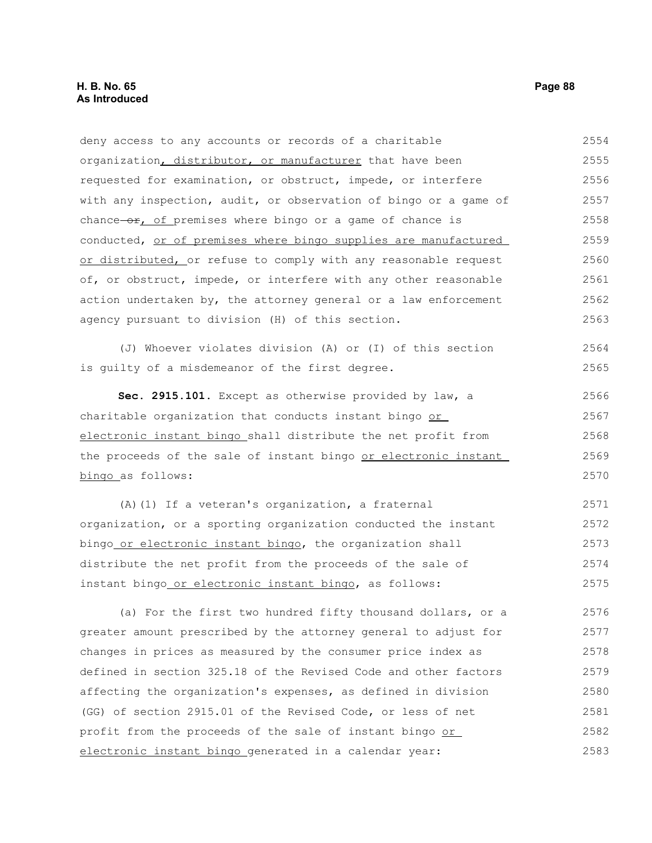deny access to any accounts or records of a charitable organization, distributor, or manufacturer that have been requested for examination, or obstruct, impede, or interfere with any inspection, audit, or observation of bingo or a game of chance $-0r$ , of premises where bingo or a game of chance is conducted, or of premises where bingo supplies are manufactured or distributed, or refuse to comply with any reasonable request of, or obstruct, impede, or interfere with any other reasonable action undertaken by, the attorney general or a law enforcement agency pursuant to division (H) of this section. (J) Whoever violates division (A) or (I) of this section is guilty of a misdemeanor of the first degree. **Sec. 2915.101.** Except as otherwise provided by law, a charitable organization that conducts instant bingo or electronic instant bingo shall distribute the net profit from the proceeds of the sale of instant bingo or electronic instant bingo as follows: (A)(1) If a veteran's organization, a fraternal organization, or a sporting organization conducted the instant bingo or electronic instant bingo, the organization shall 2554 2555 2556 2557 2558 2559 2560 2561 2562 2563 2564 2565 2566 2567 2568 2569 2570 2571 2572 2573

distribute the net profit from the proceeds of the sale of instant bingo or electronic instant bingo, as follows: 2574 2575

(a) For the first two hundred fifty thousand dollars, or a greater amount prescribed by the attorney general to adjust for changes in prices as measured by the consumer price index as defined in section 325.18 of the Revised Code and other factors affecting the organization's expenses, as defined in division (GG) of section 2915.01 of the Revised Code, or less of net profit from the proceeds of the sale of instant bingo or electronic instant bingo generated in a calendar year: 2576 2577 2578 2579 2580 2581 2582 2583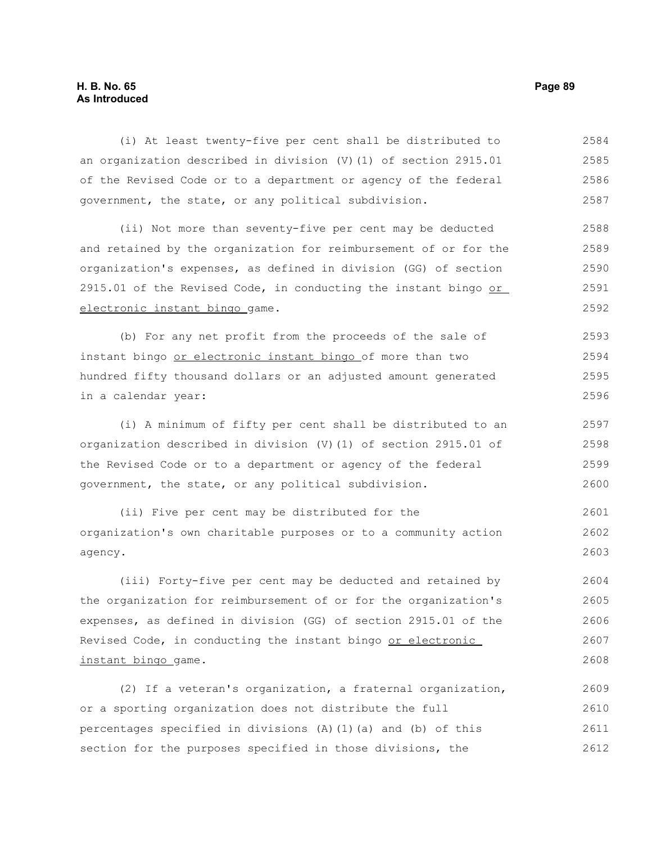## **H. B. No. 65 Page 89 As Introduced**

(i) At least twenty-five per cent shall be distributed to an organization described in division (V)(1) of section 2915.01 of the Revised Code or to a department or agency of the federal government, the state, or any political subdivision. 2584 2585 2586 2587

(ii) Not more than seventy-five per cent may be deducted and retained by the organization for reimbursement of or for the organization's expenses, as defined in division (GG) of section 2915.01 of the Revised Code, in conducting the instant bingo or electronic instant bingo game. 2588 2589 2590 2591 2592

(b) For any net profit from the proceeds of the sale of instant bingo or electronic instant bingo of more than two hundred fifty thousand dollars or an adjusted amount generated in a calendar year: 2593 2594 2595 2596

(i) A minimum of fifty per cent shall be distributed to an organization described in division (V)(1) of section 2915.01 of the Revised Code or to a department or agency of the federal government, the state, or any political subdivision. 2597 2598 2599 2600

(ii) Five per cent may be distributed for the organization's own charitable purposes or to a community action agency. 2601 2602 2603

(iii) Forty-five per cent may be deducted and retained by the organization for reimbursement of or for the organization's expenses, as defined in division (GG) of section 2915.01 of the Revised Code, in conducting the instant bingo or electronic instant bingo game. 2604 2605 2606 2607 2608

(2) If a veteran's organization, a fraternal organization, or a sporting organization does not distribute the full percentages specified in divisions  $(A)$   $(1)$   $(a)$  and  $(b)$  of this section for the purposes specified in those divisions, the 2609 2610 2611 2612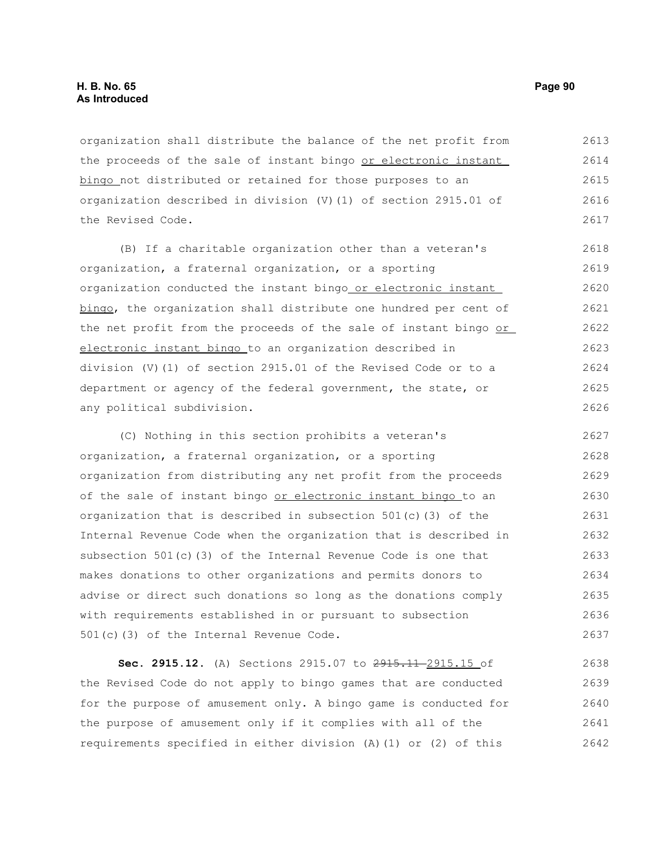organization shall distribute the balance of the net profit from the proceeds of the sale of instant bingo or electronic instant bingo not distributed or retained for those purposes to an organization described in division (V)(1) of section 2915.01 of the Revised Code. 2613 2614 2615 2616 2617

(B) If a charitable organization other than a veteran's organization, a fraternal organization, or a sporting organization conducted the instant bingo or electronic instant bingo, the organization shall distribute one hundred per cent of the net profit from the proceeds of the sale of instant bingo or electronic instant bingo to an organization described in division (V)(1) of section 2915.01 of the Revised Code or to a department or agency of the federal government, the state, or any political subdivision. 2618 2619 2620 2621 2622 2623 2624 2625 2626

(C) Nothing in this section prohibits a veteran's organization, a fraternal organization, or a sporting organization from distributing any net profit from the proceeds of the sale of instant bingo or electronic instant bingo to an organization that is described in subsection  $501(c)$  (3) of the Internal Revenue Code when the organization that is described in subsection  $501(c)(3)$  of the Internal Revenue Code is one that makes donations to other organizations and permits donors to advise or direct such donations so long as the donations comply with requirements established in or pursuant to subsection 501(c)(3) of the Internal Revenue Code. 2627 2628 2629 2630 2631 2632 2633 2634 2635 2636 2637

**Sec. 2915.12.** (A) Sections 2915.07 to 2915.11-2915.15 of the Revised Code do not apply to bingo games that are conducted for the purpose of amusement only. A bingo game is conducted for the purpose of amusement only if it complies with all of the requirements specified in either division (A)(1) or (2) of this 2638 2639 2640 2641 2642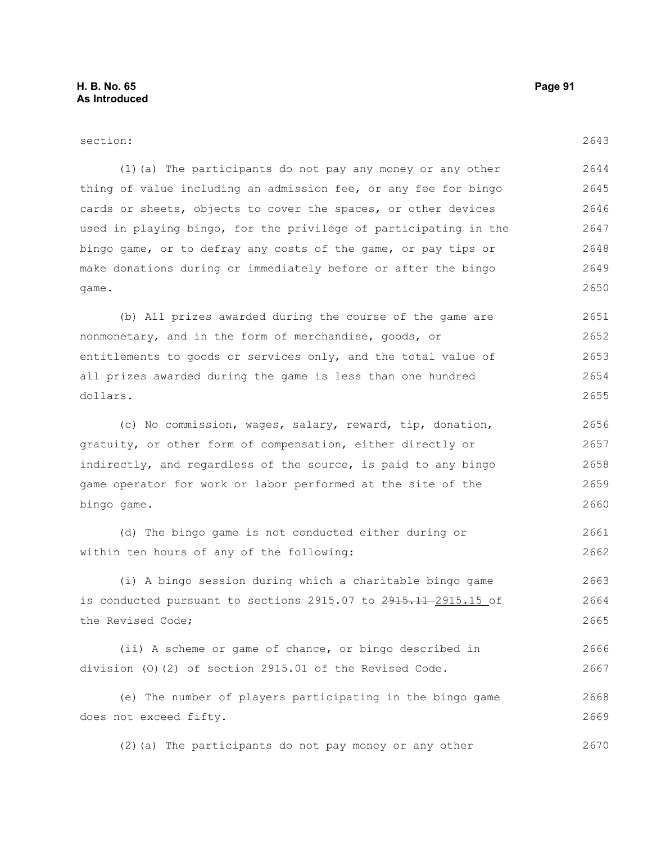| section:                                                         | 2643 |
|------------------------------------------------------------------|------|
| (1) (a) The participants do not pay any money or any other       | 2644 |
| thing of value including an admission fee, or any fee for bingo  | 2645 |
| cards or sheets, objects to cover the spaces, or other devices   | 2646 |
| used in playing bingo, for the privilege of participating in the | 2647 |
| bingo game, or to defray any costs of the game, or pay tips or   | 2648 |
| make donations during or immediately before or after the bingo   | 2649 |
| game.                                                            | 2650 |
| (b) All prizes awarded during the course of the game are         | 2651 |
| nonmonetary, and in the form of merchandise, goods, or           | 2652 |
| entitlements to goods or services only, and the total value of   | 2653 |
| all prizes awarded during the game is less than one hundred      | 2654 |
| dollars.                                                         | 2655 |
| (c) No commission, wages, salary, reward, tip, donation,         | 2656 |
| gratuity, or other form of compensation, either directly or      | 2657 |
| indirectly, and regardless of the source, is paid to any bingo   | 2658 |
| game operator for work or labor performed at the site of the     | 2659 |
| bingo game.                                                      | 2660 |
| (d) The bingo game is not conducted either during or             | 2661 |
| within ten hours of any of the following:                        | 2662 |
| (i) A bingo session during which a charitable bingo game         | 2663 |
| is conducted pursuant to sections 2915.07 to 2915.11-2915.15 of  | 2664 |
| the Revised Code;                                                | 2665 |
| (ii) A scheme or game of chance, or bingo described in           | 2666 |
| division (0)(2) of section 2915.01 of the Revised Code.          | 2667 |

(e) The number of players participating in the bingo game does not exceed fifty. 2668 2669

(2)(a) The participants do not pay money or any other 2670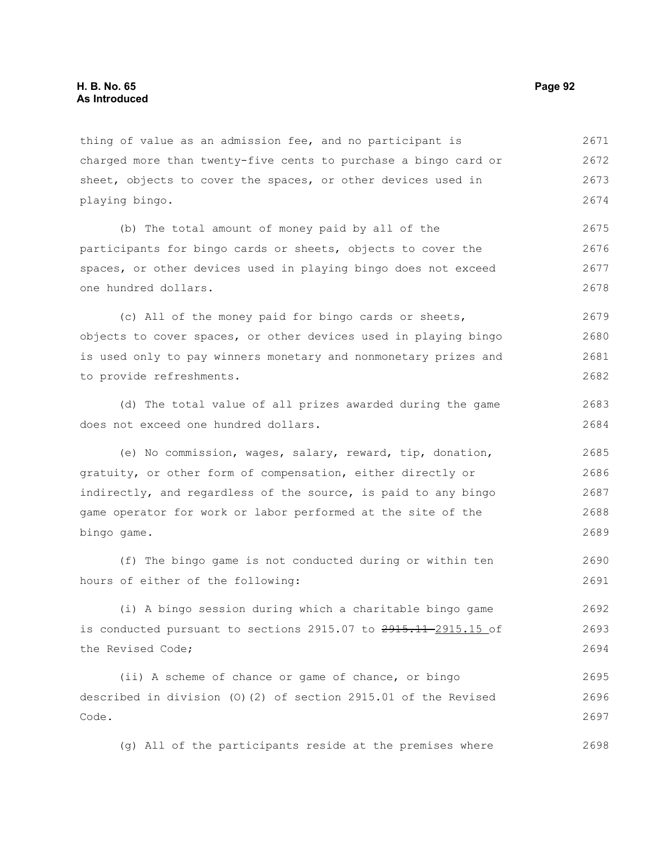thing of value as an admission fee, and no participant is charged more than twenty-five cents to purchase a bingo card or sheet, objects to cover the spaces, or other devices used in playing bingo. 2671 2672 2673 2674

(b) The total amount of money paid by all of the participants for bingo cards or sheets, objects to cover the spaces, or other devices used in playing bingo does not exceed one hundred dollars. 2675 2676 2677 2678

(c) All of the money paid for bingo cards or sheets, objects to cover spaces, or other devices used in playing bingo is used only to pay winners monetary and nonmonetary prizes and to provide refreshments. 2679 2680 2681 2682

(d) The total value of all prizes awarded during the game does not exceed one hundred dollars.

(e) No commission, wages, salary, reward, tip, donation, gratuity, or other form of compensation, either directly or indirectly, and regardless of the source, is paid to any bingo game operator for work or labor performed at the site of the bingo game. 2685 2686 2687 2688 2689

(f) The bingo game is not conducted during or within ten hours of either of the following: 2690 2691

(i) A bingo session during which a charitable bingo game is conducted pursuant to sections  $2915.07$  to  $2915.11-2915.15$  of the Revised Code; 2692 2693 2694

(ii) A scheme of chance or game of chance, or bingo described in division (O)(2) of section 2915.01 of the Revised Code. 2695 2696 2697

(g) All of the participants reside at the premises where 2698

2683 2684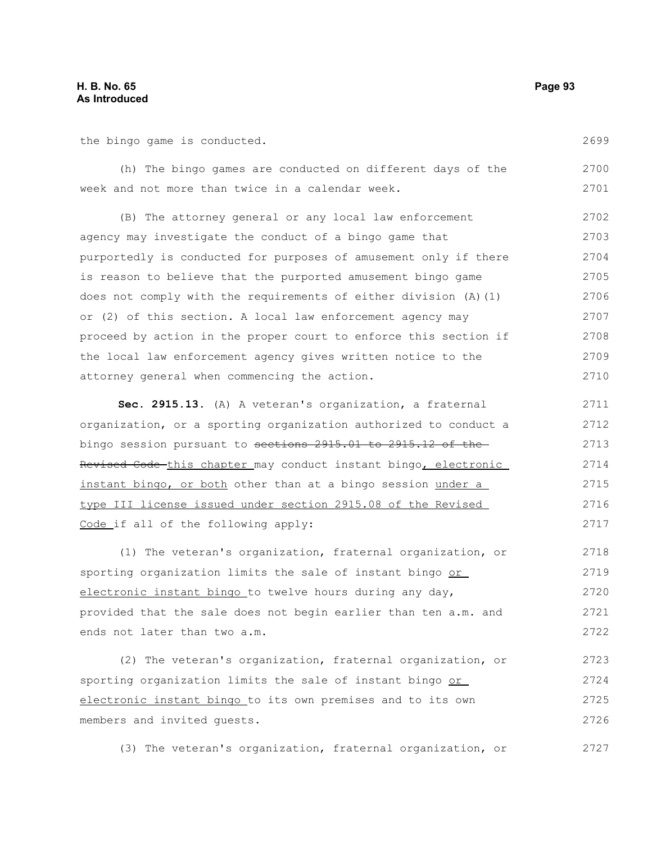## **H. B. No. 65 Page 93 As Introduced**

the bingo game is conducted.

(h) The bingo games are conducted on different days of the week and not more than twice in a calendar week. 2700 2701

(B) The attorney general or any local law enforcement agency may investigate the conduct of a bingo game that purportedly is conducted for purposes of amusement only if there is reason to believe that the purported amusement bingo game does not comply with the requirements of either division (A)(1) or (2) of this section. A local law enforcement agency may proceed by action in the proper court to enforce this section if the local law enforcement agency gives written notice to the attorney general when commencing the action. 2702 2703 2704 2705 2706 2707 2708 2709 2710

**Sec. 2915.13.** (A) A veteran's organization, a fraternal organization, or a sporting organization authorized to conduct a bingo session pursuant to sections 2915.01 to 2915.12 of the Revised Code this chapter may conduct instant bingo, electronic instant bingo, or both other than at a bingo session under a type III license issued under section 2915.08 of the Revised Code if all of the following apply: 2711 2712 2713 2714 2715 2716 2717

(1) The veteran's organization, fraternal organization, or sporting organization limits the sale of instant bingo or electronic instant bingo to twelve hours during any day, provided that the sale does not begin earlier than ten a.m. and ends not later than two a.m. 2718 2719 2720 2721 2722

(2) The veteran's organization, fraternal organization, or sporting organization limits the sale of instant bingo or electronic instant bingo to its own premises and to its own members and invited guests. 2723 2724 2725 2726

(3) The veteran's organization, fraternal organization, or 2727

2699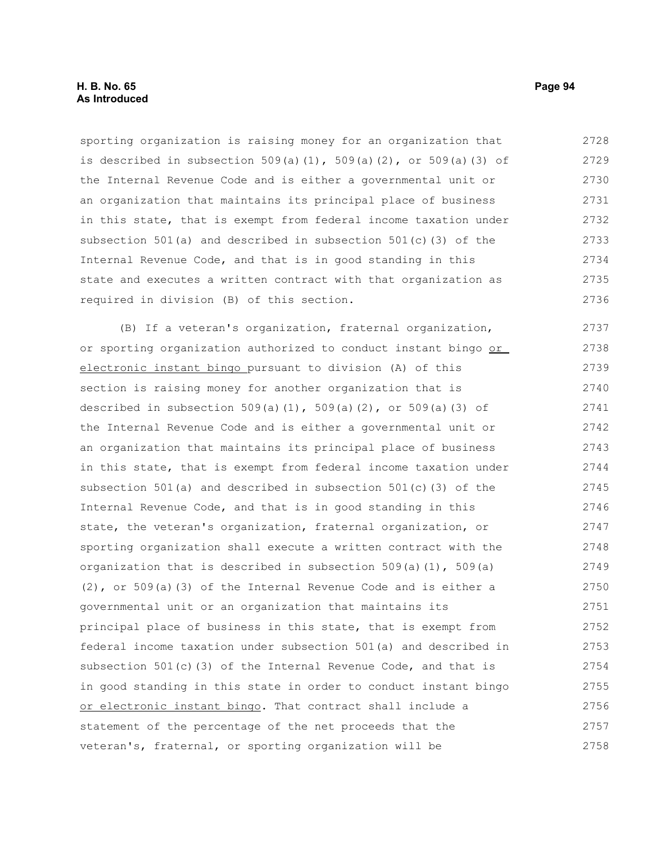## **H. B. No. 65 Page 94 As Introduced**

sporting organization is raising money for an organization that is described in subsection  $509(a)(1)$ ,  $509(a)(2)$ , or  $509(a)(3)$  of the Internal Revenue Code and is either a governmental unit or an organization that maintains its principal place of business in this state, that is exempt from federal income taxation under subsection 501(a) and described in subsection 501(c)(3) of the Internal Revenue Code, and that is in good standing in this state and executes a written contract with that organization as required in division (B) of this section. 2728 2729 2730 2731 2732 2733 2734 2735 2736

(B) If a veteran's organization, fraternal organization, or sporting organization authorized to conduct instant bingo or electronic instant bingo pursuant to division (A) of this section is raising money for another organization that is described in subsection  $509(a)(1)$ ,  $509(a)(2)$ , or  $509(a)(3)$  of the Internal Revenue Code and is either a governmental unit or an organization that maintains its principal place of business in this state, that is exempt from federal income taxation under subsection 501(a) and described in subsection 501(c)(3) of the Internal Revenue Code, and that is in good standing in this state, the veteran's organization, fraternal organization, or sporting organization shall execute a written contract with the organization that is described in subsection  $509(a)(1)$ ,  $509(a)$ (2), or 509(a)(3) of the Internal Revenue Code and is either a governmental unit or an organization that maintains its principal place of business in this state, that is exempt from federal income taxation under subsection 501(a) and described in subsection  $501(c)$  (3) of the Internal Revenue Code, and that is in good standing in this state in order to conduct instant bingo or electronic instant bingo. That contract shall include a statement of the percentage of the net proceeds that the veteran's, fraternal, or sporting organization will be 2737 2738 2739 2740 2741 2742 2743 2744 2745 2746 2747 2748 2749 2750 2751 2752 2753 2754 2755 2756 2757 2758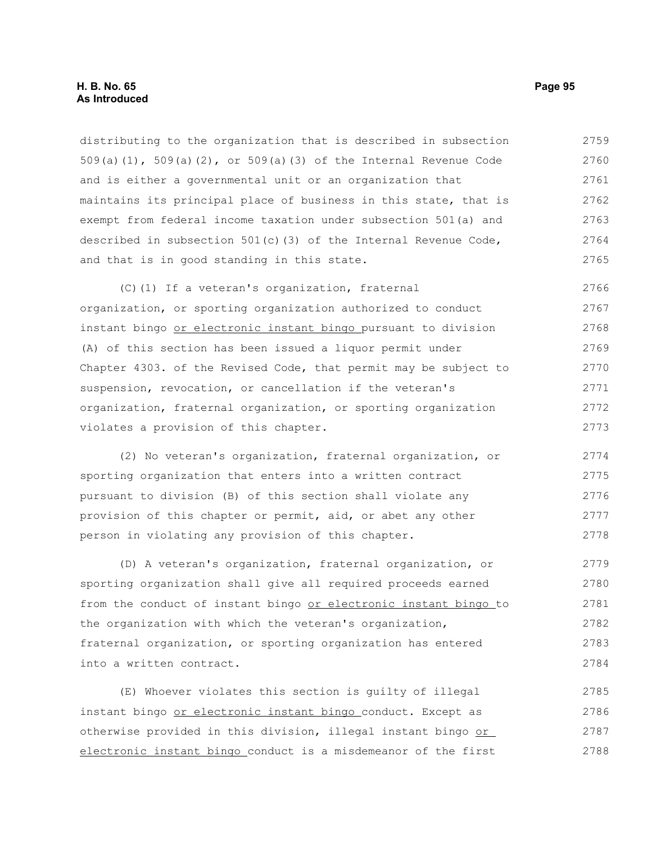## **H. B. No. 65 Page 95 As Introduced**

distributing to the organization that is described in subsection 509(a)(1), 509(a)(2), or 509(a)(3) of the Internal Revenue Code and is either a governmental unit or an organization that maintains its principal place of business in this state, that is exempt from federal income taxation under subsection 501(a) and described in subsection 501(c)(3) of the Internal Revenue Code, and that is in good standing in this state. 2759 2760 2761 2762 2763 2764 2765

(C)(1) If a veteran's organization, fraternal organization, or sporting organization authorized to conduct instant bingo or electronic instant bingo pursuant to division (A) of this section has been issued a liquor permit under Chapter 4303. of the Revised Code, that permit may be subject to suspension, revocation, or cancellation if the veteran's organization, fraternal organization, or sporting organization violates a provision of this chapter. 2766 2767 2768 2769 2770 2771 2772 2773

(2) No veteran's organization, fraternal organization, or sporting organization that enters into a written contract pursuant to division (B) of this section shall violate any provision of this chapter or permit, aid, or abet any other person in violating any provision of this chapter. 2774 2775 2776 2777 2778

(D) A veteran's organization, fraternal organization, or sporting organization shall give all required proceeds earned from the conduct of instant bingo or electronic instant bingo to the organization with which the veteran's organization, fraternal organization, or sporting organization has entered into a written contract. 2779 2780 2781 2782 2783 2784

(E) Whoever violates this section is guilty of illegal instant bingo or electronic instant bingo conduct. Except as otherwise provided in this division, illegal instant bingo or electronic instant bingo conduct is a misdemeanor of the first 2785 2786 2787 2788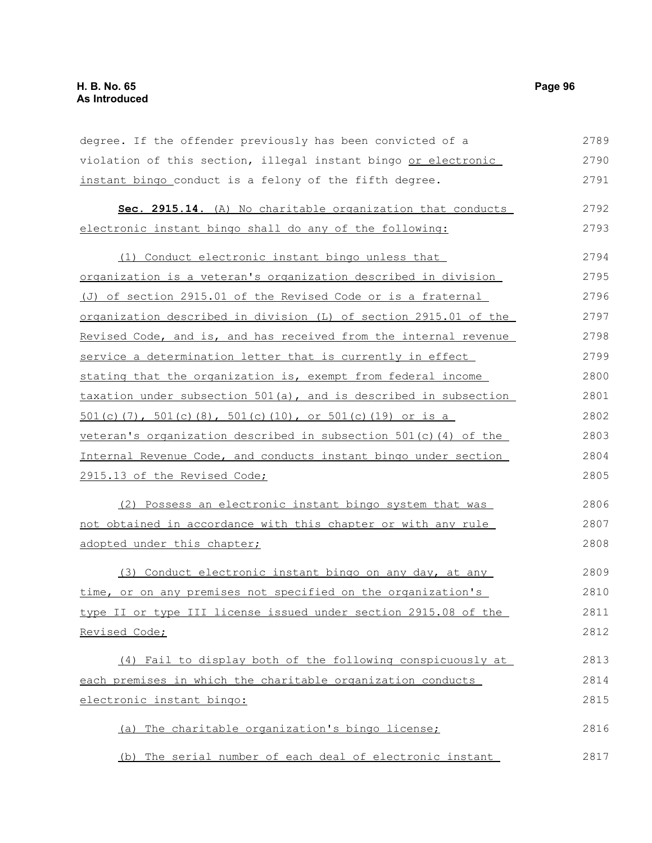degree. If the offender previously has been convicted of a violation of this section, illegal instant bingo or electronic instant bingo conduct is a felony of the fifth degree. 2789 2790 2791

|                                                         |  |  |  |  | Sec. 2915.14. (A) No charitable organization that conducts | 2792 |
|---------------------------------------------------------|--|--|--|--|------------------------------------------------------------|------|
| electronic instant bingo shall do any of the following: |  |  |  |  |                                                            | 2793 |

| Conduct electronic instant bingo unless that                        | 2794 |
|---------------------------------------------------------------------|------|
| organization is a veteran's organization described in division      | 2795 |
| (J) of section 2915.01 of the Revised Code or is a fraternal        | 2796 |
| organization described in division (L) of section 2915.01 of the    | 2797 |
| Revised Code, and is, and has received from the internal revenue    | 2798 |
| service a determination letter that is currently in effect          | 2799 |
| stating that the organization is, exempt from federal income        | 2800 |
| taxation under subsection $501(a)$ , and is described in subsection | 2801 |
| $501(c)$ (7), $501(c)$ (8), $501(c)$ (10), or $501(c)$ (19) or is a | 2802 |
| veteran's organization described in subsection $501(c)$ (4) of the  | 2803 |
| Internal Revenue Code, and conducts instant bingo under section     | 2804 |
| 2915.13 of the Revised Code;                                        | 2805 |
|                                                                     |      |

(2) Possess an electronic instant bingo system that was not obtained in accordance with this chapter or with any rule adopted under this chapter; 2806 2807 2808

(3) Conduct electronic instant bingo on any day, at any time, or on any premises not specified on the organization's type II or type III license issued under section 2915.08 of the Revised Code; 2809 2810 2811 2812

(4) Fail to display both of the following conspicuously at each premises in which the charitable organization conducts electronic instant bingo: 2813 2814 2815

(a) The charitable organization's bingo license; (b) The serial number of each deal of electronic instant 2816 2817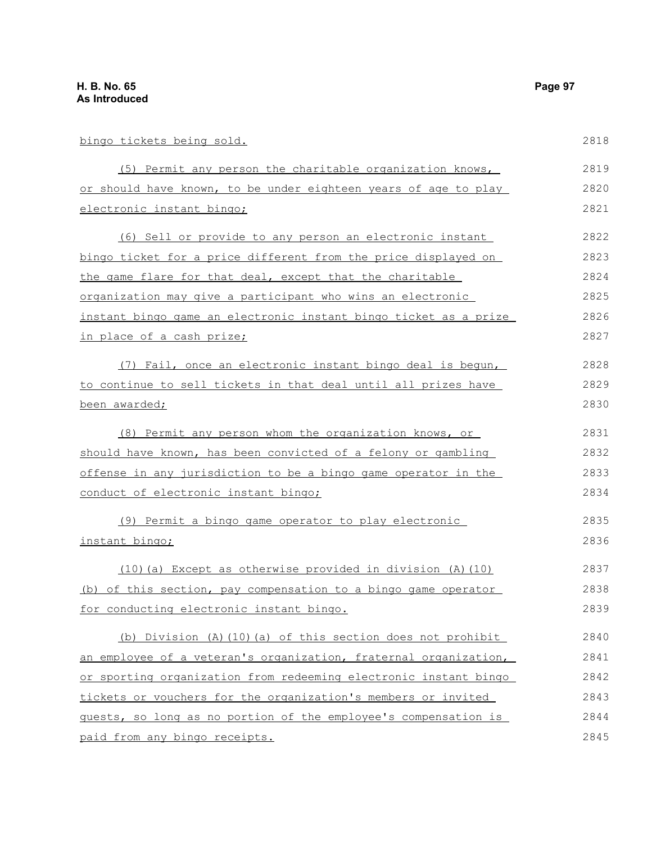| bingo tickets being sold.                                             | 2818 |
|-----------------------------------------------------------------------|------|
| (5) Permit any person the charitable organization knows,              | 2819 |
| or should have known, to be under eighteen years of age to play       | 2820 |
| electronic instant bingo;                                             | 2821 |
| (6) Sell or provide to any person an electronic instant               | 2822 |
| bingo ticket for a price different from the price displayed on        | 2823 |
| the game flare for that deal, except that the charitable              | 2824 |
| organization may give a participant who wins an electronic            | 2825 |
| instant bingo game an electronic instant bingo ticket as a prize      | 2826 |
| in place of a cash prize;                                             | 2827 |
| (7) Fail, once an electronic instant bingo deal is begun,             | 2828 |
| to continue to sell tickets in that deal until all prizes have        | 2829 |
| been awarded;                                                         | 2830 |
| (8) Permit any person whom the organization knows, or                 | 2831 |
| should have known, has been convicted of a felony or gambling         | 2832 |
| <u>offense in any jurisdiction to be a bingo game operator in the</u> | 2833 |
| conduct of electronic instant bingo;                                  | 2834 |
| (9) Permit a bingo game operator to play electronic                   | 2835 |
| instant bingo;                                                        | 2836 |
| (10) (a) Except as otherwise provided in division (A) (10)            | 2837 |
| of this section, pay compensation to a bingo game operator<br>(b)     | 2838 |
| for conducting electronic instant bingo.                              | 2839 |
| (b) Division (A) (10) (a) of this section does not prohibit           | 2840 |
| an employee of a veteran's organization, fraternal organization,      | 2841 |
| or sporting organization from redeeming electronic instant bingo      | 2842 |
| tickets or vouchers for the organization's members or invited         | 2843 |
| guests, so long as no portion of the employee's compensation is       | 2844 |
| paid from any bingo receipts.                                         | 2845 |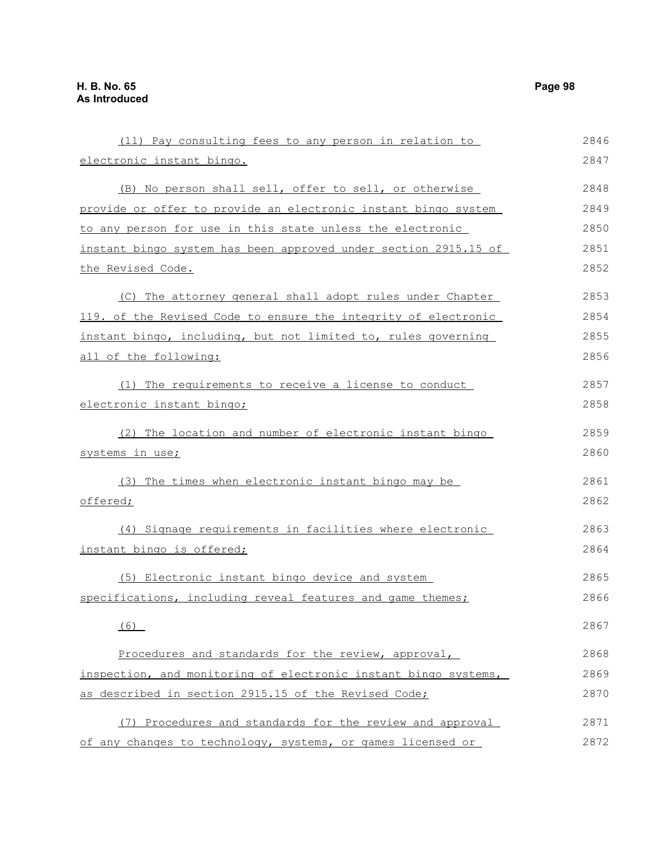| (11) Pay consulting fees to any person in relation to           | 2846 |
|-----------------------------------------------------------------|------|
| electronic instant bingo.                                       | 2847 |
| (B) No person shall sell, offer to sell, or otherwise           | 2848 |
| provide or offer to provide an electronic instant bingo system  | 2849 |
| to any person for use in this state unless the electronic       | 2850 |
| instant bingo system has been approved under section 2915.15 of | 2851 |
| the Revised Code.                                               | 2852 |
| (C) The attorney general shall adopt rules under Chapter        | 2853 |
| 119. of the Revised Code to ensure the integrity of electronic  | 2854 |
| instant bingo, including, but not limited to, rules governing   | 2855 |
| all of the following:                                           | 2856 |
| (1) The requirements to receive a license to conduct            | 2857 |
| electronic instant bingo;                                       | 2858 |
| (2) The location and number of electronic instant bingo         | 2859 |
| systems in use;                                                 | 2860 |
| (3) The times when electronic instant bingo may be              | 2861 |
| offered;                                                        | 2862 |
| (4) Signage requirements in facilities where electronic         | 2863 |
| instant bingo is offered;                                       | 2864 |
| (5) Electronic instant bingo device and system                  | 2865 |
| specifications, including reveal features and game themes;      | 2866 |
| (6)                                                             | 2867 |
| Procedures and standards for the review, approval,              | 2868 |
| inspection, and monitoring of electronic instant bingo systems, | 2869 |
| as described in section 2915.15 of the Revised Code;            | 2870 |
| (7) Procedures and standards for the review and approval        | 2871 |
| of any changes to technology, systems, or games licensed or     | 2872 |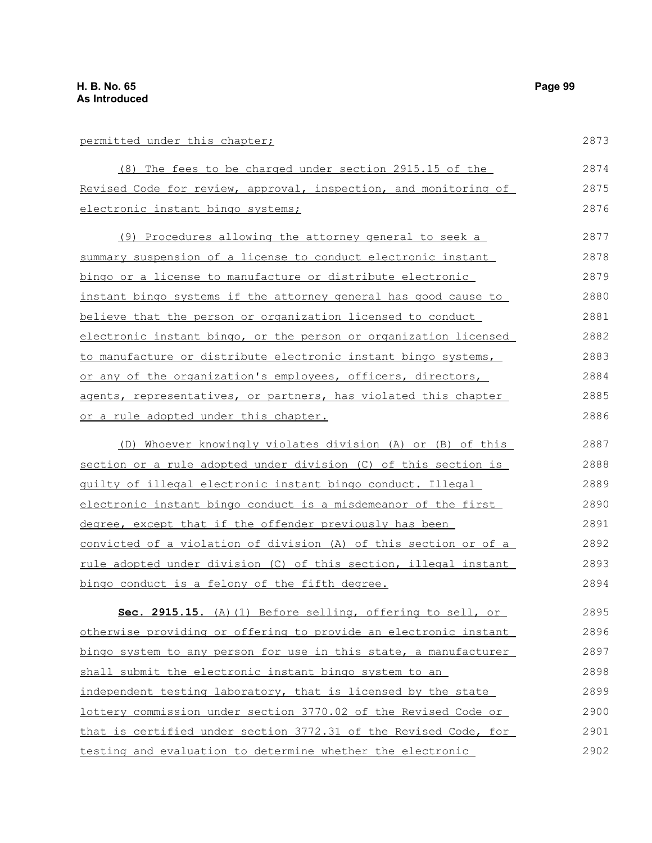# permitted under this chapter;

| permitted under this chapter;                                    | 2873 |
|------------------------------------------------------------------|------|
| (8) The fees to be charged under section 2915.15 of the          | 2874 |
| Revised Code for review, approval, inspection, and monitoring of | 2875 |
| electronic instant bingo systems;                                | 2876 |
| (9) Procedures allowing the attorney general to seek a           | 2877 |
| summary suspension of a license to conduct electronic instant    | 2878 |
| bingo or a license to manufacture or distribute electronic       | 2879 |
| instant bingo systems if the attorney general has good cause to  | 2880 |
| believe that the person or organization licensed to conduct      | 2881 |
| electronic instant bingo, or the person or organization licensed | 2882 |
| to manufacture or distribute electronic instant bingo systems,   | 2883 |
| or any of the organization's employees, officers, directors,     | 2884 |
| agents, representatives, or partners, has violated this chapter  | 2885 |
| <u>or a rule adopted under this chapter.</u>                     | 2886 |
| (D) Whoever knowingly violates division (A) or (B) of this       | 2887 |
| section or a rule adopted under division (C) of this section is  | 2888 |
| quilty of illegal electronic instant bingo conduct. Illegal      | 2889 |
| electronic instant bingo conduct is a misdemeanor of the first   | 2890 |
| degree, except that if the offender previously has been          | 2891 |
| convicted of a violation of division (A) of this section or of a | 2892 |
| rule adopted under division (C) of this section, illegal instant | 2893 |
| bingo conduct is a felony of the fifth degree.                   | 2894 |
| Sec. 2915.15. (A) (1) Before selling, offering to sell, or       | 2895 |
| otherwise providing or offering to provide an electronic instant | 2896 |
| bingo system to any person for use in this state, a manufacturer | 2897 |
| shall submit the electronic instant bingo system to an           | 2898 |
| independent testing laboratory, that is licensed by the state    | 2899 |
| lottery commission under section 3770.02 of the Revised Code or  | 2900 |
| that is certified under section 3772.31 of the Revised Code, for | 2901 |
| testing and evaluation to determine whether the electronic       | 2902 |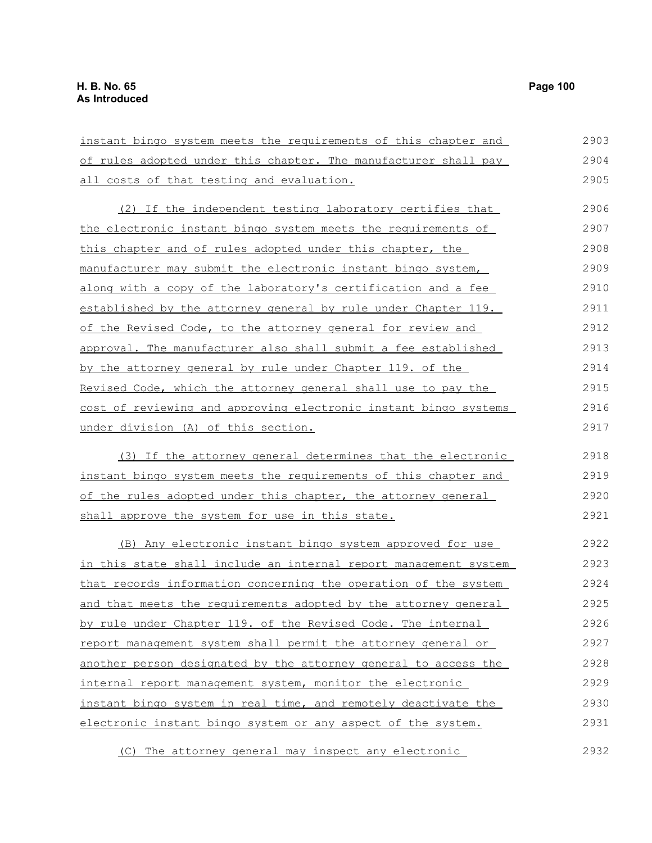instant bingo system meets the requirements of this chapter and of rules adopted under this chapter. The manufacturer shall pay all costs of that testing and evaluation. (2) If the independent testing laboratory certifies that the electronic instant bingo system meets the requirements of this chapter and of rules adopted under this chapter, the manufacturer may submit the electronic instant bingo system, along with a copy of the laboratory's certification and a fee established by the attorney general by rule under Chapter 119. of the Revised Code, to the attorney general for review and approval. The manufacturer also shall submit a fee established by the attorney general by rule under Chapter 119. of the Revised Code, which the attorney general shall use to pay the cost of reviewing and approving electronic instant bingo systems under division (A) of this section. (3) If the attorney general determines that the electronic instant bingo system meets the requirements of this chapter and of the rules adopted under this chapter, the attorney general shall approve the system for use in this state. (B) Any electronic instant bingo system approved for use in this state shall include an internal report management system that records information concerning the operation of the system and that meets the requirements adopted by the attorney general by rule under Chapter 119. of the Revised Code. The internal report management system shall permit the attorney general or another person designated by the attorney general to access the internal report management system, monitor the electronic instant bingo system in real time, and remotely deactivate the electronic instant bingo system or any aspect of the system. 2903 2904 2905 2906 2907 2908 2909 2910 2911 2912 2913 2914 2915 2916 2917 2918 2919 2920 2921 2922 2923 2924 2925 2926 2927 2928 2929 2930 2931

(C) The attorney general may inspect any electronic 2932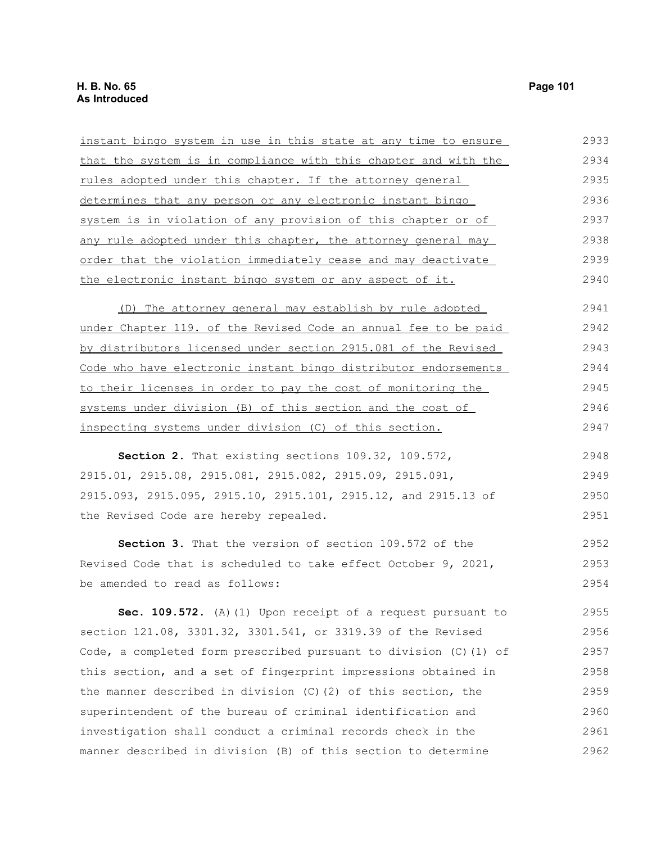| instant bingo system in use in this state at any time to ensure     | 2933 |
|---------------------------------------------------------------------|------|
| that the system is in compliance with this chapter and with the     | 2934 |
| <u>rules adopted under this chapter. If the attorney general</u>    | 2935 |
| determines that any person or any electronic instant bingo          | 2936 |
| system is in violation of any provision of this chapter or of       | 2937 |
| any rule adopted under this chapter, the attorney general may       | 2938 |
| order that the violation immediately cease and may deactivate       | 2939 |
| the electronic instant bingo system or any aspect of it.            | 2940 |
| (D) The attorney general may establish by rule adopted              | 2941 |
| under Chapter 119. of the Revised Code an annual fee to be paid     | 2942 |
| by distributors licensed under section 2915.081 of the Revised      | 2943 |
| Code who have electronic instant bingo distributor endorsements     | 2944 |
| to their licenses in order to pay the cost of monitoring the        | 2945 |
| systems under division (B) of this section and the cost of          | 2946 |
| inspecting systems under division (C) of this section.              | 2947 |
| Section 2. That existing sections 109.32, 109.572,                  | 2948 |
| 2915.01, 2915.08, 2915.081, 2915.082, 2915.09, 2915.091,            | 2949 |
| 2915.093, 2915.095, 2915.10, 2915.101, 2915.12, and 2915.13 of      | 2950 |
| the Revised Code are hereby repealed.                               | 2951 |
| Section 3. That the version of section 109.572 of the               | 2952 |
| Revised Code that is scheduled to take effect October 9, 2021,      | 2953 |
| be amended to read as follows:                                      | 2954 |
| Sec. 109.572. (A) (1) Upon receipt of a request pursuant to         | 2955 |
| section 121.08, 3301.32, 3301.541, or 3319.39 of the Revised        | 2956 |
| Code, a completed form prescribed pursuant to division $(C)$ (1) of | 2957 |
| this section, and a set of fingerprint impressions obtained in      | 2958 |
| the manner described in division $(C)$ $(2)$ of this section, the   | 2959 |
| superintendent of the bureau of criminal identification and         | 2960 |
| investigation shall conduct a criminal records check in the         | 2961 |

manner described in division (B) of this section to determine

2962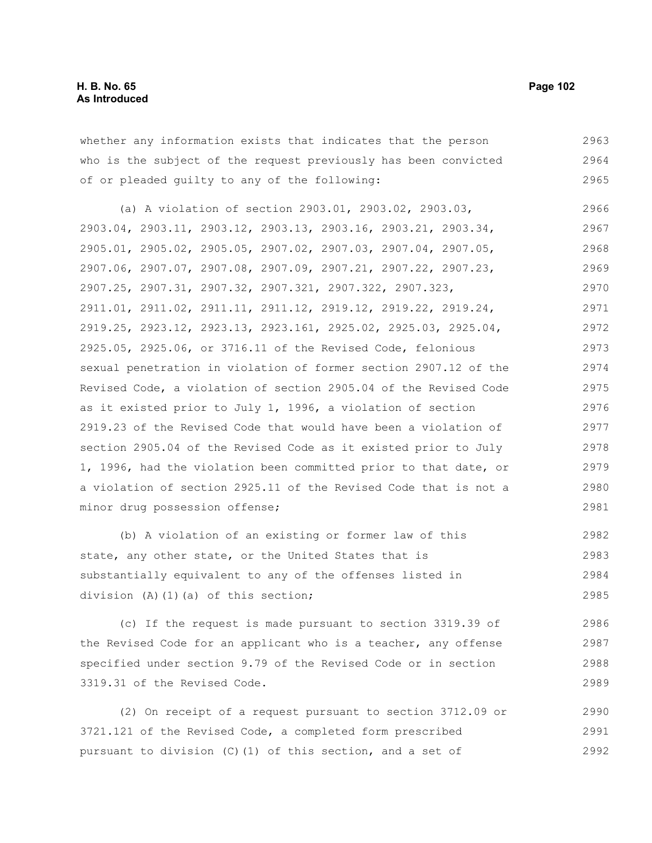whether any information exists that indicates that the person who is the subject of the request previously has been convicted of or pleaded guilty to any of the following: 2963 2964 2965

(a) A violation of section 2903.01, 2903.02, 2903.03, 2903.04, 2903.11, 2903.12, 2903.13, 2903.16, 2903.21, 2903.34, 2905.01, 2905.02, 2905.05, 2907.02, 2907.03, 2907.04, 2907.05, 2907.06, 2907.07, 2907.08, 2907.09, 2907.21, 2907.22, 2907.23, 2907.25, 2907.31, 2907.32, 2907.321, 2907.322, 2907.323, 2911.01, 2911.02, 2911.11, 2911.12, 2919.12, 2919.22, 2919.24, 2919.25, 2923.12, 2923.13, 2923.161, 2925.02, 2925.03, 2925.04, 2925.05, 2925.06, or 3716.11 of the Revised Code, felonious sexual penetration in violation of former section 2907.12 of the Revised Code, a violation of section 2905.04 of the Revised Code as it existed prior to July 1, 1996, a violation of section 2919.23 of the Revised Code that would have been a violation of section 2905.04 of the Revised Code as it existed prior to July 1, 1996, had the violation been committed prior to that date, or a violation of section 2925.11 of the Revised Code that is not a minor drug possession offense; 2966 2967 2968 2969 2970 2971 2972 2973 2974 2975 2976 2977 2978 2979 2980 2981

(b) A violation of an existing or former law of this state, any other state, or the United States that is substantially equivalent to any of the offenses listed in division (A)(1)(a) of this section; 2982 2983 2984 2985

(c) If the request is made pursuant to section 3319.39 of the Revised Code for an applicant who is a teacher, any offense specified under section 9.79 of the Revised Code or in section 3319.31 of the Revised Code. 2986 2987 2988 2989

(2) On receipt of a request pursuant to section 3712.09 or 3721.121 of the Revised Code, a completed form prescribed pursuant to division (C)(1) of this section, and a set of 2990 2991 2992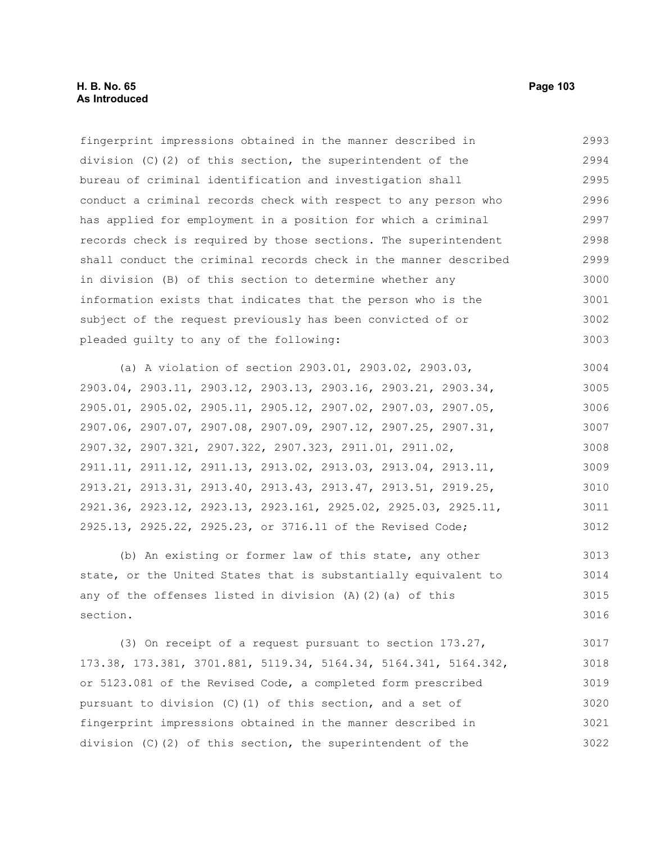## **H. B. No. 65 Page 103 As Introduced**

fingerprint impressions obtained in the manner described in division (C)(2) of this section, the superintendent of the bureau of criminal identification and investigation shall conduct a criminal records check with respect to any person who has applied for employment in a position for which a criminal records check is required by those sections. The superintendent shall conduct the criminal records check in the manner described in division (B) of this section to determine whether any information exists that indicates that the person who is the subject of the request previously has been convicted of or pleaded guilty to any of the following: 2993 2994 2995 2996 2997 2998 2999 3000 3001 3002 3003

(a) A violation of section 2903.01, 2903.02, 2903.03, 2903.04, 2903.11, 2903.12, 2903.13, 2903.16, 2903.21, 2903.34, 2905.01, 2905.02, 2905.11, 2905.12, 2907.02, 2907.03, 2907.05, 2907.06, 2907.07, 2907.08, 2907.09, 2907.12, 2907.25, 2907.31, 2907.32, 2907.321, 2907.322, 2907.323, 2911.01, 2911.02, 2911.11, 2911.12, 2911.13, 2913.02, 2913.03, 2913.04, 2913.11, 2913.21, 2913.31, 2913.40, 2913.43, 2913.47, 2913.51, 2919.25, 2921.36, 2923.12, 2923.13, 2923.161, 2925.02, 2925.03, 2925.11, 2925.13, 2925.22, 2925.23, or 3716.11 of the Revised Code; 3004 3005 3006 3007 3008 3009 3010 3011 3012

(b) An existing or former law of this state, any other state, or the United States that is substantially equivalent to any of the offenses listed in division (A)(2)(a) of this section. 3013 3014 3015 3016

(3) On receipt of a request pursuant to section 173.27, 173.38, 173.381, 3701.881, 5119.34, 5164.34, 5164.341, 5164.342, or 5123.081 of the Revised Code, a completed form prescribed pursuant to division (C)(1) of this section, and a set of fingerprint impressions obtained in the manner described in division (C)(2) of this section, the superintendent of the 3017 3018 3019 3020 3021 3022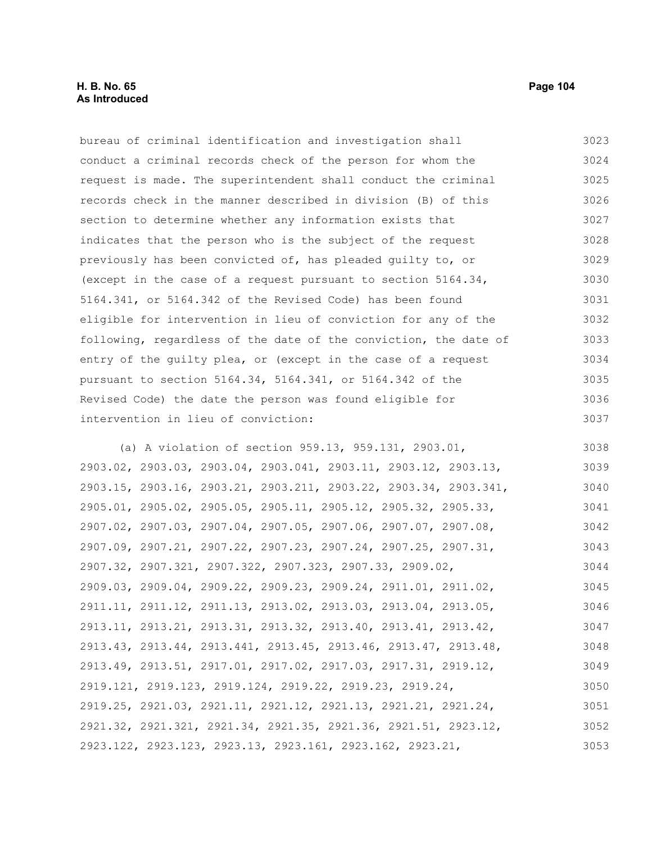## **H. B. No. 65 Page 104 As Introduced**

bureau of criminal identification and investigation shall conduct a criminal records check of the person for whom the request is made. The superintendent shall conduct the criminal records check in the manner described in division (B) of this section to determine whether any information exists that indicates that the person who is the subject of the request previously has been convicted of, has pleaded guilty to, or (except in the case of a request pursuant to section 5164.34, 5164.341, or 5164.342 of the Revised Code) has been found eligible for intervention in lieu of conviction for any of the following, regardless of the date of the conviction, the date of entry of the guilty plea, or (except in the case of a request pursuant to section 5164.34, 5164.341, or 5164.342 of the Revised Code) the date the person was found eligible for intervention in lieu of conviction: (a) A violation of section 959.13, 959.131, 2903.01, 2903.02, 2903.03, 2903.04, 2903.041, 2903.11, 2903.12, 2903.13, 3023 3024 3025 3026 3027 3028 3029 3030 3031 3032 3033 3034 3035 3036 3037 3038 3039

2903.15, 2903.16, 2903.21, 2903.211, 2903.22, 2903.34, 2903.341, 2905.01, 2905.02, 2905.05, 2905.11, 2905.12, 2905.32, 2905.33, 2907.02, 2907.03, 2907.04, 2907.05, 2907.06, 2907.07, 2907.08, 2907.09, 2907.21, 2907.22, 2907.23, 2907.24, 2907.25, 2907.31, 2907.32, 2907.321, 2907.322, 2907.323, 2907.33, 2909.02, 2909.03, 2909.04, 2909.22, 2909.23, 2909.24, 2911.01, 2911.02, 2911.11, 2911.12, 2911.13, 2913.02, 2913.03, 2913.04, 2913.05, 2913.11, 2913.21, 2913.31, 2913.32, 2913.40, 2913.41, 2913.42, 2913.43, 2913.44, 2913.441, 2913.45, 2913.46, 2913.47, 2913.48, 2913.49, 2913.51, 2917.01, 2917.02, 2917.03, 2917.31, 2919.12, 2919.121, 2919.123, 2919.124, 2919.22, 2919.23, 2919.24, 2919.25, 2921.03, 2921.11, 2921.12, 2921.13, 2921.21, 2921.24, 2921.32, 2921.321, 2921.34, 2921.35, 2921.36, 2921.51, 2923.12, 2923.122, 2923.123, 2923.13, 2923.161, 2923.162, 2923.21, 3040 3041 3042 3043 3044 3045 3046 3047 3048 3049 3050 3051 3052 3053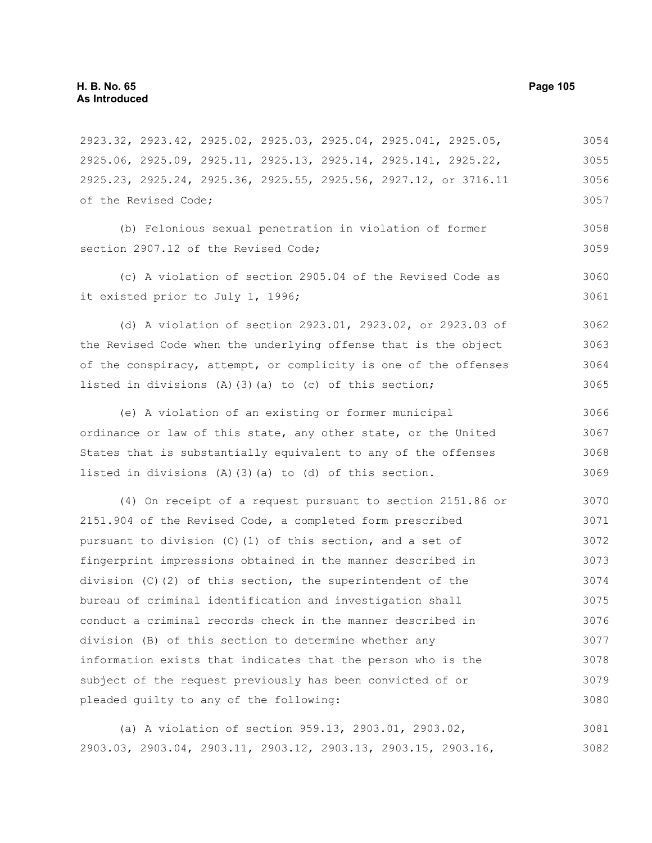2923.32, 2923.42, 2925.02, 2925.03, 2925.04, 2925.041, 2925.05, 2925.06, 2925.09, 2925.11, 2925.13, 2925.14, 2925.141, 2925.22, 2925.23, 2925.24, 2925.36, 2925.55, 2925.56, 2927.12, or 3716.11 of the Revised Code; 3054 3055 3056 3057

(b) Felonious sexual penetration in violation of former section 2907.12 of the Revised Code:

(c) A violation of section 2905.04 of the Revised Code as it existed prior to July 1, 1996; 3060 3061

(d) A violation of section 2923.01, 2923.02, or 2923.03 of the Revised Code when the underlying offense that is the object of the conspiracy, attempt, or complicity is one of the offenses listed in divisions  $(A)$   $(3)$   $(a)$  to  $(c)$  of this section; 3062 3063 3064 3065

(e) A violation of an existing or former municipal ordinance or law of this state, any other state, or the United States that is substantially equivalent to any of the offenses listed in divisions (A)(3)(a) to (d) of this section. 3066 3067 3068 3069

(4) On receipt of a request pursuant to section 2151.86 or 2151.904 of the Revised Code, a completed form prescribed pursuant to division (C)(1) of this section, and a set of fingerprint impressions obtained in the manner described in division  $(C)$  (2) of this section, the superintendent of the bureau of criminal identification and investigation shall conduct a criminal records check in the manner described in division (B) of this section to determine whether any information exists that indicates that the person who is the subject of the request previously has been convicted of or pleaded guilty to any of the following: 3070 3071 3072 3073 3074 3075 3076 3077 3078 3079 3080

(a) A violation of section 959.13, 2903.01, 2903.02, 2903.03, 2903.04, 2903.11, 2903.12, 2903.13, 2903.15, 2903.16, 3081 3082

3058 3059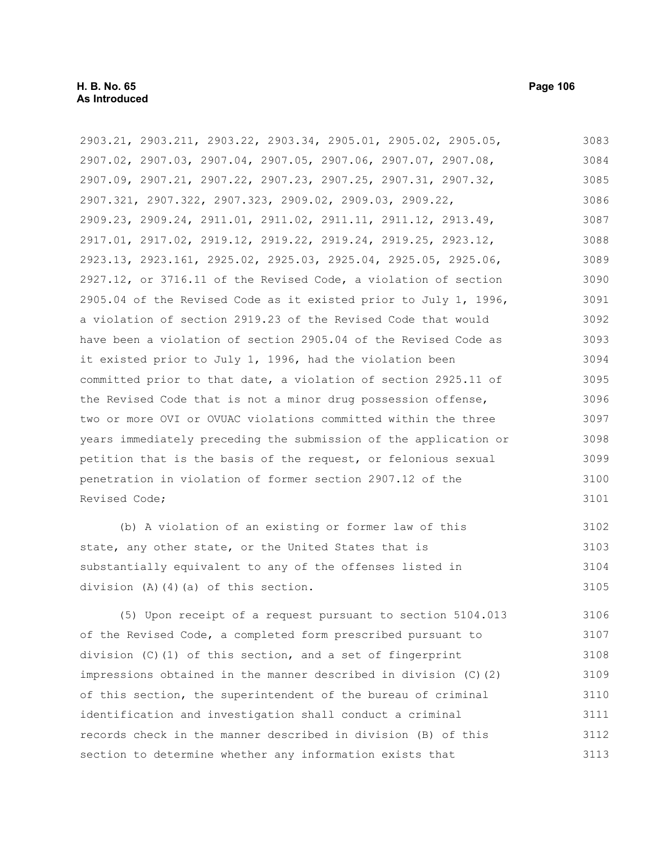2903.21, 2903.211, 2903.22, 2903.34, 2905.01, 2905.02, 2905.05, 2907.02, 2907.03, 2907.04, 2907.05, 2907.06, 2907.07, 2907.08, 2907.09, 2907.21, 2907.22, 2907.23, 2907.25, 2907.31, 2907.32, 2907.321, 2907.322, 2907.323, 2909.02, 2909.03, 2909.22, 2909.23, 2909.24, 2911.01, 2911.02, 2911.11, 2911.12, 2913.49, 2917.01, 2917.02, 2919.12, 2919.22, 2919.24, 2919.25, 2923.12, 2923.13, 2923.161, 2925.02, 2925.03, 2925.04, 2925.05, 2925.06, 2927.12, or 3716.11 of the Revised Code, a violation of section 2905.04 of the Revised Code as it existed prior to July 1, 1996, a violation of section 2919.23 of the Revised Code that would have been a violation of section 2905.04 of the Revised Code as it existed prior to July 1, 1996, had the violation been committed prior to that date, a violation of section 2925.11 of the Revised Code that is not a minor drug possession offense, two or more OVI or OVUAC violations committed within the three years immediately preceding the submission of the application or petition that is the basis of the request, or felonious sexual penetration in violation of former section 2907.12 of the Revised Code; 3083 3084 3085 3086 3087 3088 3089 3090 3091 3092 3093 3094 3095 3096 3097 3098 3099 3100 3101

(b) A violation of an existing or former law of this state, any other state, or the United States that is substantially equivalent to any of the offenses listed in division (A)(4)(a) of this section. 3102 3103 3104 3105

(5) Upon receipt of a request pursuant to section 5104.013 of the Revised Code, a completed form prescribed pursuant to division (C)(1) of this section, and a set of fingerprint impressions obtained in the manner described in division (C)(2) of this section, the superintendent of the bureau of criminal identification and investigation shall conduct a criminal records check in the manner described in division (B) of this section to determine whether any information exists that 3106 3107 3108 3109 3110 3111 3112 3113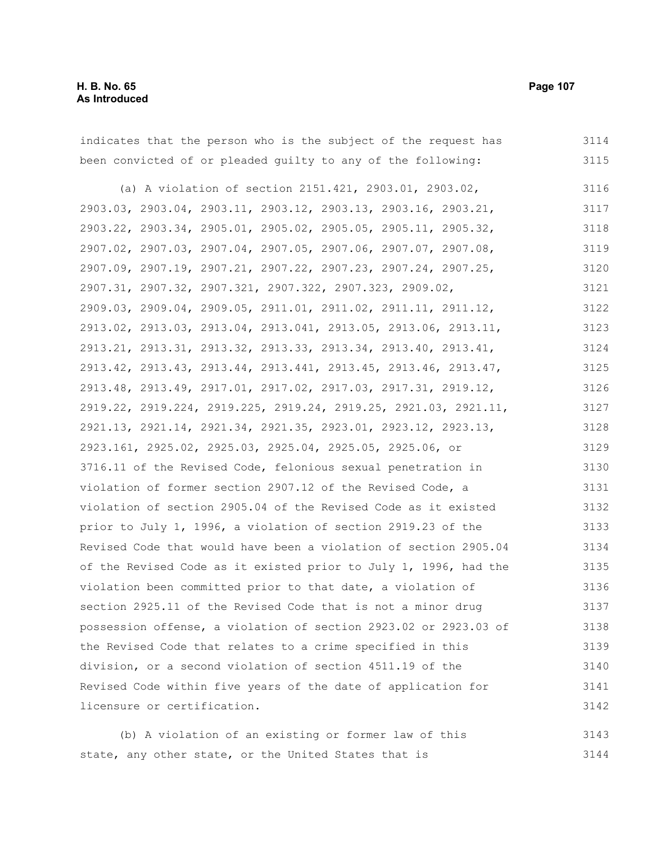| indicates that the person who is the subject of the request has  | 3114 |
|------------------------------------------------------------------|------|
| been convicted of or pleaded quilty to any of the following:     | 3115 |
| (a) A violation of section 2151.421, 2903.01, 2903.02,           | 3116 |
| 2903.03, 2903.04, 2903.11, 2903.12, 2903.13, 2903.16, 2903.21,   | 3117 |
| 2903.22, 2903.34, 2905.01, 2905.02, 2905.05, 2905.11, 2905.32,   | 3118 |
| 2907.02, 2907.03, 2907.04, 2907.05, 2907.06, 2907.07, 2907.08,   | 3119 |
| 2907.09, 2907.19, 2907.21, 2907.22, 2907.23, 2907.24, 2907.25,   | 3120 |
| 2907.31, 2907.32, 2907.321, 2907.322, 2907.323, 2909.02,         | 3121 |
| 2909.03, 2909.04, 2909.05, 2911.01, 2911.02, 2911.11, 2911.12,   | 3122 |
| 2913.02, 2913.03, 2913.04, 2913.041, 2913.05, 2913.06, 2913.11,  | 3123 |
| 2913.21, 2913.31, 2913.32, 2913.33, 2913.34, 2913.40, 2913.41,   | 3124 |
| 2913.42, 2913.43, 2913.44, 2913.441, 2913.45, 2913.46, 2913.47,  | 3125 |
| 2913.48, 2913.49, 2917.01, 2917.02, 2917.03, 2917.31, 2919.12,   | 3126 |
| 2919.22, 2919.224, 2919.225, 2919.24, 2919.25, 2921.03, 2921.11, | 3127 |
| 2921.13, 2921.14, 2921.34, 2921.35, 2923.01, 2923.12, 2923.13,   | 3128 |
| 2923.161, 2925.02, 2925.03, 2925.04, 2925.05, 2925.06, or        | 3129 |
| 3716.11 of the Revised Code, felonious sexual penetration in     | 3130 |
| violation of former section 2907.12 of the Revised Code, a       | 3131 |
| violation of section 2905.04 of the Revised Code as it existed   | 3132 |
| prior to July 1, 1996, a violation of section 2919.23 of the     | 3133 |
| Revised Code that would have been a violation of section 2905.04 | 3134 |
| of the Revised Code as it existed prior to July 1, 1996, had the | 3135 |
| violation been committed prior to that date, a violation of      | 3136 |
| section 2925.11 of the Revised Code that is not a minor drug     | 3137 |
| possession offense, a violation of section 2923.02 or 2923.03 of | 3138 |
| the Revised Code that relates to a crime specified in this       | 3139 |
| division, or a second violation of section 4511.19 of the        | 3140 |
| Revised Code within five years of the date of application for    | 3141 |
| licensure or certification.                                      | 3142 |
| (b) A violation of an existing or former law of this             | 3143 |

state, any other state, or the United States that is 3144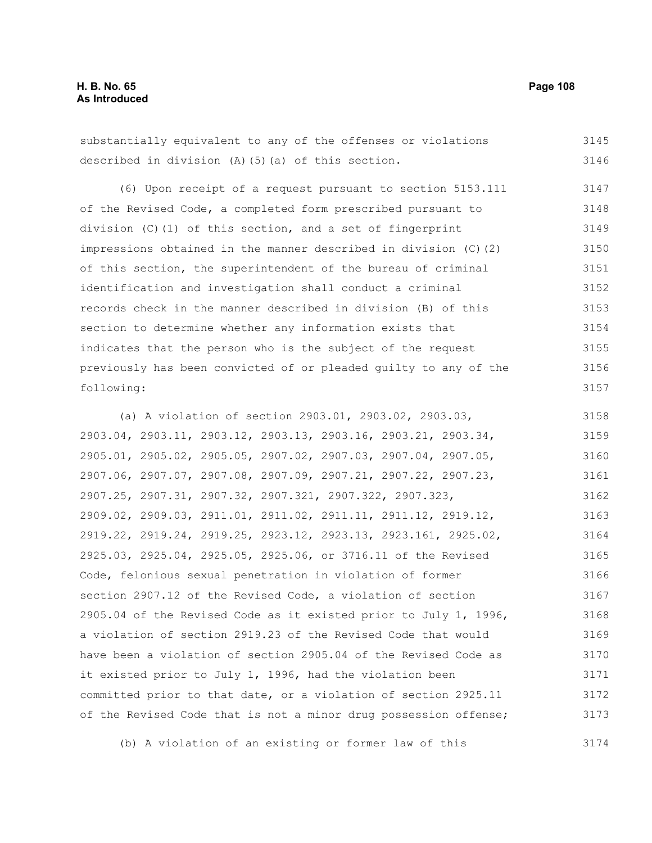substantially equivalent to any of the offenses or violations described in division (A)(5)(a) of this section. 3145 3146

(6) Upon receipt of a request pursuant to section 5153.111 of the Revised Code, a completed form prescribed pursuant to division (C)(1) of this section, and a set of fingerprint impressions obtained in the manner described in division (C)(2) of this section, the superintendent of the bureau of criminal identification and investigation shall conduct a criminal records check in the manner described in division (B) of this section to determine whether any information exists that indicates that the person who is the subject of the request previously has been convicted of or pleaded guilty to any of the following: 3147 3148 3149 3150 3151 3152 3153 3154 3155 3156 3157

(a) A violation of section 2903.01, 2903.02, 2903.03, 2903.04, 2903.11, 2903.12, 2903.13, 2903.16, 2903.21, 2903.34, 2905.01, 2905.02, 2905.05, 2907.02, 2907.03, 2907.04, 2907.05, 2907.06, 2907.07, 2907.08, 2907.09, 2907.21, 2907.22, 2907.23, 2907.25, 2907.31, 2907.32, 2907.321, 2907.322, 2907.323, 2909.02, 2909.03, 2911.01, 2911.02, 2911.11, 2911.12, 2919.12, 2919.22, 2919.24, 2919.25, 2923.12, 2923.13, 2923.161, 2925.02, 2925.03, 2925.04, 2925.05, 2925.06, or 3716.11 of the Revised Code, felonious sexual penetration in violation of former section 2907.12 of the Revised Code, a violation of section 2905.04 of the Revised Code as it existed prior to July 1, 1996, a violation of section 2919.23 of the Revised Code that would have been a violation of section 2905.04 of the Revised Code as it existed prior to July 1, 1996, had the violation been committed prior to that date, or a violation of section 2925.11 of the Revised Code that is not a minor drug possession offense; 3158 3159 3160 3161 3162 3163 3164 3165 3166 3167 3168 3169 3170 3171 3172 3173

(b) A violation of an existing or former law of this

3174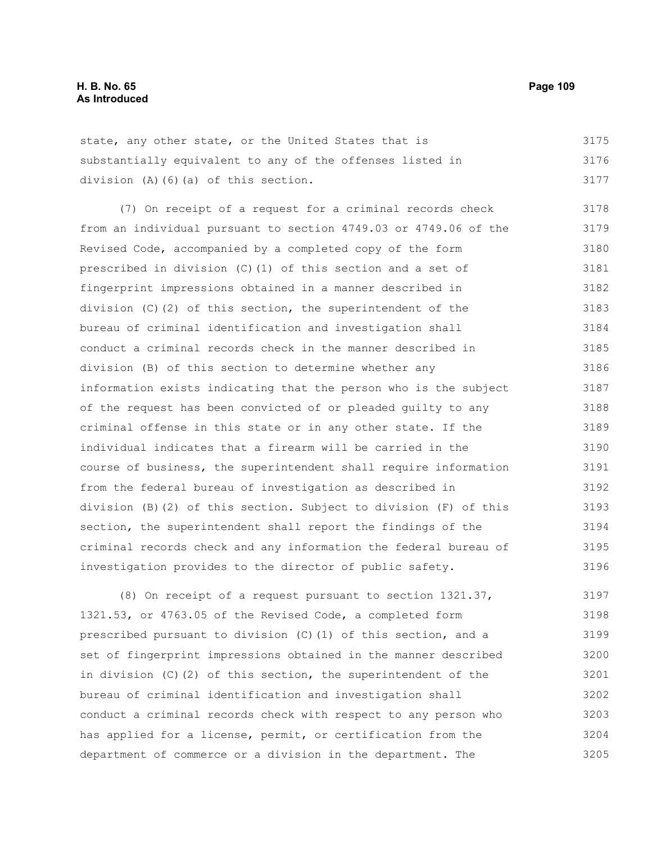state, any other state, or the United States that is substantially equivalent to any of the offenses listed in division (A)(6)(a) of this section. 3175 3176 3177

(7) On receipt of a request for a criminal records check from an individual pursuant to section 4749.03 or 4749.06 of the Revised Code, accompanied by a completed copy of the form prescribed in division (C)(1) of this section and a set of fingerprint impressions obtained in a manner described in division  $(C)$  (2) of this section, the superintendent of the bureau of criminal identification and investigation shall conduct a criminal records check in the manner described in division (B) of this section to determine whether any information exists indicating that the person who is the subject of the request has been convicted of or pleaded guilty to any criminal offense in this state or in any other state. If the individual indicates that a firearm will be carried in the course of business, the superintendent shall require information from the federal bureau of investigation as described in division (B)(2) of this section. Subject to division (F) of this section, the superintendent shall report the findings of the criminal records check and any information the federal bureau of investigation provides to the director of public safety. 3178 3179 3180 3181 3182 3183 3184 3185 3186 3187 3188 3189 3190 3191 3192 3193 3194 3195 3196

(8) On receipt of a request pursuant to section 1321.37, 1321.53, or 4763.05 of the Revised Code, a completed form prescribed pursuant to division (C)(1) of this section, and a set of fingerprint impressions obtained in the manner described in division (C)(2) of this section, the superintendent of the bureau of criminal identification and investigation shall conduct a criminal records check with respect to any person who has applied for a license, permit, or certification from the department of commerce or a division in the department. The 3197 3198 3199 3200 3201 3202 3203 3204 3205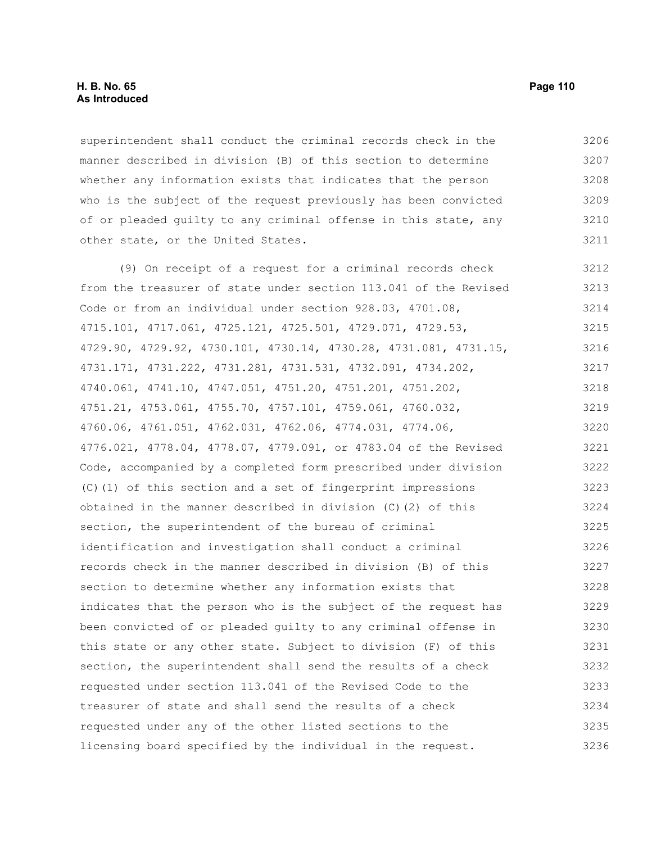# **H. B. No. 65 Page 110 As Introduced**

superintendent shall conduct the criminal records check in the manner described in division (B) of this section to determine whether any information exists that indicates that the person who is the subject of the request previously has been convicted of or pleaded guilty to any criminal offense in this state, any other state, or the United States. 3206 3207 3208 3209 3210 3211

(9) On receipt of a request for a criminal records check from the treasurer of state under section 113.041 of the Revised Code or from an individual under section 928.03, 4701.08, 4715.101, 4717.061, 4725.121, 4725.501, 4729.071, 4729.53, 4729.90, 4729.92, 4730.101, 4730.14, 4730.28, 4731.081, 4731.15, 4731.171, 4731.222, 4731.281, 4731.531, 4732.091, 4734.202, 4740.061, 4741.10, 4747.051, 4751.20, 4751.201, 4751.202, 4751.21, 4753.061, 4755.70, 4757.101, 4759.061, 4760.032, 4760.06, 4761.051, 4762.031, 4762.06, 4774.031, 4774.06, 4776.021, 4778.04, 4778.07, 4779.091, or 4783.04 of the Revised Code, accompanied by a completed form prescribed under division (C)(1) of this section and a set of fingerprint impressions obtained in the manner described in division (C)(2) of this section, the superintendent of the bureau of criminal identification and investigation shall conduct a criminal records check in the manner described in division (B) of this section to determine whether any information exists that indicates that the person who is the subject of the request has been convicted of or pleaded guilty to any criminal offense in this state or any other state. Subject to division (F) of this section, the superintendent shall send the results of a check requested under section 113.041 of the Revised Code to the treasurer of state and shall send the results of a check requested under any of the other listed sections to the licensing board specified by the individual in the request. 3212 3213 3214 3215 3216 3217 3218 3219 3220 3221 3222 3223 3224 3225 3226 3227 3228 3229 3230 3231 3232 3233 3234 3235 3236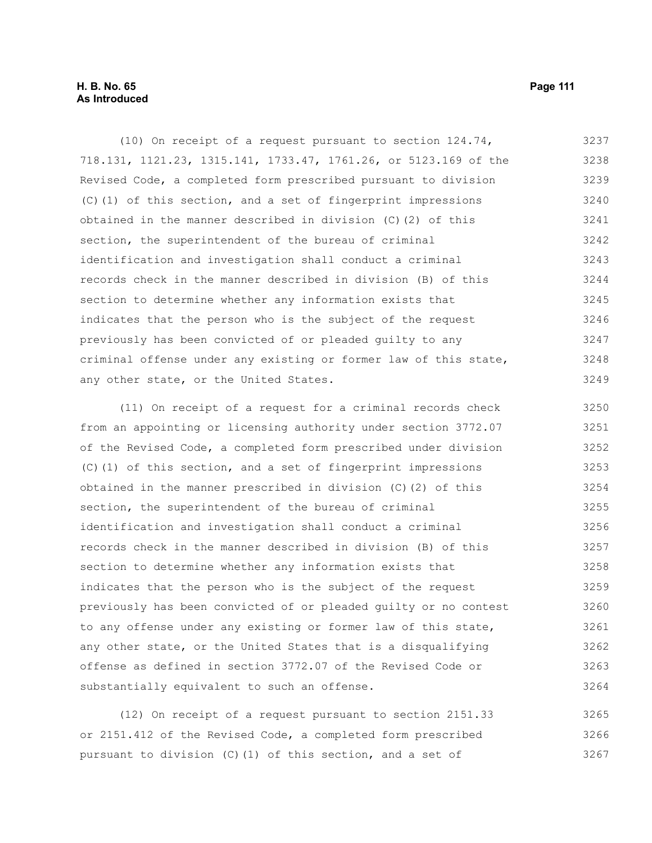# **H. B. No. 65 Page 111 As Introduced**

(10) On receipt of a request pursuant to section 124.74, 718.131, 1121.23, 1315.141, 1733.47, 1761.26, or 5123.169 of the Revised Code, a completed form prescribed pursuant to division (C)(1) of this section, and a set of fingerprint impressions obtained in the manner described in division (C)(2) of this section, the superintendent of the bureau of criminal identification and investigation shall conduct a criminal records check in the manner described in division (B) of this section to determine whether any information exists that indicates that the person who is the subject of the request previously has been convicted of or pleaded guilty to any criminal offense under any existing or former law of this state, any other state, or the United States. 3237 3238 3239 3240 3241 3242 3243 3244 3245 3246 3247 3248 3249

(11) On receipt of a request for a criminal records check from an appointing or licensing authority under section 3772.07 of the Revised Code, a completed form prescribed under division (C)(1) of this section, and a set of fingerprint impressions obtained in the manner prescribed in division (C)(2) of this section, the superintendent of the bureau of criminal identification and investigation shall conduct a criminal records check in the manner described in division (B) of this section to determine whether any information exists that indicates that the person who is the subject of the request previously has been convicted of or pleaded guilty or no contest to any offense under any existing or former law of this state, any other state, or the United States that is a disqualifying offense as defined in section 3772.07 of the Revised Code or substantially equivalent to such an offense. 3250 3251 3252 3253 3254 3255 3256 3257 3258 3259 3260 3261 3262 3263 3264

(12) On receipt of a request pursuant to section 2151.33 or 2151.412 of the Revised Code, a completed form prescribed pursuant to division (C)(1) of this section, and a set of 3265 3266 3267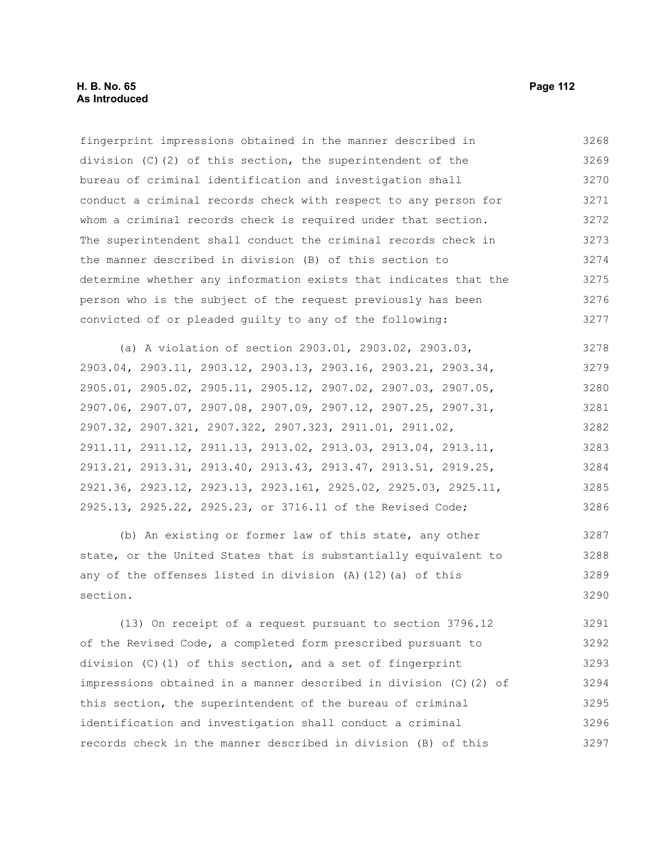# **H. B. No. 65 Page 112 As Introduced**

fingerprint impressions obtained in the manner described in division (C)(2) of this section, the superintendent of the bureau of criminal identification and investigation shall conduct a criminal records check with respect to any person for whom a criminal records check is required under that section. The superintendent shall conduct the criminal records check in the manner described in division (B) of this section to determine whether any information exists that indicates that the person who is the subject of the request previously has been convicted of or pleaded guilty to any of the following: 3268 3269 3270 3271 3272 3273 3274 3275 3276 3277

(a) A violation of section 2903.01, 2903.02, 2903.03, 2903.04, 2903.11, 2903.12, 2903.13, 2903.16, 2903.21, 2903.34, 2905.01, 2905.02, 2905.11, 2905.12, 2907.02, 2907.03, 2907.05, 2907.06, 2907.07, 2907.08, 2907.09, 2907.12, 2907.25, 2907.31, 2907.32, 2907.321, 2907.322, 2907.323, 2911.01, 2911.02, 2911.11, 2911.12, 2911.13, 2913.02, 2913.03, 2913.04, 2913.11, 2913.21, 2913.31, 2913.40, 2913.43, 2913.47, 2913.51, 2919.25, 2921.36, 2923.12, 2923.13, 2923.161, 2925.02, 2925.03, 2925.11, 2925.13, 2925.22, 2925.23, or 3716.11 of the Revised Code; 3278 3279 3280 3281 3282 3283 3284 3285 3286

(b) An existing or former law of this state, any other state, or the United States that is substantially equivalent to any of the offenses listed in division  $(A)$  (12)(a) of this section. 3287 3288 3289 3290

(13) On receipt of a request pursuant to section 3796.12 of the Revised Code, a completed form prescribed pursuant to division (C)(1) of this section, and a set of fingerprint impressions obtained in a manner described in division (C)(2) of this section, the superintendent of the bureau of criminal identification and investigation shall conduct a criminal records check in the manner described in division (B) of this 3291 3292 3293 3294 3295 3296 3297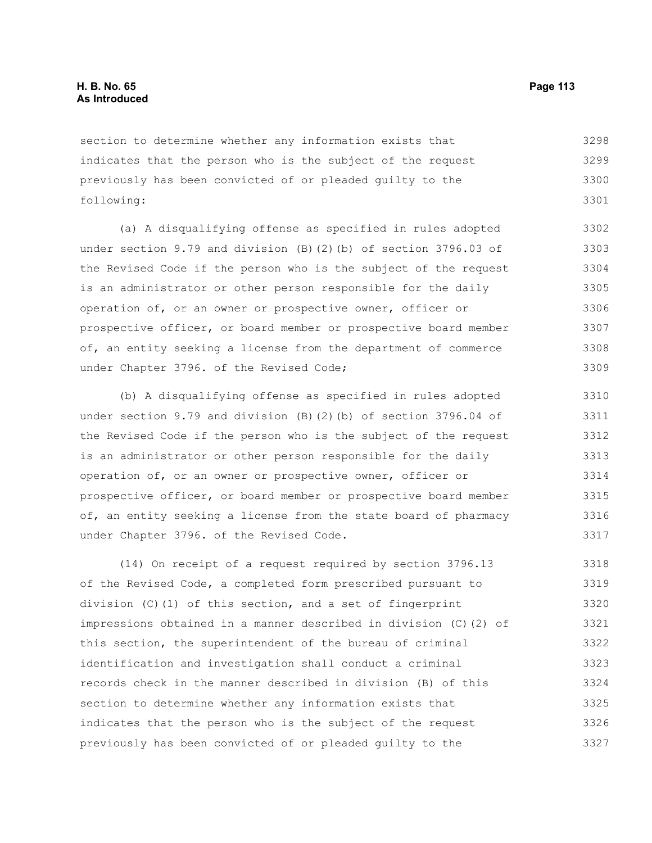section to determine whether any information exists that indicates that the person who is the subject of the request previously has been convicted of or pleaded guilty to the following: 3298 3299 3300 3301

(a) A disqualifying offense as specified in rules adopted under section 9.79 and division (B)(2)(b) of section 3796.03 of the Revised Code if the person who is the subject of the request is an administrator or other person responsible for the daily operation of, or an owner or prospective owner, officer or prospective officer, or board member or prospective board member of, an entity seeking a license from the department of commerce under Chapter 3796. of the Revised Code; 3302 3305 3306 3307 3308 3309

(b) A disqualifying offense as specified in rules adopted under section 9.79 and division (B)(2)(b) of section 3796.04 of the Revised Code if the person who is the subject of the request is an administrator or other person responsible for the daily operation of, or an owner or prospective owner, officer or prospective officer, or board member or prospective board member of, an entity seeking a license from the state board of pharmacy under Chapter 3796. of the Revised Code. 3310 3311 3312 3313 3314 3315 3316 3317

(14) On receipt of a request required by section 3796.13 of the Revised Code, a completed form prescribed pursuant to division (C)(1) of this section, and a set of fingerprint impressions obtained in a manner described in division (C)(2) of this section, the superintendent of the bureau of criminal identification and investigation shall conduct a criminal records check in the manner described in division (B) of this section to determine whether any information exists that indicates that the person who is the subject of the request previously has been convicted of or pleaded guilty to the 3318 3319 3320 3321 3322 3323 3324 3325 3326 3327

3303 3304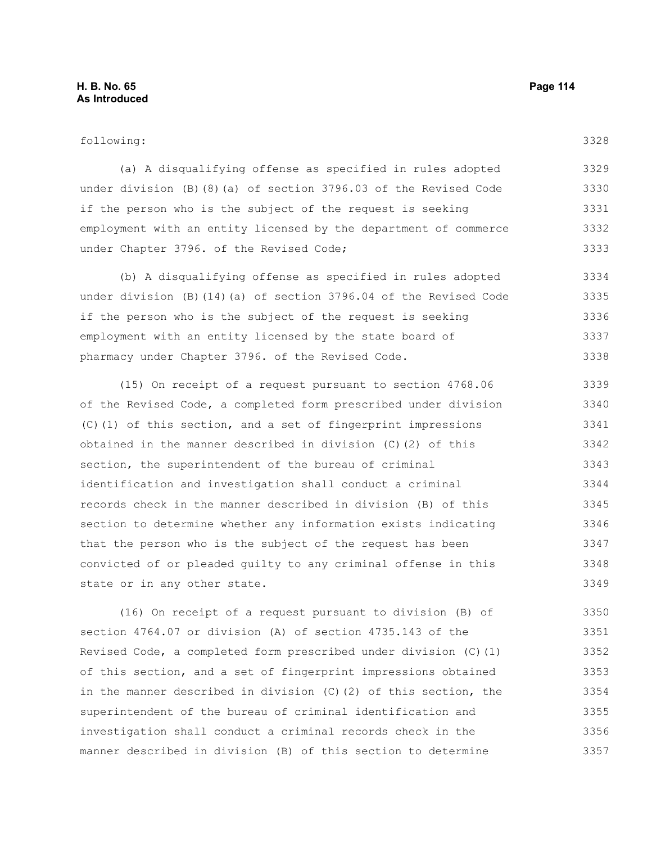# **H. B. No. 65 Page 114 As Introduced**

(a) A disqualifying offense as specified in rules adopted under division (B)(8)(a) of section 3796.03 of the Revised Code if the person who is the subject of the request is seeking employment with an entity licensed by the department of commerce under Chapter 3796. of the Revised Code; 3329 3330 3331 3332 3333

(b) A disqualifying offense as specified in rules adopted under division (B)(14)(a) of section 3796.04 of the Revised Code if the person who is the subject of the request is seeking employment with an entity licensed by the state board of pharmacy under Chapter 3796. of the Revised Code. 3334 3335 3336 3337 3338

(15) On receipt of a request pursuant to section 4768.06 of the Revised Code, a completed form prescribed under division (C)(1) of this section, and a set of fingerprint impressions obtained in the manner described in division (C)(2) of this section, the superintendent of the bureau of criminal identification and investigation shall conduct a criminal records check in the manner described in division (B) of this section to determine whether any information exists indicating that the person who is the subject of the request has been convicted of or pleaded guilty to any criminal offense in this state or in any other state. 3339 3340 3341 3342 3343 3344 3345 3346 3347 3348 3349

(16) On receipt of a request pursuant to division (B) of section 4764.07 or division (A) of section 4735.143 of the Revised Code, a completed form prescribed under division (C)(1) of this section, and a set of fingerprint impressions obtained in the manner described in division (C)(2) of this section, the superintendent of the bureau of criminal identification and investigation shall conduct a criminal records check in the manner described in division (B) of this section to determine 3350 3351 3352 3353 3354 3355 3356 3357

3328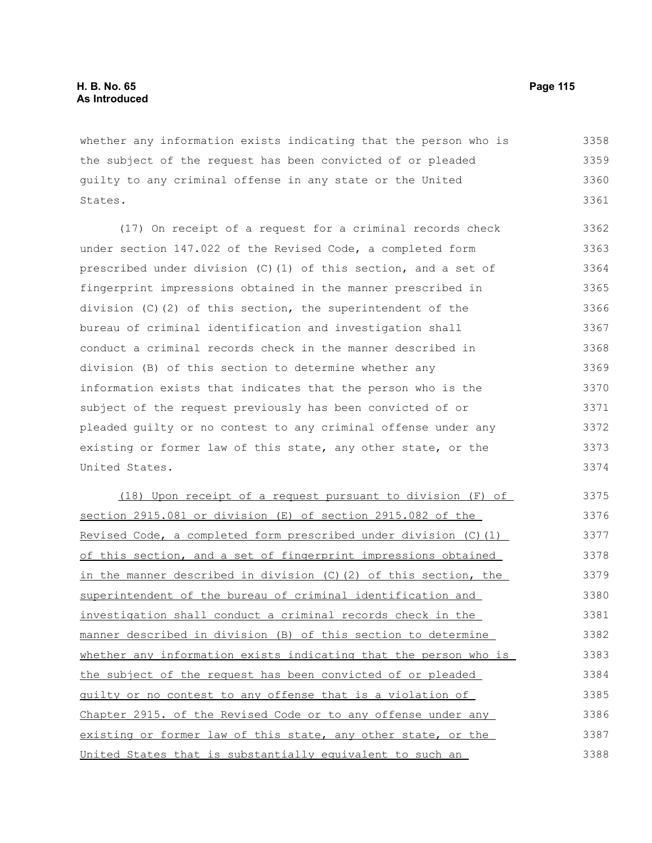whether any information exists indicating that the person who is the subject of the request has been convicted of or pleaded guilty to any criminal offense in any state or the United States. 3358 3359 3360 3361

(17) On receipt of a request for a criminal records check under section 147.022 of the Revised Code, a completed form prescribed under division (C)(1) of this section, and a set of fingerprint impressions obtained in the manner prescribed in division (C)(2) of this section, the superintendent of the bureau of criminal identification and investigation shall conduct a criminal records check in the manner described in division (B) of this section to determine whether any information exists that indicates that the person who is the subject of the request previously has been convicted of or pleaded guilty or no contest to any criminal offense under any existing or former law of this state, any other state, or the United States. 3362 3363 3364 3365 3366 3367 3368 3369 3370 3371 3372 3373 3374

(18) Upon receipt of a request pursuant to division (F) of section 2915.081 or division (E) of section 2915.082 of the Revised Code, a completed form prescribed under division (C)(1) of this section, and a set of fingerprint impressions obtained in the manner described in division (C)(2) of this section, the superintendent of the bureau of criminal identification and investigation shall conduct a criminal records check in the manner described in division (B) of this section to determine whether any information exists indicating that the person who is the subject of the request has been convicted of or pleaded guilty or no contest to any offense that is a violation of Chapter 2915. of the Revised Code or to any offense under any existing or former law of this state, any other state, or the United States that is substantially equivalent to such an 3375 3376 3377 3378 3379 3380 3381 3382 3383 3384 3385 3386 3387 3388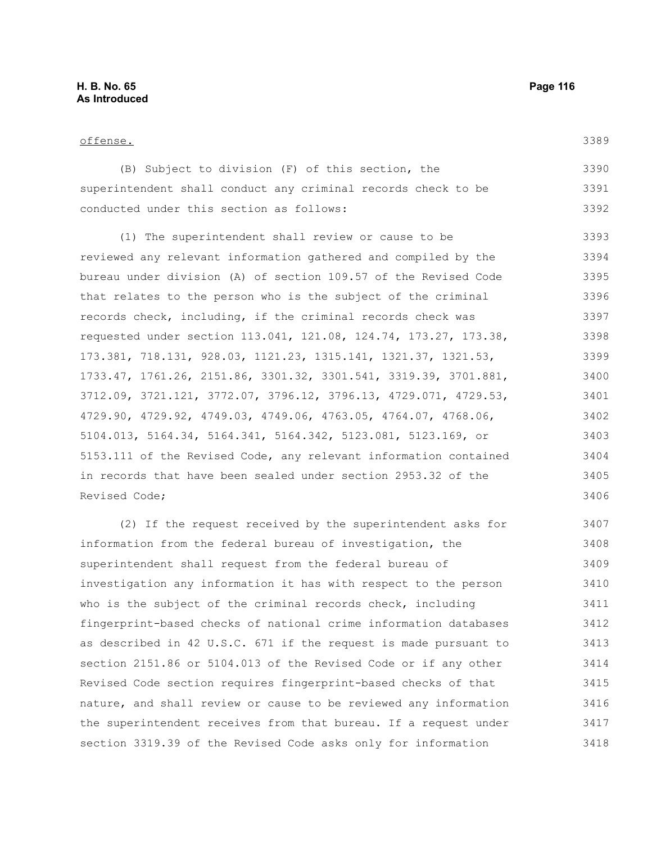3389

|                                          | (B) Subject to division (F) of this section, the              | 3390 |
|------------------------------------------|---------------------------------------------------------------|------|
|                                          | superintendent shall conduct any criminal records check to be | 3391 |
| conducted under this section as follows: |                                                               | 3392 |

(1) The superintendent shall review or cause to be reviewed any relevant information gathered and compiled by the bureau under division (A) of section 109.57 of the Revised Code that relates to the person who is the subject of the criminal records check, including, if the criminal records check was requested under section 113.041, 121.08, 124.74, 173.27, 173.38, 173.381, 718.131, 928.03, 1121.23, 1315.141, 1321.37, 1321.53, 1733.47, 1761.26, 2151.86, 3301.32, 3301.541, 3319.39, 3701.881, 3712.09, 3721.121, 3772.07, 3796.12, 3796.13, 4729.071, 4729.53, 4729.90, 4729.92, 4749.03, 4749.06, 4763.05, 4764.07, 4768.06, 5104.013, 5164.34, 5164.341, 5164.342, 5123.081, 5123.169, or 5153.111 of the Revised Code, any relevant information contained in records that have been sealed under section 2953.32 of the Revised Code; 3393 3394 3395 3396 3397 3398 3399 3400 3401 3402 3403 3404 3405 3406

(2) If the request received by the superintendent asks for information from the federal bureau of investigation, the superintendent shall request from the federal bureau of investigation any information it has with respect to the person who is the subject of the criminal records check, including fingerprint-based checks of national crime information databases as described in 42 U.S.C. 671 if the request is made pursuant to section 2151.86 or 5104.013 of the Revised Code or if any other Revised Code section requires fingerprint-based checks of that nature, and shall review or cause to be reviewed any information the superintendent receives from that bureau. If a request under section 3319.39 of the Revised Code asks only for information 3407 3408 3409 3410 3411 3412 3413 3414 3415 3416 3417 3418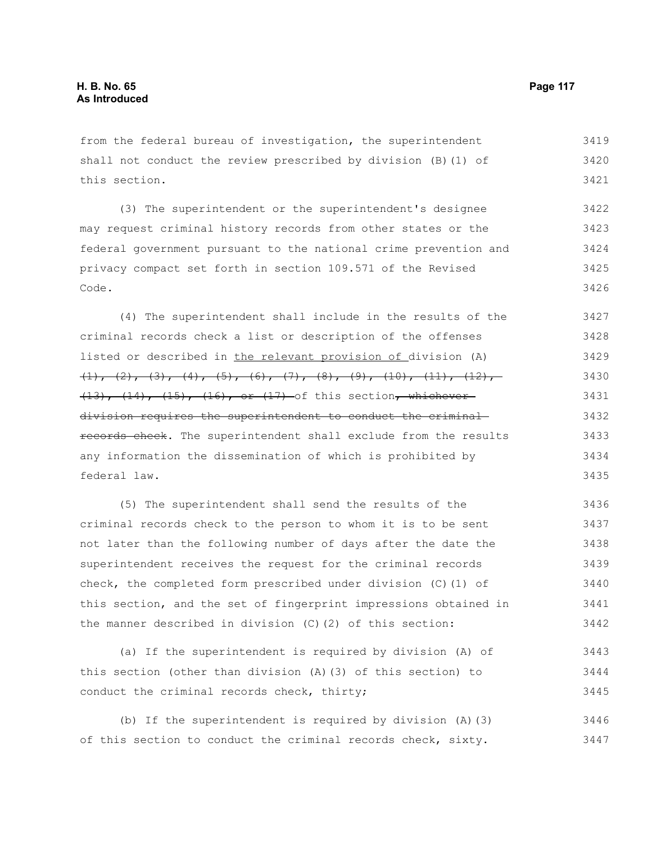from the federal bureau of investigation, the superintendent shall not conduct the review prescribed by division (B)(1) of this section. 3419 3420 3421

(3) The superintendent or the superintendent's designee may request criminal history records from other states or the federal government pursuant to the national crime prevention and privacy compact set forth in section 109.571 of the Revised Code. 3422 3423 3424 3425 3426

(4) The superintendent shall include in the results of the criminal records check a list or description of the offenses listed or described in the relevant provision of division (A)  $\{1\}$ ,  $\{2\}$ ,  $\{3\}$ ,  $\{4\}$ ,  $\{5\}$ ,  $\{6\}$ ,  $\{7\}$ ,  $\{8\}$ ,  $\{9\}$ ,  $\{10\}$ ,  $\{11\}$ ,  $\{12\}$ ,  $(13)$ ,  $(14)$ ,  $(15)$ ,  $(16)$ , or  $(17)$  of this section<del>, whichever</del> division requires the superintendent to conduct the criminal records check. The superintendent shall exclude from the results any information the dissemination of which is prohibited by federal law. 3427 3428 3429 3430 3431 3432 3433 3434 3435

(5) The superintendent shall send the results of the criminal records check to the person to whom it is to be sent not later than the following number of days after the date the superintendent receives the request for the criminal records check, the completed form prescribed under division (C)(1) of this section, and the set of fingerprint impressions obtained in the manner described in division (C)(2) of this section: 3436 3437 3438 3439 3440 3441 3442

(a) If the superintendent is required by division (A) of this section (other than division (A)(3) of this section) to conduct the criminal records check, thirty; 3443 3444 3445

(b) If the superintendent is required by division (A)(3) of this section to conduct the criminal records check, sixty. 3446 3447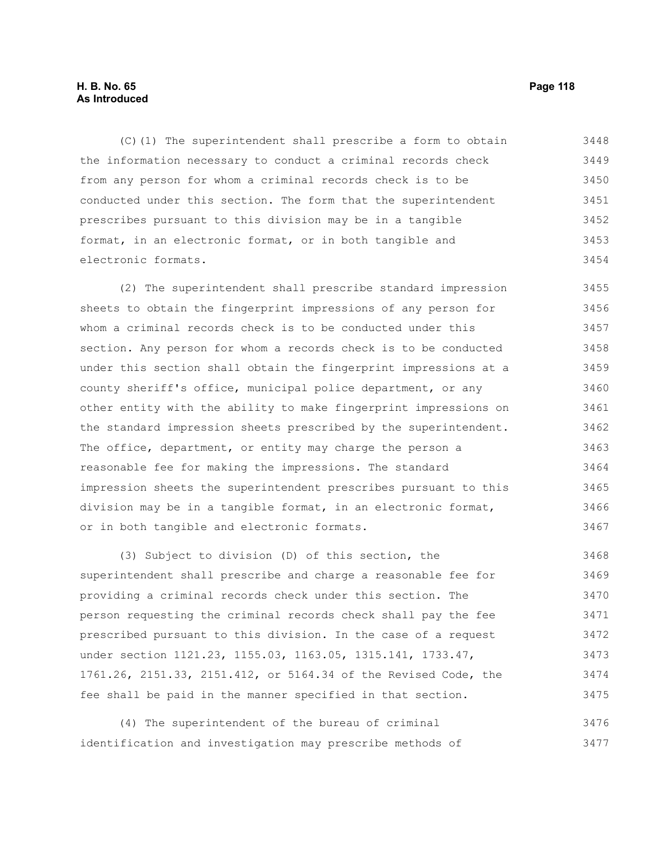# **H. B. No. 65 Page 118 As Introduced**

(C)(1) The superintendent shall prescribe a form to obtain the information necessary to conduct a criminal records check from any person for whom a criminal records check is to be conducted under this section. The form that the superintendent prescribes pursuant to this division may be in a tangible format, in an electronic format, or in both tangible and electronic formats. 3448 3449 3450 3451 3452 3453 3454

(2) The superintendent shall prescribe standard impression sheets to obtain the fingerprint impressions of any person for whom a criminal records check is to be conducted under this section. Any person for whom a records check is to be conducted under this section shall obtain the fingerprint impressions at a county sheriff's office, municipal police department, or any other entity with the ability to make fingerprint impressions on the standard impression sheets prescribed by the superintendent. The office, department, or entity may charge the person a reasonable fee for making the impressions. The standard impression sheets the superintendent prescribes pursuant to this division may be in a tangible format, in an electronic format, or in both tangible and electronic formats. 3455 3456 3457 3458 3459 3460 3461 3462 3463 3464 3465 3466 3467

(3) Subject to division (D) of this section, the superintendent shall prescribe and charge a reasonable fee for providing a criminal records check under this section. The person requesting the criminal records check shall pay the fee prescribed pursuant to this division. In the case of a request under section 1121.23, 1155.03, 1163.05, 1315.141, 1733.47, 1761.26, 2151.33, 2151.412, or 5164.34 of the Revised Code, the fee shall be paid in the manner specified in that section. 3468 3469 3470 3471 3472 3473 3474 3475

(4) The superintendent of the bureau of criminal identification and investigation may prescribe methods of 3476 3477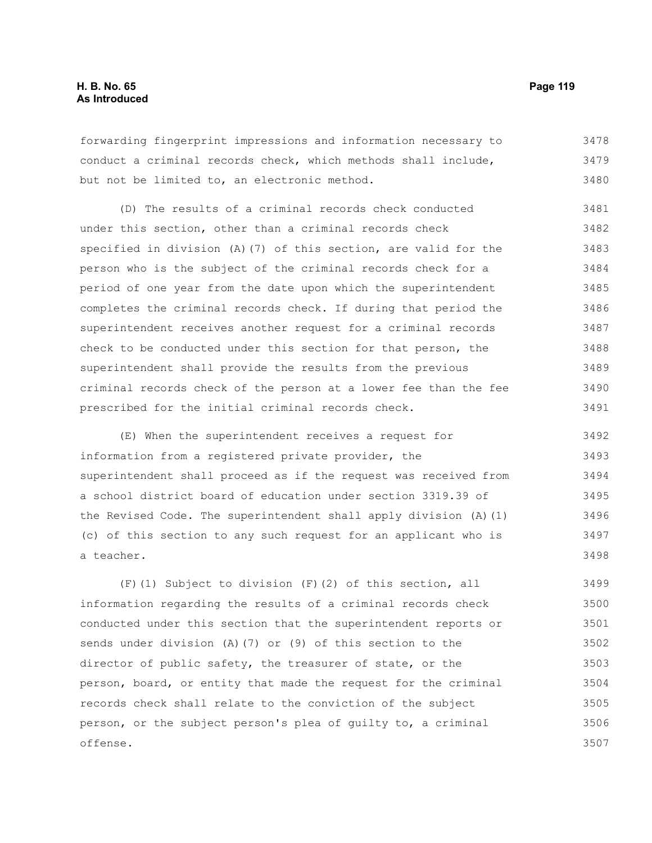forwarding fingerprint impressions and information necessary to conduct a criminal records check, which methods shall include, but not be limited to, an electronic method. 3478 3479 3480

(D) The results of a criminal records check conducted under this section, other than a criminal records check specified in division (A)(7) of this section, are valid for the person who is the subject of the criminal records check for a period of one year from the date upon which the superintendent completes the criminal records check. If during that period the superintendent receives another request for a criminal records check to be conducted under this section for that person, the superintendent shall provide the results from the previous criminal records check of the person at a lower fee than the fee prescribed for the initial criminal records check. 3481 3482 3483 3484 3485 3486 3487 3488 3489 3490 3491

(E) When the superintendent receives a request for information from a registered private provider, the superintendent shall proceed as if the request was received from a school district board of education under section 3319.39 of the Revised Code. The superintendent shall apply division (A)(1) (c) of this section to any such request for an applicant who is a teacher. 3492 3493 3494 3495 3496 3497 3498

(F)(1) Subject to division (F)(2) of this section, all information regarding the results of a criminal records check conducted under this section that the superintendent reports or sends under division (A)(7) or (9) of this section to the director of public safety, the treasurer of state, or the person, board, or entity that made the request for the criminal records check shall relate to the conviction of the subject person, or the subject person's plea of guilty to, a criminal offense. 3499 3500 3501 3502 3503 3504 3505 3506 3507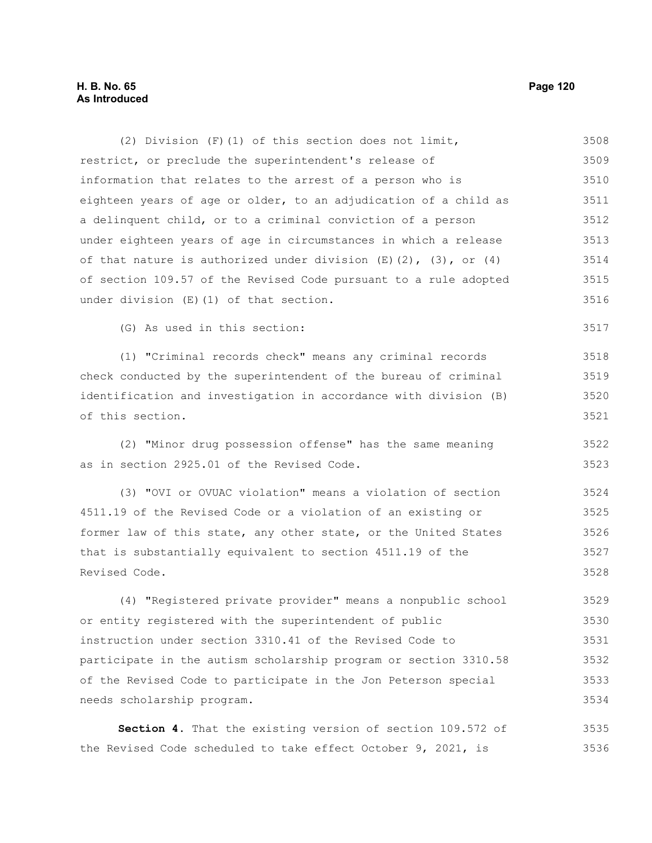# **H. B. No. 65 Page 120 As Introduced**

restrict, or preclude the superintendent's release of information that relates to the arrest of a person who is eighteen years of age or older, to an adjudication of a child as a delinquent child, or to a criminal conviction of a person under eighteen years of age in circumstances in which a release of that nature is authorized under division  $(E)$   $(2)$ ,  $(3)$ , or  $(4)$ of section 109.57 of the Revised Code pursuant to a rule adopted under division (E)(1) of that section. (G) As used in this section: (1) "Criminal records check" means any criminal records check conducted by the superintendent of the bureau of criminal identification and investigation in accordance with division (B) of this section. (2) "Minor drug possession offense" has the same meaning as in section 2925.01 of the Revised Code. (3) "OVI or OVUAC violation" means a violation of section 4511.19 of the Revised Code or a violation of an existing or former law of this state, any other state, or the United States that is substantially equivalent to section 4511.19 of the Revised Code. (4) "Registered private provider" means a nonpublic school or entity registered with the superintendent of public instruction under section 3310.41 of the Revised Code to participate in the autism scholarship program or section 3310.58 of the Revised Code to participate in the Jon Peterson special needs scholarship program. **Section 4.** That the existing version of section 109.572 of the Revised Code scheduled to take effect October 9, 2021, is 3509 3510 3511 3512 3513 3514 3515 3516 3517 3518 3519 3520 3521 3522 3523 3524 3525 3526 3527 3528 3529 3530 3531 3532 3533 3534 3535 3536

(2) Division (F)(1) of this section does not limit,

3508